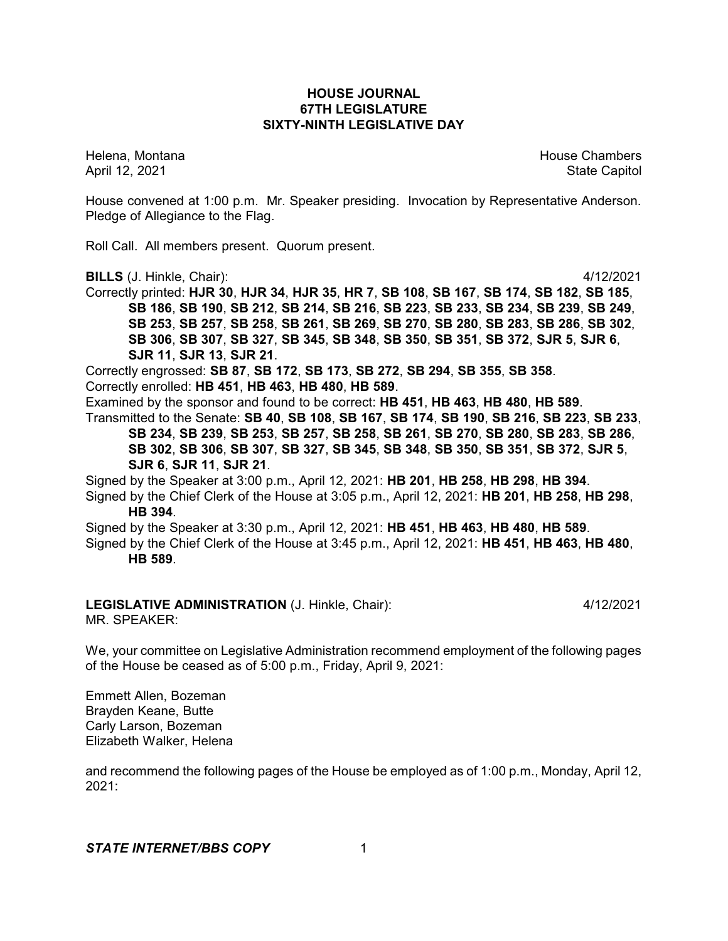## **HOUSE JOURNAL 67TH LEGISLATURE SIXTY-NINTH LEGISLATIVE DAY**

Helena, Montana House Chambers Chambers Chambers and House Chambers Chambers Chambers Chambers Chambers Chambers Chambers Chambers Chambers Chambers Chambers Chambers Chambers Chambers Chambers Chambers Chambers Chambers C April 12, 2021 State Capitol

House convened at 1:00 p.m. Mr. Speaker presiding. Invocation by Representative Anderson. Pledge of Allegiance to the Flag.

Roll Call. All members present. Quorum present.

**BILLS** (J. Hinkle, Chair): 4/12/2021

Correctly printed: **HJR 30**, **HJR 34**, **HJR 35**, **HR 7**, **SB 108**, **SB 167**, **SB 174**, **SB 182**, **SB 185**, **SB 186**, **SB 190**, **SB 212**, **SB 214**, **SB 216**, **SB 223**, **SB 233**, **SB 234**, **SB 239**, **SB 249**, **SB 253**, **SB 257**, **SB 258**, **SB 261**, **SB 269**, **SB 270**, **SB 280**, **SB 283**, **SB 286**, **SB 302**, **SB 306**, **SB 307**, **SB 327**, **SB 345**, **SB 348**, **SB 350**, **SB 351**, **SB 372**, **SJR 5**, **SJR 6**, **SJR 11**, **SJR 13**, **SJR 21**.

Correctly engrossed: **SB 87**, **SB 172**, **SB 173**, **SB 272**, **SB 294**, **SB 355**, **SB 358**. Correctly enrolled: **HB 451**, **HB 463**, **HB 480**, **HB 589**.

Examined by the sponsor and found to be correct: **HB 451**, **HB 463**, **HB 480**, **HB 589**.

Transmitted to the Senate: **SB 40**, **SB 108**, **SB 167**, **SB 174**, **SB 190**, **SB 216**, **SB 223**, **SB 233**, **SB 234**, **SB 239**, **SB 253**, **SB 257**, **SB 258**, **SB 261**, **SB 270**, **SB 280**, **SB 283**, **SB 286**, **SB 302**, **SB 306**, **SB 307**, **SB 327**, **SB 345**, **SB 348**, **SB 350**, **SB 351**, **SB 372**, **SJR 5**, **SJR 6**, **SJR 11**, **SJR 21**.

Signed by the Speaker at 3:00 p.m., April 12, 2021: **HB 201**, **HB 258**, **HB 298**, **HB 394**.

Signed by the Chief Clerk of the House at 3:05 p.m., April 12, 2021: **HB 201**, **HB 258**, **HB 298**, **HB 394**.

Signed by the Speaker at 3:30 p.m., April 12, 2021: **HB 451**, **HB 463**, **HB 480**, **HB 589**. Signed by the Chief Clerk of the House at 3:45 p.m., April 12, 2021: **HB 451**, **HB 463**, **HB 480**,

**HB 589**.

**LEGISLATIVE ADMINISTRATION** (J. Hinkle, Chair): 4/12/2021 MR. SPEAKER:

We, your committee on Legislative Administration recommend employment of the following pages of the House be ceased as of 5:00 p.m., Friday, April 9, 2021:

Emmett Allen, Bozeman Brayden Keane, Butte Carly Larson, Bozeman Elizabeth Walker, Helena

and recommend the following pages of the House be employed as of 1:00 p.m., Monday, April 12, 2021: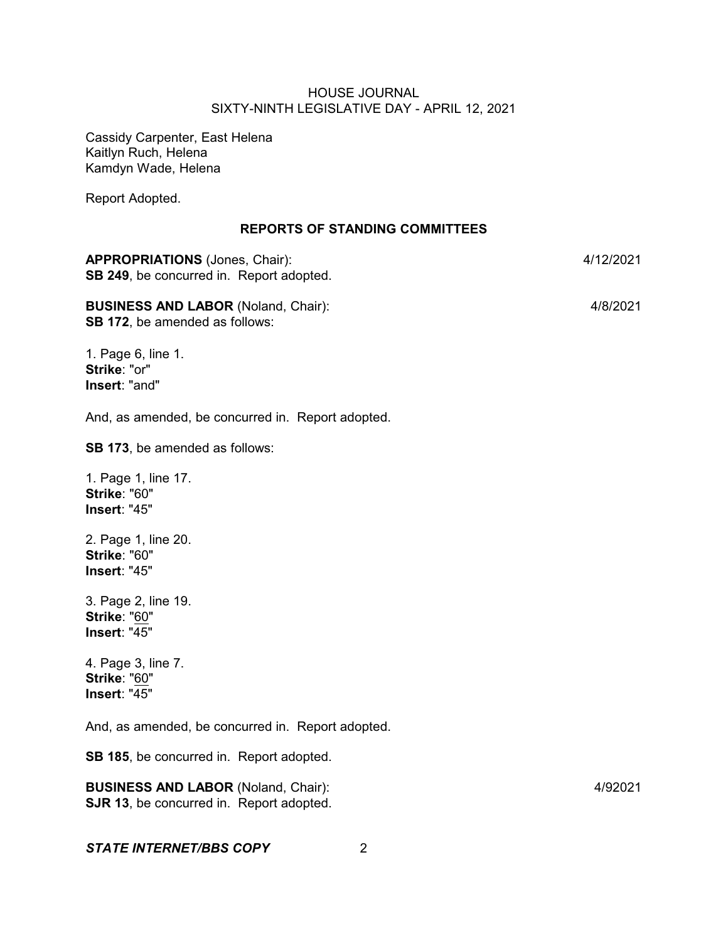Cassidy Carpenter, East Helena Kaitlyn Ruch, Helena Kamdyn Wade, Helena

Report Adopted.

## **REPORTS OF STANDING COMMITTEES**

| <b>APPROPRIATIONS</b> (Jones, Chair):<br>SB 249, be concurred in. Report adopted.   | 4/12/2021 |
|-------------------------------------------------------------------------------------|-----------|
| <b>BUSINESS AND LABOR (Noland, Chair):</b><br><b>SB 172, be amended as follows:</b> | 4/8/2021  |
| 1 Dogo & lino 1                                                                     |           |

1. Page 6, line 1. **Strike**: "or" **Insert**: "and"

And, as amended, be concurred in. Report adopted.

**SB 173**, be amended as follows:

1. Page 1, line 17. **Strike**: "60" **Insert**: "45"

2. Page 1, line 20. **Strike**: "60" **Insert**: "45"

3. Page 2, line 19. **Strike**: "60" **Insert**: "45"

4. Page 3, line 7. **Strike**: "60" **Insert**: "45"

And, as amended, be concurred in. Report adopted.

**SB 185**, be concurred in. Report adopted.

**BUSINESS AND LABOR** (Noland, Chair): 4/92021 **SJR 13**, be concurred in. Report adopted.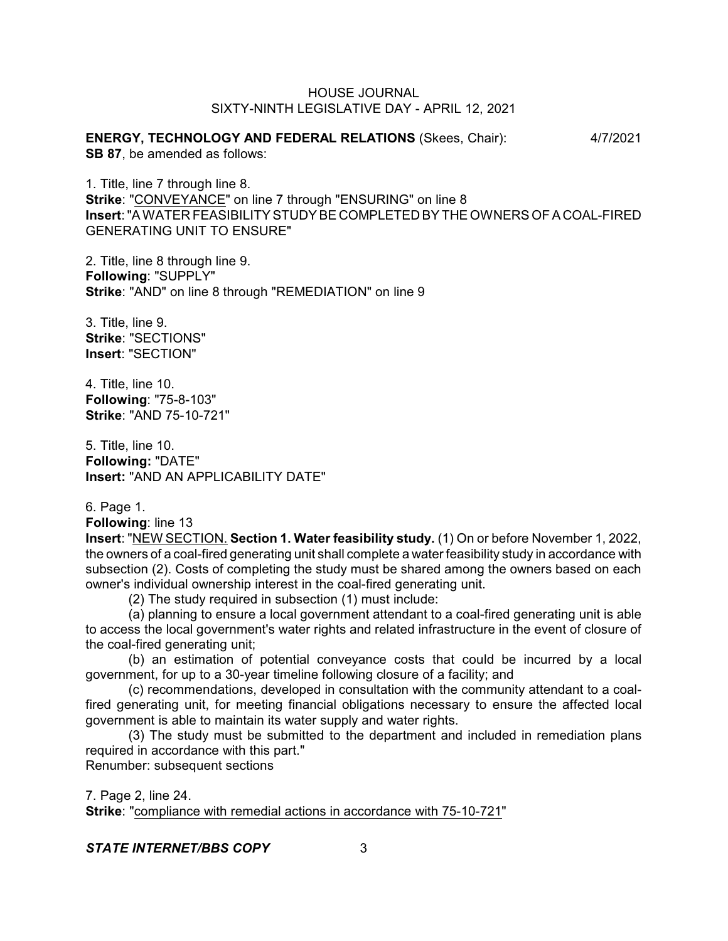**ENERGY, TECHNOLOGY AND FEDERAL RELATIONS** (Skees, Chair): 4/7/2021 **SB 87**, be amended as follows:

1. Title, line 7 through line 8. **Strike**: "CONVEYANCE" on line 7 through "ENSURING" on line 8 **Insert**: "A WATER FEASIBILITY STUDY BE COMPLETED BY THE OWNERS OF A COAL-FIRED GENERATING UNIT TO ENSURE"

2. Title, line 8 through line 9. **Following**: "SUPPLY" **Strike**: "AND" on line 8 through "REMEDIATION" on line 9

3. Title, line 9. **Strike**: "SECTIONS" **Insert**: "SECTION"

4. Title, line 10. **Following**: "75-8-103" **Strike**: "AND 75-10-721"

5. Title, line 10. **Following:** "DATE" **Insert:** "AND AN APPLICABILITY DATE"

6. Page 1.

**Following**: line 13

**Insert**: "NEW SECTION. **Section 1. Water feasibility study.** (1) On or before November 1, 2022, the owners of a coal-fired generating unit shall complete a water feasibility study in accordance with subsection (2). Costs of completing the study must be shared among the owners based on each owner's individual ownership interest in the coal-fired generating unit.

(2) The study required in subsection (1) must include:

(a) planning to ensure a local government attendant to a coal-fired generating unit is able to access the local government's water rights and related infrastructure in the event of closure of the coal-fired generating unit;

(b) an estimation of potential conveyance costs that could be incurred by a local government, for up to a 30-year timeline following closure of a facility; and

(c) recommendations, developed in consultation with the community attendant to a coalfired generating unit, for meeting financial obligations necessary to ensure the affected local government is able to maintain its water supply and water rights.

(3) The study must be submitted to the department and included in remediation plans required in accordance with this part."

Renumber: subsequent sections

7. Page 2, line 24. **Strike**: "compliance with remedial actions in accordance with 75-10-721"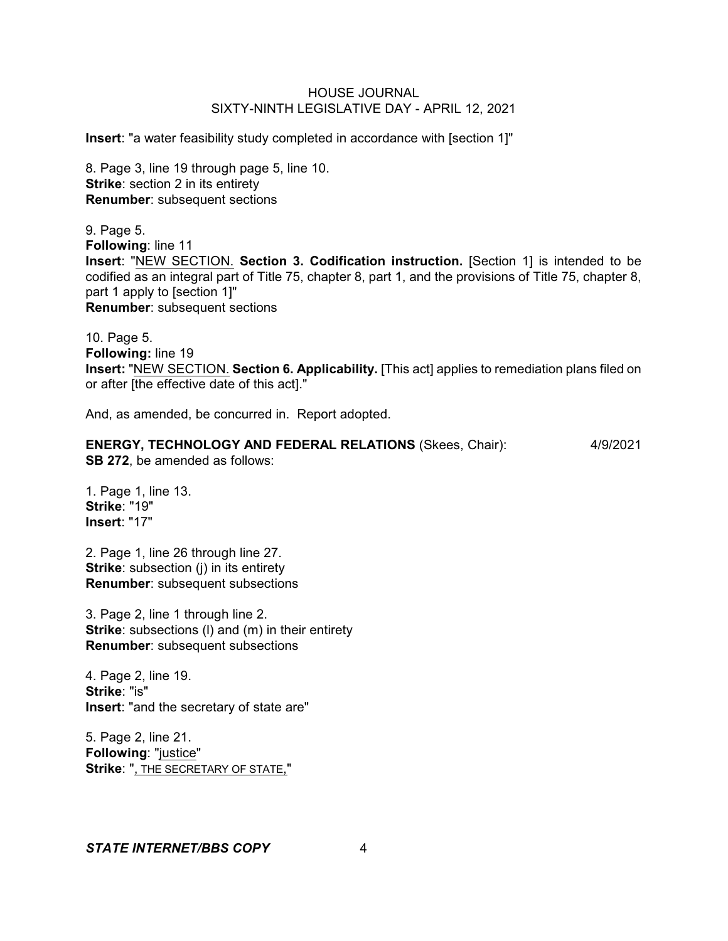**Insert**: "a water feasibility study completed in accordance with [section 1]"

8. Page 3, line 19 through page 5, line 10. **Strike:** section 2 in its entirety **Renumber**: subsequent sections

9. Page 5. **Following**: line 11 **Insert**: "NEW SECTION. **Section 3. Codification instruction.** [Section 1] is intended to be codified as an integral part of Title 75, chapter 8, part 1, and the provisions of Title 75, chapter 8, part 1 apply to [section 1]" **Renumber**: subsequent sections

10. Page 5. **Following:** line 19 **Insert:** "NEW SECTION. **Section 6. Applicability.** [This act] applies to remediation plans filed on or after [the effective date of this act]."

And, as amended, be concurred in. Report adopted.

**ENERGY, TECHNOLOGY AND FEDERAL RELATIONS** (Skees, Chair): 4/9/2021 **SB 272**, be amended as follows:

1. Page 1, line 13. **Strike**: "19" **Insert**: "17"

2. Page 1, line 26 through line 27. **Strike**: subsection (j) in its entirety **Renumber**: subsequent subsections

3. Page 2, line 1 through line 2. **Strike**: subsections (I) and (m) in their entirety **Renumber**: subsequent subsections

4. Page 2, line 19. **Strike**: "is" **Insert**: "and the secretary of state are"

5. Page 2, line 21. **Following**: "justice" **Strike**: ", THE SECRETARY OF STATE,"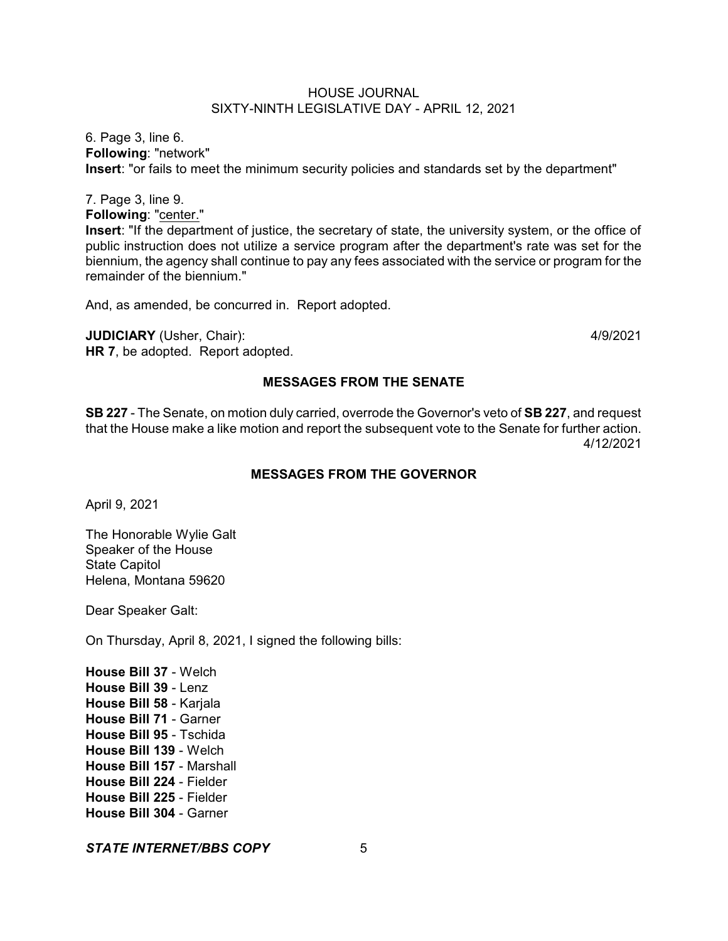6. Page 3, line 6. **Following**: "network" **Insert**: "or fails to meet the minimum security policies and standards set by the department"

7. Page 3, line 9.

**Following**: "center."

**Insert**: "If the department of justice, the secretary of state, the university system, or the office of public instruction does not utilize a service program after the department's rate was set for the biennium, the agency shall continue to pay any fees associated with the service or program for the remainder of the biennium."

And, as amended, be concurred in. Report adopted.

**JUDICIARY** (Usher, Chair): 4/9/2021 **HR 7**, be adopted. Report adopted.

## **MESSAGES FROM THE SENATE**

**SB 227** - The Senate, on motion duly carried, overrode the Governor's veto of **SB 227**, and request that the House make a like motion and report the subsequent vote to the Senate for further action. 4/12/2021

## **MESSAGES FROM THE GOVERNOR**

April 9, 2021

The Honorable Wylie Galt Speaker of the House State Capitol Helena, Montana 59620

Dear Speaker Galt:

On Thursday, April 8, 2021, I signed the following bills:

**House Bill 37** - Welch **House Bill 39** - Lenz **House Bill 58** - Karjala **House Bill 71** - Garner **House Bill 95** - Tschida **House Bill 139** - Welch **House Bill 157** - Marshall **House Bill 224** - Fielder **House Bill 225** - Fielder **House Bill 304** - Garner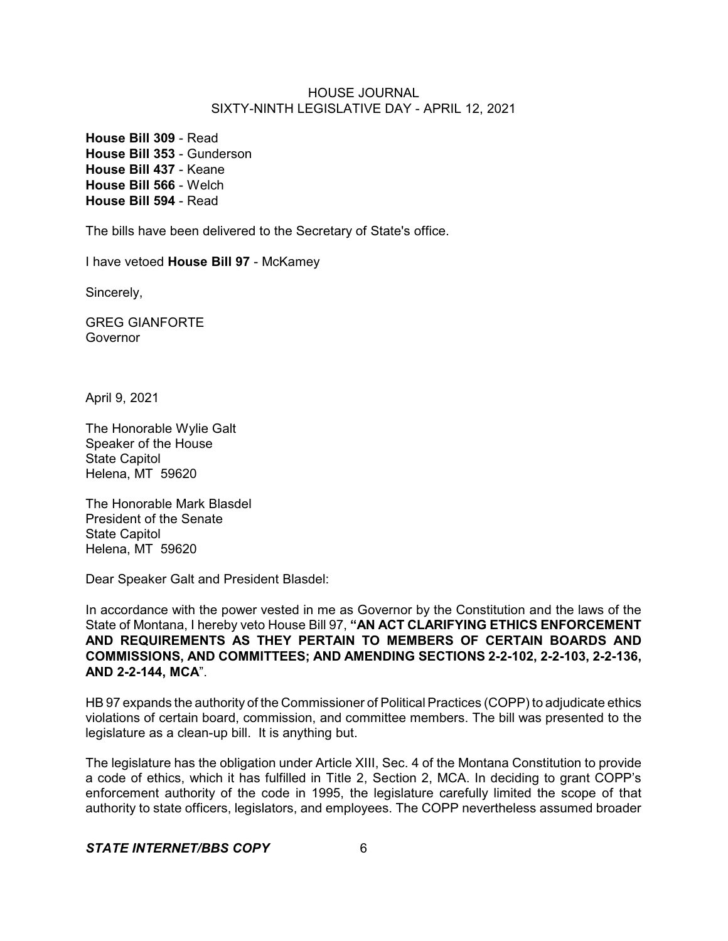**House Bill 309** - Read **House Bill 353** - Gunderson **House Bill 437** - Keane **House Bill 566** - Welch **House Bill 594** - Read

The bills have been delivered to the Secretary of State's office.

I have vetoed **House Bill 97** - McKamey

Sincerely,

GREG GIANFORTE Governor

April 9, 2021

The Honorable Wylie Galt Speaker of the House State Capitol Helena, MT 59620

The Honorable Mark Blasdel President of the Senate State Capitol Helena, MT 59620

Dear Speaker Galt and President Blasdel:

In accordance with the power vested in me as Governor by the Constitution and the laws of the State of Montana, I hereby veto House Bill 97, **"AN ACT CLARIFYING ETHICS ENFORCEMENT AND REQUIREMENTS AS THEY PERTAIN TO MEMBERS OF CERTAIN BOARDS AND COMMISSIONS, AND COMMITTEES; AND AMENDING SECTIONS 2-2-102, 2-2-103, 2-2-136, AND 2-2-144, MCA**".

HB 97 expands the authority of the Commissioner of Political Practices (COPP) to adjudicate ethics violations of certain board, commission, and committee members. The bill was presented to the legislature as a clean-up bill. It is anything but.

The legislature has the obligation under Article XIII, Sec. 4 of the Montana Constitution to provide a code of ethics, which it has fulfilled in Title 2, Section 2, MCA. In deciding to grant COPP's enforcement authority of the code in 1995, the legislature carefully limited the scope of that authority to state officers, legislators, and employees. The COPP nevertheless assumed broader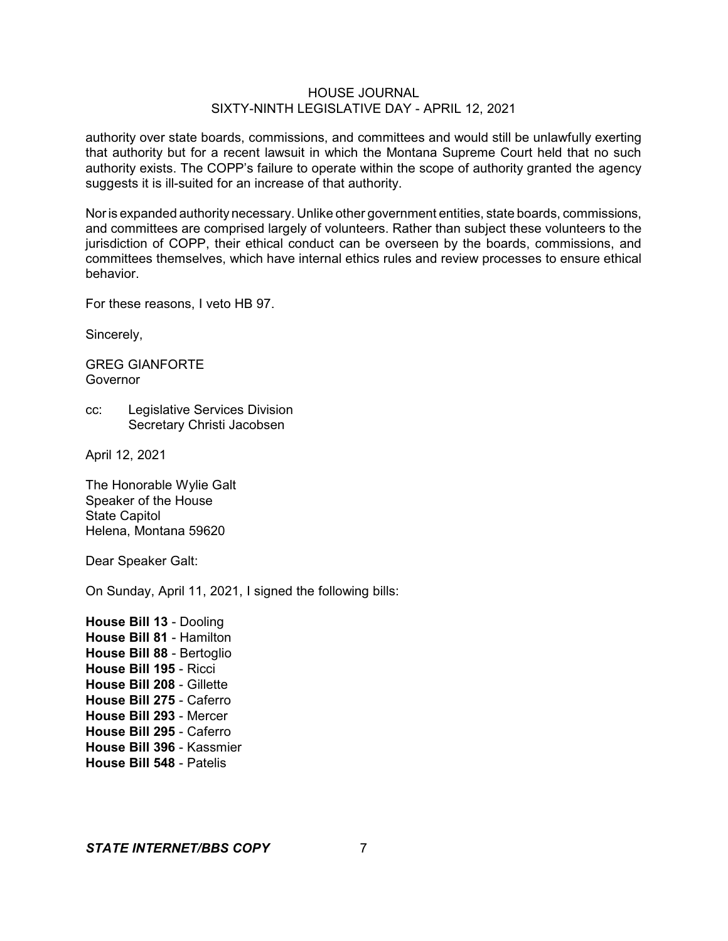authority over state boards, commissions, and committees and would still be unlawfully exerting that authority but for a recent lawsuit in which the Montana Supreme Court held that no such authority exists. The COPP's failure to operate within the scope of authority granted the agency suggests it is ill-suited for an increase of that authority.

Noris expanded authority necessary. Unlike other government entities, state boards, commissions, and committees are comprised largely of volunteers. Rather than subject these volunteers to the jurisdiction of COPP, their ethical conduct can be overseen by the boards, commissions, and committees themselves, which have internal ethics rules and review processes to ensure ethical behavior.

For these reasons, I veto HB 97.

Sincerely,

GREG GIANFORTE **Governor** 

cc: Legislative Services Division Secretary Christi Jacobsen

April 12, 2021

The Honorable Wylie Galt Speaker of the House State Capitol Helena, Montana 59620

Dear Speaker Galt:

On Sunday, April 11, 2021, I signed the following bills:

**House Bill 13** - Dooling **House Bill 81** - Hamilton **House Bill 88** - Bertoglio **House Bill 195** - Ricci **House Bill 208** - Gillette **House Bill 275** - Caferro **House Bill 293** - Mercer **House Bill 295** - Caferro **House Bill 396** - Kassmier **House Bill 548** - Patelis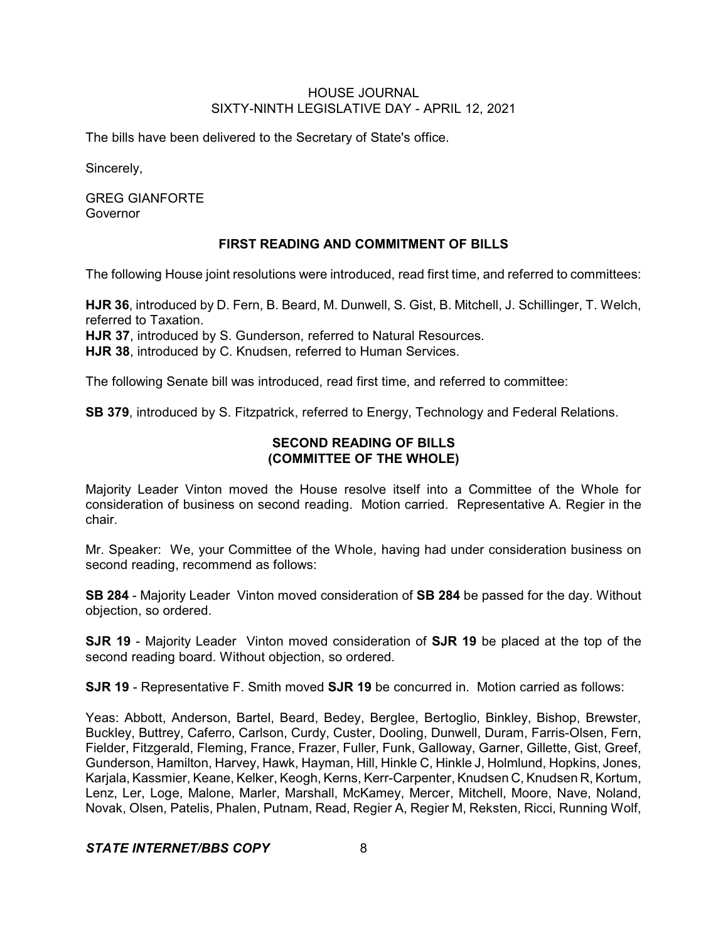The bills have been delivered to the Secretary of State's office.

Sincerely,

GREG GIANFORTE Governor

## **FIRST READING AND COMMITMENT OF BILLS**

The following House joint resolutions were introduced, read first time, and referred to committees:

**HJR 36**, introduced by D. Fern, B. Beard, M. Dunwell, S. Gist, B. Mitchell, J. Schillinger, T. Welch, referred to Taxation.

**HJR 37**, introduced by S. Gunderson, referred to Natural Resources.

**HJR 38**, introduced by C. Knudsen, referred to Human Services.

The following Senate bill was introduced, read first time, and referred to committee:

**SB 379**, introduced by S. Fitzpatrick, referred to Energy, Technology and Federal Relations.

## **SECOND READING OF BILLS (COMMITTEE OF THE WHOLE)**

Majority Leader Vinton moved the House resolve itself into a Committee of the Whole for consideration of business on second reading. Motion carried. Representative A. Regier in the chair.

Mr. Speaker: We, your Committee of the Whole, having had under consideration business on second reading, recommend as follows:

**SB 284** - Majority Leader Vinton moved consideration of **SB 284** be passed for the day. Without objection, so ordered.

**SJR 19** - Majority Leader Vinton moved consideration of **SJR 19** be placed at the top of the second reading board. Without objection, so ordered.

**SJR 19** - Representative F. Smith moved **SJR 19** be concurred in. Motion carried as follows:

Yeas: Abbott, Anderson, Bartel, Beard, Bedey, Berglee, Bertoglio, Binkley, Bishop, Brewster, Buckley, Buttrey, Caferro, Carlson, Curdy, Custer, Dooling, Dunwell, Duram, Farris-Olsen, Fern, Fielder, Fitzgerald, Fleming, France, Frazer, Fuller, Funk, Galloway, Garner, Gillette, Gist, Greef, Gunderson, Hamilton, Harvey, Hawk, Hayman, Hill, Hinkle C, Hinkle J, Holmlund, Hopkins, Jones, Karjala, Kassmier, Keane, Kelker, Keogh, Kerns, Kerr-Carpenter, Knudsen C, Knudsen R, Kortum, Lenz, Ler, Loge, Malone, Marler, Marshall, McKamey, Mercer, Mitchell, Moore, Nave, Noland, Novak, Olsen, Patelis, Phalen, Putnam, Read, Regier A, Regier M, Reksten, Ricci, Running Wolf,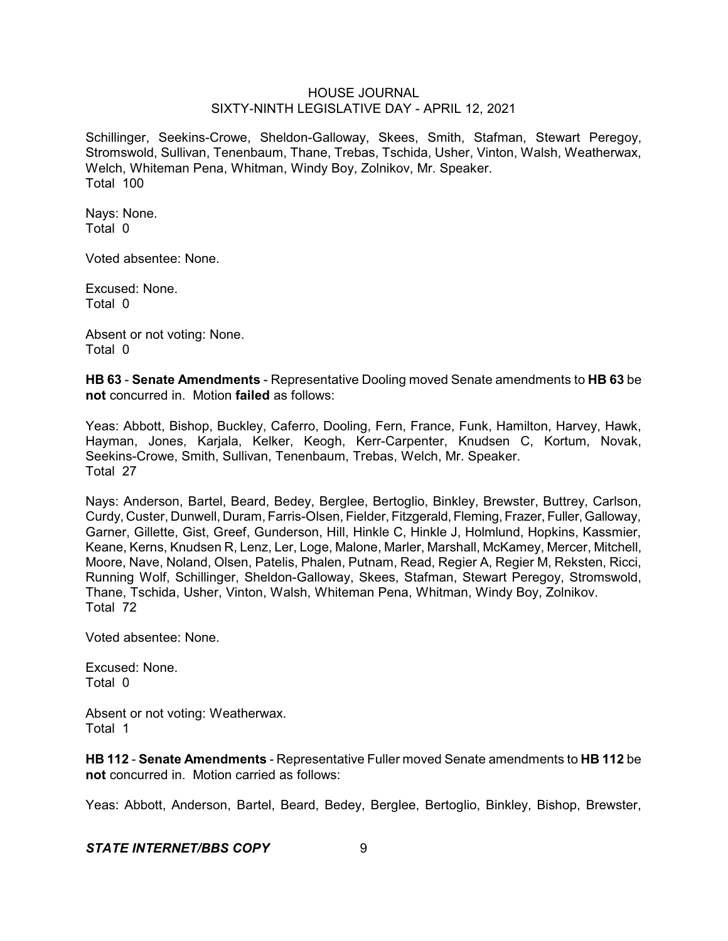Schillinger, Seekins-Crowe, Sheldon-Galloway, Skees, Smith, Stafman, Stewart Peregoy, Stromswold, Sullivan, Tenenbaum, Thane, Trebas, Tschida, Usher, Vinton, Walsh, Weatherwax, Welch, Whiteman Pena, Whitman, Windy Boy, Zolnikov, Mr. Speaker. Total 100

Nays: None. Total 0

Voted absentee: None.

Excused: None. Total 0

Absent or not voting: None. Total 0

**HB 63** - **Senate Amendments** - Representative Dooling moved Senate amendments to **HB 63** be **not** concurred in. Motion **failed** as follows:

Yeas: Abbott, Bishop, Buckley, Caferro, Dooling, Fern, France, Funk, Hamilton, Harvey, Hawk, Hayman, Jones, Karjala, Kelker, Keogh, Kerr-Carpenter, Knudsen C, Kortum, Novak, Seekins-Crowe, Smith, Sullivan, Tenenbaum, Trebas, Welch, Mr. Speaker. Total 27

Nays: Anderson, Bartel, Beard, Bedey, Berglee, Bertoglio, Binkley, Brewster, Buttrey, Carlson, Curdy, Custer, Dunwell, Duram, Farris-Olsen, Fielder, Fitzgerald, Fleming, Frazer, Fuller,Galloway, Garner, Gillette, Gist, Greef, Gunderson, Hill, Hinkle C, Hinkle J, Holmlund, Hopkins, Kassmier, Keane, Kerns, Knudsen R, Lenz, Ler, Loge, Malone, Marler, Marshall, McKamey, Mercer, Mitchell, Moore, Nave, Noland, Olsen, Patelis, Phalen, Putnam, Read, Regier A, Regier M, Reksten, Ricci, Running Wolf, Schillinger, Sheldon-Galloway, Skees, Stafman, Stewart Peregoy, Stromswold, Thane, Tschida, Usher, Vinton, Walsh, Whiteman Pena, Whitman, Windy Boy, Zolnikov. Total 72

Voted absentee: None.

Excused: None. Total 0

Absent or not voting: Weatherwax. Total 1

**HB 112** - **Senate Amendments** - Representative Fuller moved Senate amendments to **HB 112** be **not** concurred in. Motion carried as follows:

Yeas: Abbott, Anderson, Bartel, Beard, Bedey, Berglee, Bertoglio, Binkley, Bishop, Brewster,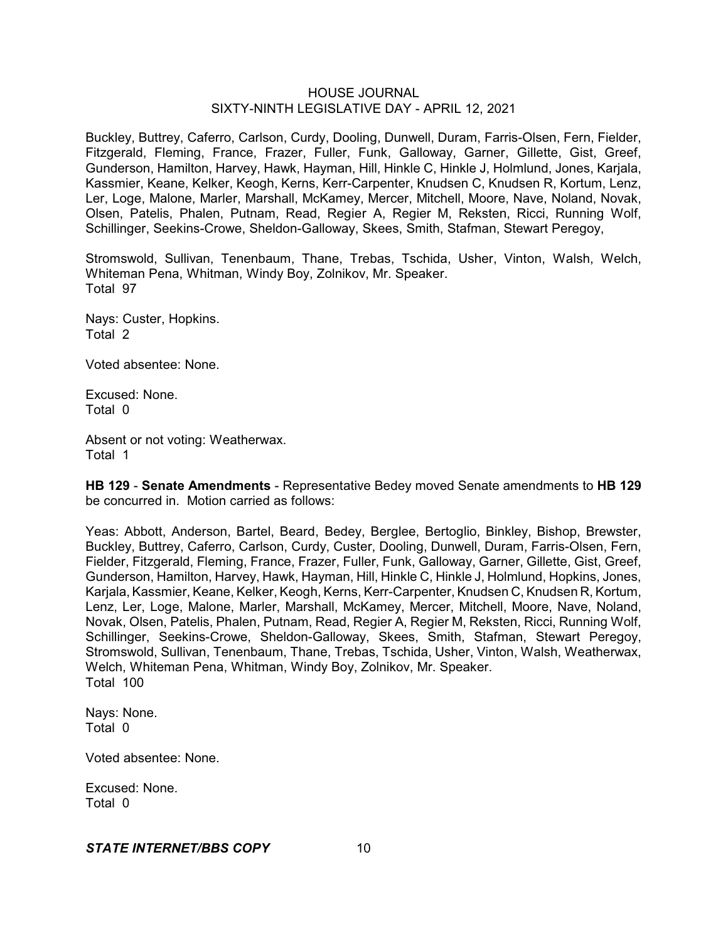Buckley, Buttrey, Caferro, Carlson, Curdy, Dooling, Dunwell, Duram, Farris-Olsen, Fern, Fielder, Fitzgerald, Fleming, France, Frazer, Fuller, Funk, Galloway, Garner, Gillette, Gist, Greef, Gunderson, Hamilton, Harvey, Hawk, Hayman, Hill, Hinkle C, Hinkle J, Holmlund, Jones, Karjala, Kassmier, Keane, Kelker, Keogh, Kerns, Kerr-Carpenter, Knudsen C, Knudsen R, Kortum, Lenz, Ler, Loge, Malone, Marler, Marshall, McKamey, Mercer, Mitchell, Moore, Nave, Noland, Novak, Olsen, Patelis, Phalen, Putnam, Read, Regier A, Regier M, Reksten, Ricci, Running Wolf, Schillinger, Seekins-Crowe, Sheldon-Galloway, Skees, Smith, Stafman, Stewart Peregoy,

Stromswold, Sullivan, Tenenbaum, Thane, Trebas, Tschida, Usher, Vinton, Walsh, Welch, Whiteman Pena, Whitman, Windy Boy, Zolnikov, Mr. Speaker. Total 97

Nays: Custer, Hopkins. Total 2

Voted absentee: None.

Excused: None. Total 0

Absent or not voting: Weatherwax. Total 1

**HB 129** - **Senate Amendments** - Representative Bedey moved Senate amendments to **HB 129** be concurred in. Motion carried as follows:

Yeas: Abbott, Anderson, Bartel, Beard, Bedey, Berglee, Bertoglio, Binkley, Bishop, Brewster, Buckley, Buttrey, Caferro, Carlson, Curdy, Custer, Dooling, Dunwell, Duram, Farris-Olsen, Fern, Fielder, Fitzgerald, Fleming, France, Frazer, Fuller, Funk, Galloway, Garner, Gillette, Gist, Greef, Gunderson, Hamilton, Harvey, Hawk, Hayman, Hill, Hinkle C, Hinkle J, Holmlund, Hopkins, Jones, Karjala, Kassmier, Keane, Kelker, Keogh, Kerns, Kerr-Carpenter, Knudsen C, Knudsen R, Kortum, Lenz, Ler, Loge, Malone, Marler, Marshall, McKamey, Mercer, Mitchell, Moore, Nave, Noland, Novak, Olsen, Patelis, Phalen, Putnam, Read, Regier A, Regier M, Reksten, Ricci, Running Wolf, Schillinger, Seekins-Crowe, Sheldon-Galloway, Skees, Smith, Stafman, Stewart Peregoy, Stromswold, Sullivan, Tenenbaum, Thane, Trebas, Tschida, Usher, Vinton, Walsh, Weatherwax, Welch, Whiteman Pena, Whitman, Windy Boy, Zolnikov, Mr. Speaker. Total 100

Nays: None. Total 0

Voted absentee: None.

Excused: None. Total 0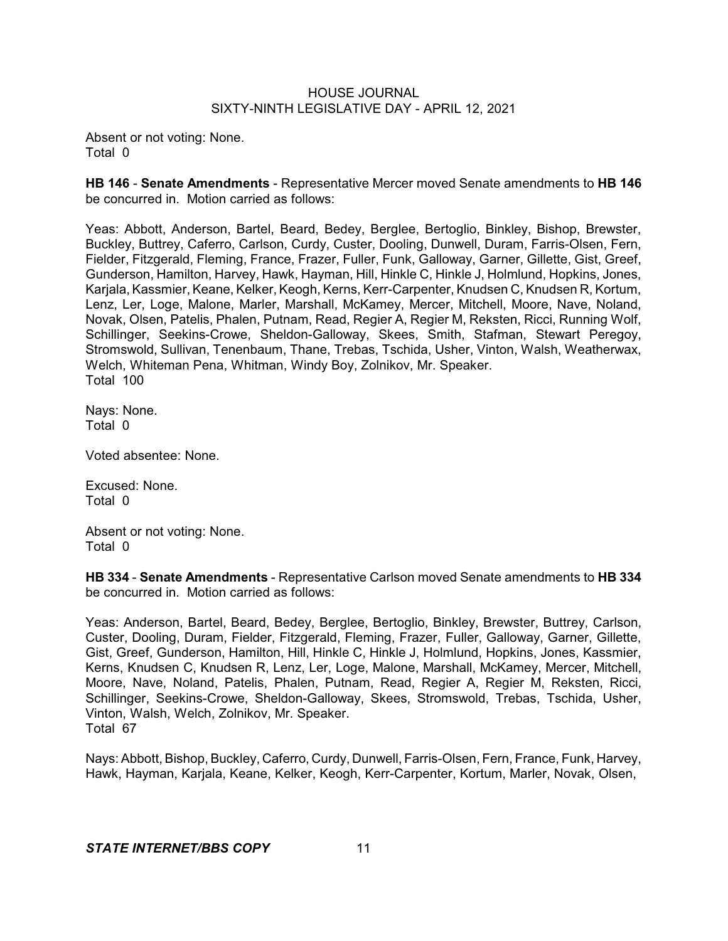Absent or not voting: None. Total 0

**HB 146** - **Senate Amendments** - Representative Mercer moved Senate amendments to **HB 146** be concurred in. Motion carried as follows:

Yeas: Abbott, Anderson, Bartel, Beard, Bedey, Berglee, Bertoglio, Binkley, Bishop, Brewster, Buckley, Buttrey, Caferro, Carlson, Curdy, Custer, Dooling, Dunwell, Duram, Farris-Olsen, Fern, Fielder, Fitzgerald, Fleming, France, Frazer, Fuller, Funk, Galloway, Garner, Gillette, Gist, Greef, Gunderson, Hamilton, Harvey, Hawk, Hayman, Hill, Hinkle C, Hinkle J, Holmlund, Hopkins, Jones, Karjala, Kassmier, Keane, Kelker, Keogh, Kerns, Kerr-Carpenter, Knudsen C, Knudsen R, Kortum, Lenz, Ler, Loge, Malone, Marler, Marshall, McKamey, Mercer, Mitchell, Moore, Nave, Noland, Novak, Olsen, Patelis, Phalen, Putnam, Read, Regier A, Regier M, Reksten, Ricci, Running Wolf, Schillinger, Seekins-Crowe, Sheldon-Galloway, Skees, Smith, Stafman, Stewart Peregoy, Stromswold, Sullivan, Tenenbaum, Thane, Trebas, Tschida, Usher, Vinton, Walsh, Weatherwax, Welch, Whiteman Pena, Whitman, Windy Boy, Zolnikov, Mr. Speaker. Total 100

Nays: None. Total 0

Voted absentee: None.

Excused: None. Total 0

Absent or not voting: None. Total 0

**HB 334** - **Senate Amendments** - Representative Carlson moved Senate amendments to **HB 334** be concurred in. Motion carried as follows:

Yeas: Anderson, Bartel, Beard, Bedey, Berglee, Bertoglio, Binkley, Brewster, Buttrey, Carlson, Custer, Dooling, Duram, Fielder, Fitzgerald, Fleming, Frazer, Fuller, Galloway, Garner, Gillette, Gist, Greef, Gunderson, Hamilton, Hill, Hinkle C, Hinkle J, Holmlund, Hopkins, Jones, Kassmier, Kerns, Knudsen C, Knudsen R, Lenz, Ler, Loge, Malone, Marshall, McKamey, Mercer, Mitchell, Moore, Nave, Noland, Patelis, Phalen, Putnam, Read, Regier A, Regier M, Reksten, Ricci, Schillinger, Seekins-Crowe, Sheldon-Galloway, Skees, Stromswold, Trebas, Tschida, Usher, Vinton, Walsh, Welch, Zolnikov, Mr. Speaker. Total 67

Nays: Abbott, Bishop, Buckley, Caferro, Curdy, Dunwell, Farris-Olsen, Fern, France, Funk, Harvey, Hawk, Hayman, Karjala, Keane, Kelker, Keogh, Kerr-Carpenter, Kortum, Marler, Novak, Olsen,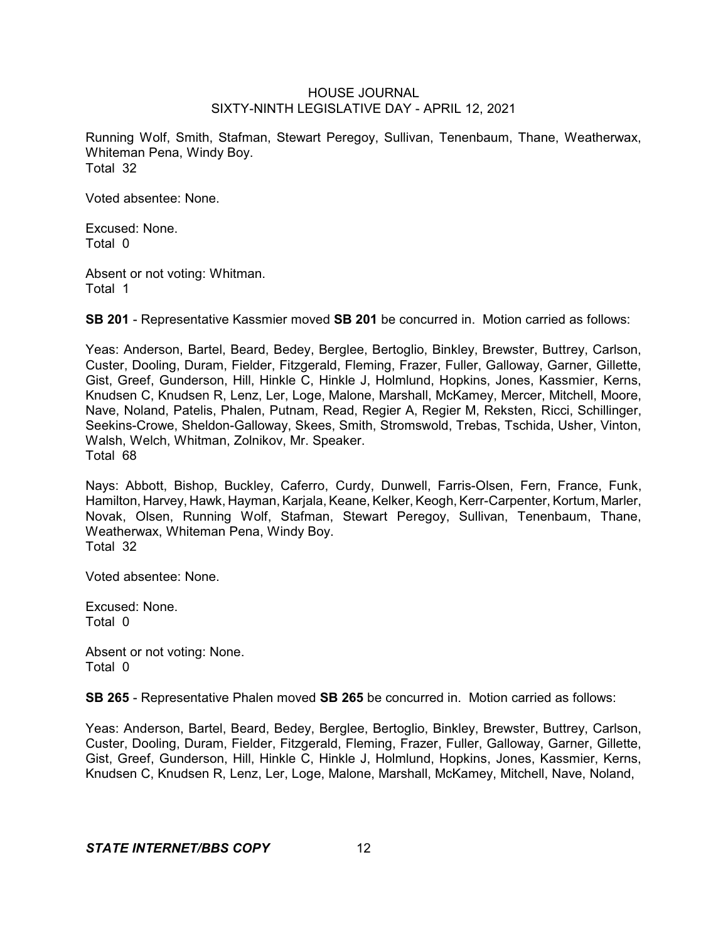Running Wolf, Smith, Stafman, Stewart Peregoy, Sullivan, Tenenbaum, Thane, Weatherwax, Whiteman Pena, Windy Boy. Total 32

Voted absentee: None.

Excused: None. Total 0

Absent or not voting: Whitman. Total 1

**SB 201** - Representative Kassmier moved **SB 201** be concurred in. Motion carried as follows:

Yeas: Anderson, Bartel, Beard, Bedey, Berglee, Bertoglio, Binkley, Brewster, Buttrey, Carlson, Custer, Dooling, Duram, Fielder, Fitzgerald, Fleming, Frazer, Fuller, Galloway, Garner, Gillette, Gist, Greef, Gunderson, Hill, Hinkle C, Hinkle J, Holmlund, Hopkins, Jones, Kassmier, Kerns, Knudsen C, Knudsen R, Lenz, Ler, Loge, Malone, Marshall, McKamey, Mercer, Mitchell, Moore, Nave, Noland, Patelis, Phalen, Putnam, Read, Regier A, Regier M, Reksten, Ricci, Schillinger, Seekins-Crowe, Sheldon-Galloway, Skees, Smith, Stromswold, Trebas, Tschida, Usher, Vinton, Walsh, Welch, Whitman, Zolnikov, Mr. Speaker. Total 68

Nays: Abbott, Bishop, Buckley, Caferro, Curdy, Dunwell, Farris-Olsen, Fern, France, Funk, Hamilton, Harvey, Hawk, Hayman, Karjala, Keane, Kelker, Keogh, Kerr-Carpenter, Kortum, Marler, Novak, Olsen, Running Wolf, Stafman, Stewart Peregoy, Sullivan, Tenenbaum, Thane, Weatherwax, Whiteman Pena, Windy Boy. Total 32

Voted absentee: None.

Excused: None. Total 0

Absent or not voting: None. Total 0

**SB 265** - Representative Phalen moved **SB 265** be concurred in. Motion carried as follows:

Yeas: Anderson, Bartel, Beard, Bedey, Berglee, Bertoglio, Binkley, Brewster, Buttrey, Carlson, Custer, Dooling, Duram, Fielder, Fitzgerald, Fleming, Frazer, Fuller, Galloway, Garner, Gillette, Gist, Greef, Gunderson, Hill, Hinkle C, Hinkle J, Holmlund, Hopkins, Jones, Kassmier, Kerns, Knudsen C, Knudsen R, Lenz, Ler, Loge, Malone, Marshall, McKamey, Mitchell, Nave, Noland,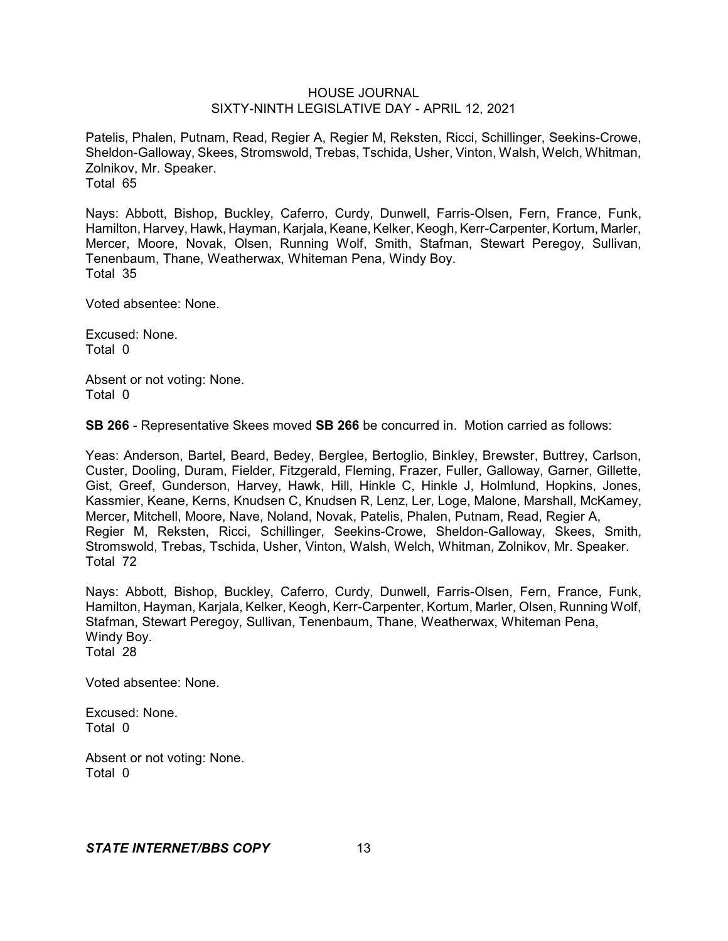Patelis, Phalen, Putnam, Read, Regier A, Regier M, Reksten, Ricci, Schillinger, Seekins-Crowe, Sheldon-Galloway, Skees, Stromswold, Trebas, Tschida, Usher, Vinton, Walsh, Welch, Whitman, Zolnikov, Mr. Speaker. Total 65

Nays: Abbott, Bishop, Buckley, Caferro, Curdy, Dunwell, Farris-Olsen, Fern, France, Funk, Hamilton, Harvey, Hawk, Hayman, Karjala, Keane, Kelker, Keogh, Kerr-Carpenter, Kortum, Marler, Mercer, Moore, Novak, Olsen, Running Wolf, Smith, Stafman, Stewart Peregoy, Sullivan, Tenenbaum, Thane, Weatherwax, Whiteman Pena, Windy Boy. Total 35

Voted absentee: None.

Excused: None. Total 0

Absent or not voting: None. Total 0

**SB 266** - Representative Skees moved **SB 266** be concurred in. Motion carried as follows:

Yeas: Anderson, Bartel, Beard, Bedey, Berglee, Bertoglio, Binkley, Brewster, Buttrey, Carlson, Custer, Dooling, Duram, Fielder, Fitzgerald, Fleming, Frazer, Fuller, Galloway, Garner, Gillette, Gist, Greef, Gunderson, Harvey, Hawk, Hill, Hinkle C, Hinkle J, Holmlund, Hopkins, Jones, Kassmier, Keane, Kerns, Knudsen C, Knudsen R, Lenz, Ler, Loge, Malone, Marshall, McKamey, Mercer, Mitchell, Moore, Nave, Noland, Novak, Patelis, Phalen, Putnam, Read, Regier A, Regier M, Reksten, Ricci, Schillinger, Seekins-Crowe, Sheldon-Galloway, Skees, Smith, Stromswold, Trebas, Tschida, Usher, Vinton, Walsh, Welch, Whitman, Zolnikov, Mr. Speaker. Total 72

Nays: Abbott, Bishop, Buckley, Caferro, Curdy, Dunwell, Farris-Olsen, Fern, France, Funk, Hamilton, Hayman, Karjala, Kelker, Keogh, Kerr-Carpenter, Kortum, Marler, Olsen, Running Wolf, Stafman, Stewart Peregoy, Sullivan, Tenenbaum, Thane, Weatherwax, Whiteman Pena, Windy Boy. Total 28

Voted absentee: None.

Excused: None. Total 0

Absent or not voting: None. Total 0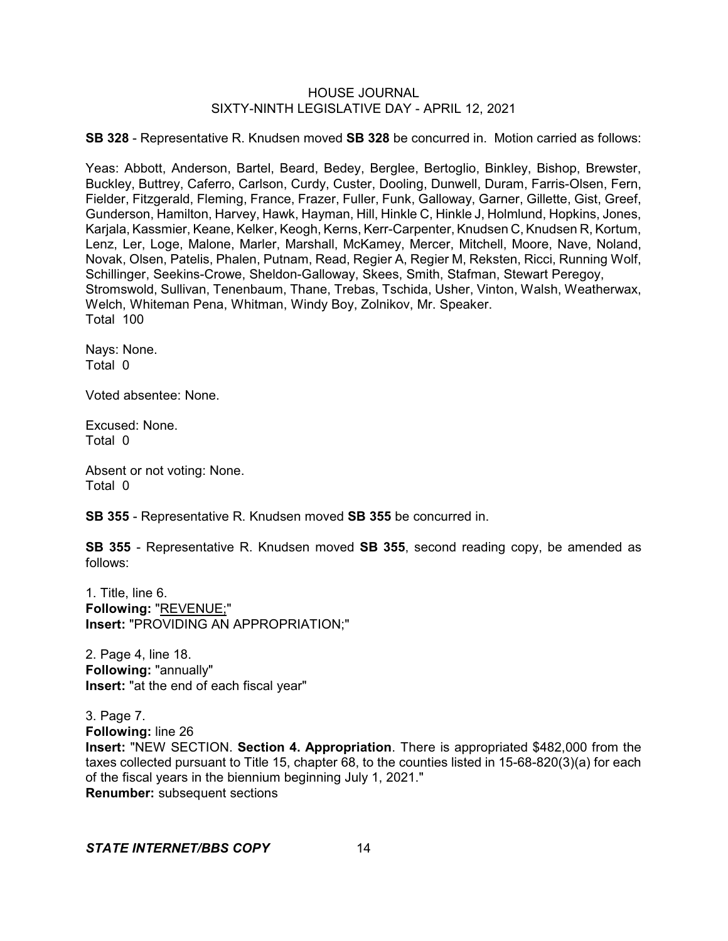**SB 328** - Representative R. Knudsen moved **SB 328** be concurred in. Motion carried as follows:

Yeas: Abbott, Anderson, Bartel, Beard, Bedey, Berglee, Bertoglio, Binkley, Bishop, Brewster, Buckley, Buttrey, Caferro, Carlson, Curdy, Custer, Dooling, Dunwell, Duram, Farris-Olsen, Fern, Fielder, Fitzgerald, Fleming, France, Frazer, Fuller, Funk, Galloway, Garner, Gillette, Gist, Greef, Gunderson, Hamilton, Harvey, Hawk, Hayman, Hill, Hinkle C, Hinkle J, Holmlund, Hopkins, Jones, Karjala, Kassmier, Keane, Kelker, Keogh, Kerns, Kerr-Carpenter, Knudsen C, Knudsen R, Kortum, Lenz, Ler, Loge, Malone, Marler, Marshall, McKamey, Mercer, Mitchell, Moore, Nave, Noland, Novak, Olsen, Patelis, Phalen, Putnam, Read, Regier A, Regier M, Reksten, Ricci, Running Wolf, Schillinger, Seekins-Crowe, Sheldon-Galloway, Skees, Smith, Stafman, Stewart Peregoy, Stromswold, Sullivan, Tenenbaum, Thane, Trebas, Tschida, Usher, Vinton, Walsh, Weatherwax, Welch, Whiteman Pena, Whitman, Windy Boy, Zolnikov, Mr. Speaker. Total 100

Nays: None. Total 0

Voted absentee: None.

Excused: None. Total 0

Absent or not voting: None. Total 0

**SB 355** - Representative R. Knudsen moved **SB 355** be concurred in.

**SB 355** - Representative R. Knudsen moved **SB 355**, second reading copy, be amended as follows:

1. Title, line 6. **Following:** "REVENUE;" **Insert:** "PROVIDING AN APPROPRIATION;"

2. Page 4, line 18. **Following:** "annually" **Insert:** "at the end of each fiscal year"

3. Page 7.

**Following:** line 26

**Insert:** "NEW SECTION. **Section 4. Appropriation**. There is appropriated \$482,000 from the taxes collected pursuant to Title 15, chapter 68, to the counties listed in 15-68-820(3)(a) for each of the fiscal years in the biennium beginning July 1, 2021." **Renumber:** subsequent sections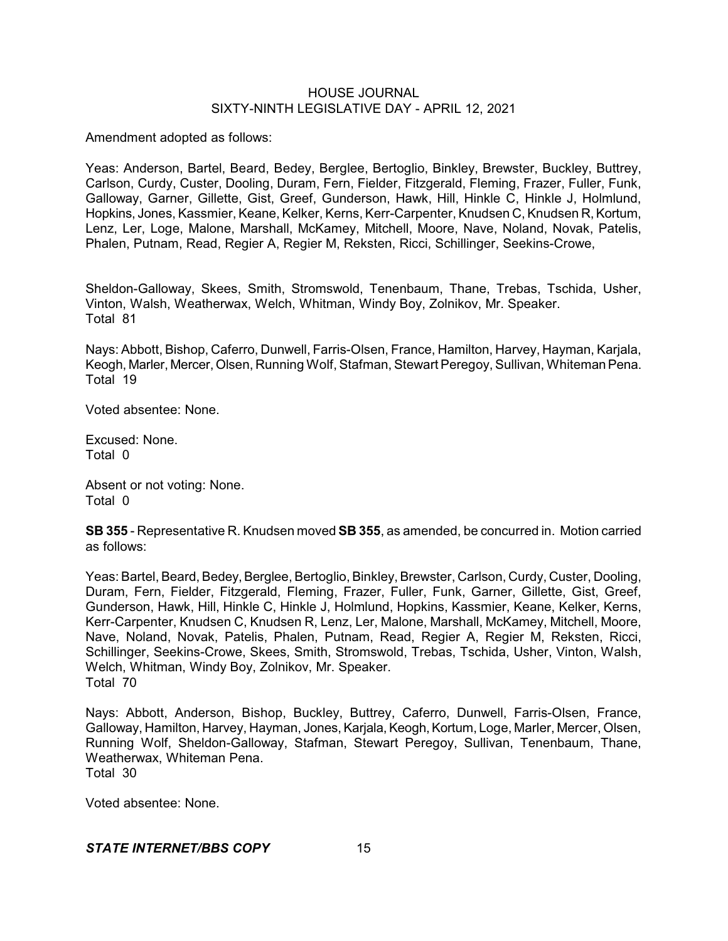Amendment adopted as follows:

Yeas: Anderson, Bartel, Beard, Bedey, Berglee, Bertoglio, Binkley, Brewster, Buckley, Buttrey, Carlson, Curdy, Custer, Dooling, Duram, Fern, Fielder, Fitzgerald, Fleming, Frazer, Fuller, Funk, Galloway, Garner, Gillette, Gist, Greef, Gunderson, Hawk, Hill, Hinkle C, Hinkle J, Holmlund, Hopkins, Jones, Kassmier, Keane, Kelker, Kerns, Kerr-Carpenter, Knudsen C, Knudsen R,Kortum, Lenz, Ler, Loge, Malone, Marshall, McKamey, Mitchell, Moore, Nave, Noland, Novak, Patelis, Phalen, Putnam, Read, Regier A, Regier M, Reksten, Ricci, Schillinger, Seekins-Crowe,

Sheldon-Galloway, Skees, Smith, Stromswold, Tenenbaum, Thane, Trebas, Tschida, Usher, Vinton, Walsh, Weatherwax, Welch, Whitman, Windy Boy, Zolnikov, Mr. Speaker. Total 81

Nays: Abbott, Bishop, Caferro, Dunwell, Farris-Olsen, France, Hamilton, Harvey, Hayman, Karjala, Keogh, Marler, Mercer, Olsen, Running Wolf, Stafman, Stewart Peregoy, Sullivan, Whiteman Pena. Total 19

Voted absentee: None.

Excused: None. Total 0

Absent or not voting: None. Total 0

**SB 355** - Representative R. Knudsen moved **SB 355**, as amended, be concurred in. Motion carried as follows:

Yeas: Bartel, Beard, Bedey, Berglee, Bertoglio, Binkley, Brewster, Carlson, Curdy, Custer, Dooling, Duram, Fern, Fielder, Fitzgerald, Fleming, Frazer, Fuller, Funk, Garner, Gillette, Gist, Greef, Gunderson, Hawk, Hill, Hinkle C, Hinkle J, Holmlund, Hopkins, Kassmier, Keane, Kelker, Kerns, Kerr-Carpenter, Knudsen C, Knudsen R, Lenz, Ler, Malone, Marshall, McKamey, Mitchell, Moore, Nave, Noland, Novak, Patelis, Phalen, Putnam, Read, Regier A, Regier M, Reksten, Ricci, Schillinger, Seekins-Crowe, Skees, Smith, Stromswold, Trebas, Tschida, Usher, Vinton, Walsh, Welch, Whitman, Windy Boy, Zolnikov, Mr. Speaker. Total 70

Nays: Abbott, Anderson, Bishop, Buckley, Buttrey, Caferro, Dunwell, Farris-Olsen, France, Galloway, Hamilton, Harvey, Hayman, Jones, Karjala, Keogh, Kortum, Loge, Marler, Mercer, Olsen, Running Wolf, Sheldon-Galloway, Stafman, Stewart Peregoy, Sullivan, Tenenbaum, Thane, Weatherwax, Whiteman Pena. Total 30

Voted absentee: None.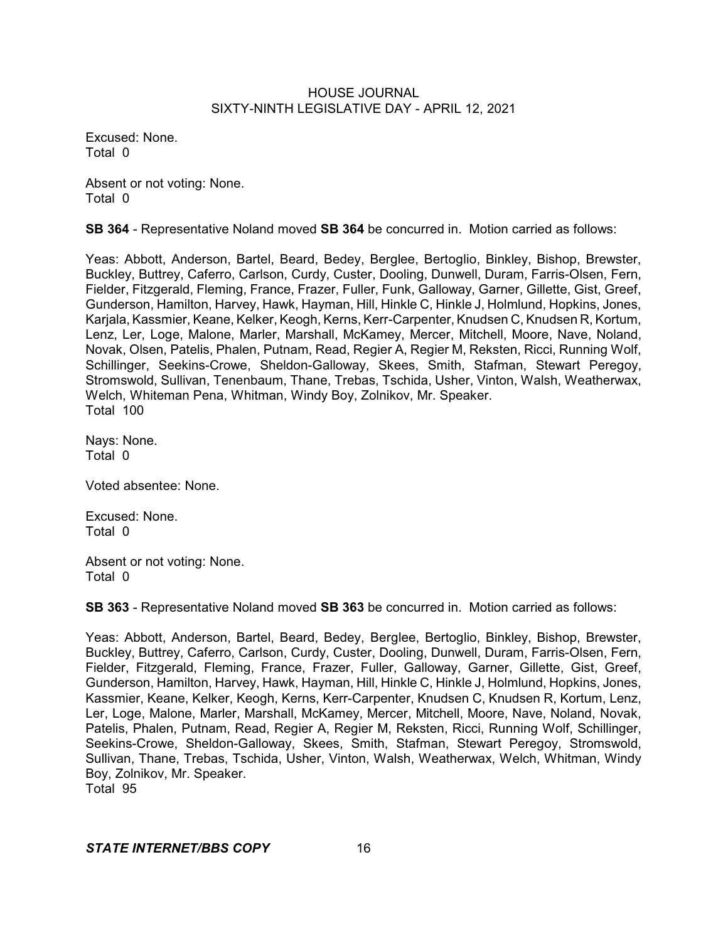Excused: None. Total 0

Absent or not voting: None. Total 0

**SB 364** - Representative Noland moved **SB 364** be concurred in. Motion carried as follows:

Yeas: Abbott, Anderson, Bartel, Beard, Bedey, Berglee, Bertoglio, Binkley, Bishop, Brewster, Buckley, Buttrey, Caferro, Carlson, Curdy, Custer, Dooling, Dunwell, Duram, Farris-Olsen, Fern, Fielder, Fitzgerald, Fleming, France, Frazer, Fuller, Funk, Galloway, Garner, Gillette, Gist, Greef, Gunderson, Hamilton, Harvey, Hawk, Hayman, Hill, Hinkle C, Hinkle J, Holmlund, Hopkins, Jones, Karjala, Kassmier, Keane, Kelker, Keogh, Kerns, Kerr-Carpenter, Knudsen C, Knudsen R, Kortum, Lenz, Ler, Loge, Malone, Marler, Marshall, McKamey, Mercer, Mitchell, Moore, Nave, Noland, Novak, Olsen, Patelis, Phalen, Putnam, Read, Regier A, Regier M, Reksten, Ricci, Running Wolf, Schillinger, Seekins-Crowe, Sheldon-Galloway, Skees, Smith, Stafman, Stewart Peregoy, Stromswold, Sullivan, Tenenbaum, Thane, Trebas, Tschida, Usher, Vinton, Walsh, Weatherwax, Welch, Whiteman Pena, Whitman, Windy Boy, Zolnikov, Mr. Speaker. Total 100

Nays: None. Total 0

Voted absentee: None.

Excused: None. Total 0

Absent or not voting: None. Total 0

**SB 363** - Representative Noland moved **SB 363** be concurred in. Motion carried as follows:

Yeas: Abbott, Anderson, Bartel, Beard, Bedey, Berglee, Bertoglio, Binkley, Bishop, Brewster, Buckley, Buttrey, Caferro, Carlson, Curdy, Custer, Dooling, Dunwell, Duram, Farris-Olsen, Fern, Fielder, Fitzgerald, Fleming, France, Frazer, Fuller, Galloway, Garner, Gillette, Gist, Greef, Gunderson, Hamilton, Harvey, Hawk, Hayman, Hill, Hinkle C, Hinkle J, Holmlund, Hopkins, Jones, Kassmier, Keane, Kelker, Keogh, Kerns, Kerr-Carpenter, Knudsen C, Knudsen R, Kortum, Lenz, Ler, Loge, Malone, Marler, Marshall, McKamey, Mercer, Mitchell, Moore, Nave, Noland, Novak, Patelis, Phalen, Putnam, Read, Regier A, Regier M, Reksten, Ricci, Running Wolf, Schillinger, Seekins-Crowe, Sheldon-Galloway, Skees, Smith, Stafman, Stewart Peregoy, Stromswold, Sullivan, Thane, Trebas, Tschida, Usher, Vinton, Walsh, Weatherwax, Welch, Whitman, Windy Boy, Zolnikov, Mr. Speaker. Total 95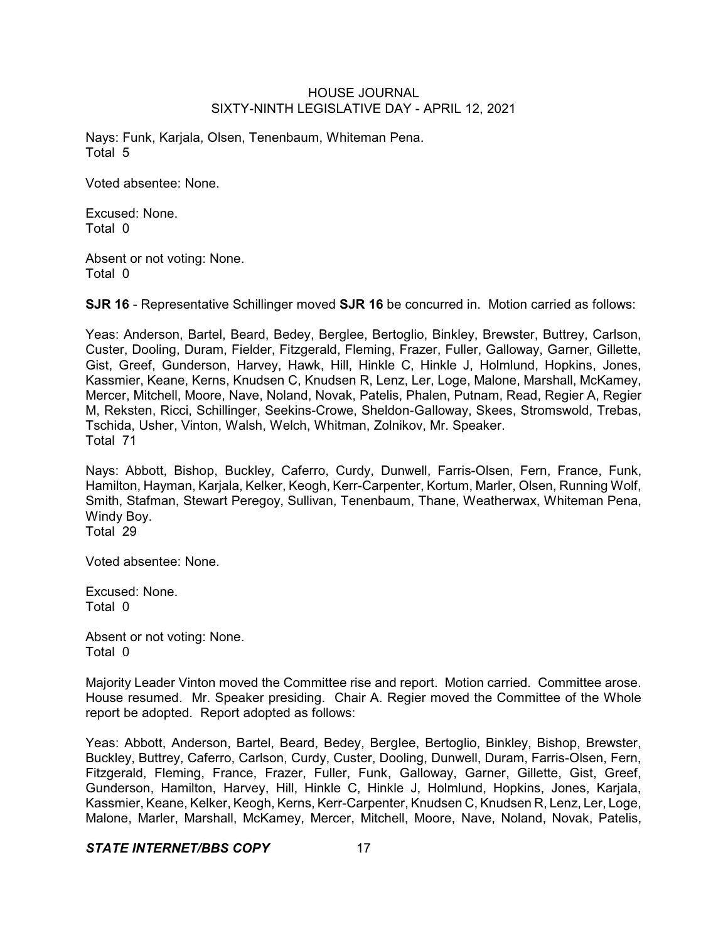Nays: Funk, Karjala, Olsen, Tenenbaum, Whiteman Pena. Total 5

Voted absentee: None.

Excused: None. Total 0

Absent or not voting: None. Total 0

**SJR 16** - Representative Schillinger moved **SJR 16** be concurred in. Motion carried as follows:

Yeas: Anderson, Bartel, Beard, Bedey, Berglee, Bertoglio, Binkley, Brewster, Buttrey, Carlson, Custer, Dooling, Duram, Fielder, Fitzgerald, Fleming, Frazer, Fuller, Galloway, Garner, Gillette, Gist, Greef, Gunderson, Harvey, Hawk, Hill, Hinkle C, Hinkle J, Holmlund, Hopkins, Jones, Kassmier, Keane, Kerns, Knudsen C, Knudsen R, Lenz, Ler, Loge, Malone, Marshall, McKamey, Mercer, Mitchell, Moore, Nave, Noland, Novak, Patelis, Phalen, Putnam, Read, Regier A, Regier M, Reksten, Ricci, Schillinger, Seekins-Crowe, Sheldon-Galloway, Skees, Stromswold, Trebas, Tschida, Usher, Vinton, Walsh, Welch, Whitman, Zolnikov, Mr. Speaker. Total 71

Nays: Abbott, Bishop, Buckley, Caferro, Curdy, Dunwell, Farris-Olsen, Fern, France, Funk, Hamilton, Hayman, Karjala, Kelker, Keogh, Kerr-Carpenter, Kortum, Marler, Olsen, Running Wolf, Smith, Stafman, Stewart Peregoy, Sullivan, Tenenbaum, Thane, Weatherwax, Whiteman Pena, Windy Boy. Total 29

Excused: None.

Voted absentee: None.

Total 0

Absent or not voting: None. Total 0

Majority Leader Vinton moved the Committee rise and report. Motion carried. Committee arose. House resumed. Mr. Speaker presiding. Chair A. Regier moved the Committee of the Whole report be adopted. Report adopted as follows:

Yeas: Abbott, Anderson, Bartel, Beard, Bedey, Berglee, Bertoglio, Binkley, Bishop, Brewster, Buckley, Buttrey, Caferro, Carlson, Curdy, Custer, Dooling, Dunwell, Duram, Farris-Olsen, Fern, Fitzgerald, Fleming, France, Frazer, Fuller, Funk, Galloway, Garner, Gillette, Gist, Greef, Gunderson, Hamilton, Harvey, Hill, Hinkle C, Hinkle J, Holmlund, Hopkins, Jones, Karjala, Kassmier, Keane, Kelker, Keogh, Kerns, Kerr-Carpenter, Knudsen C, Knudsen R, Lenz, Ler, Loge, Malone, Marler, Marshall, McKamey, Mercer, Mitchell, Moore, Nave, Noland, Novak, Patelis,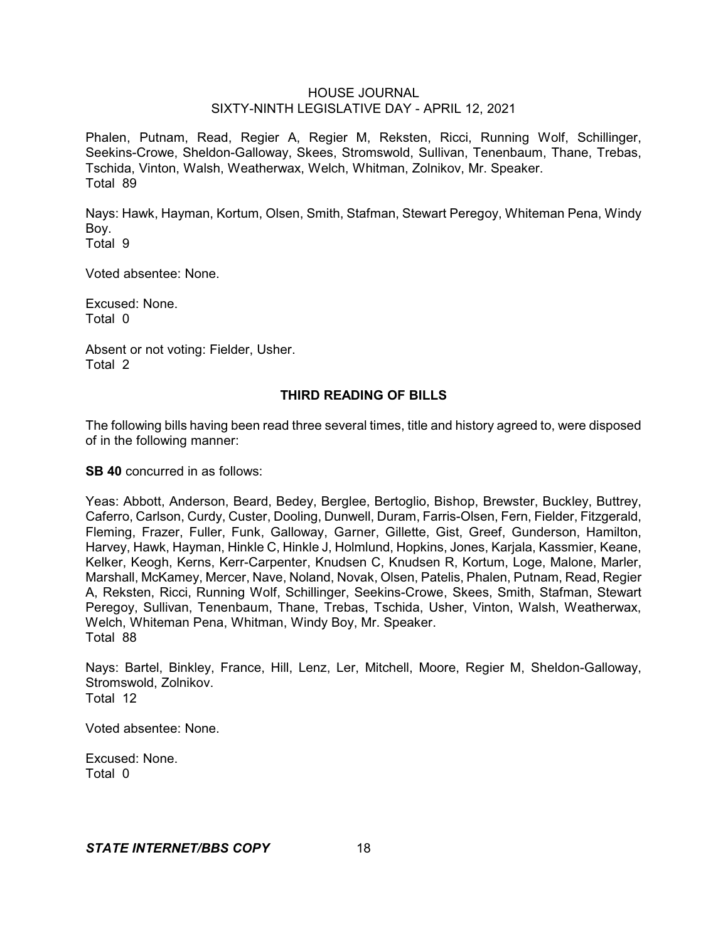Phalen, Putnam, Read, Regier A, Regier M, Reksten, Ricci, Running Wolf, Schillinger, Seekins-Crowe, Sheldon-Galloway, Skees, Stromswold, Sullivan, Tenenbaum, Thane, Trebas, Tschida, Vinton, Walsh, Weatherwax, Welch, Whitman, Zolnikov, Mr. Speaker. Total 89

Nays: Hawk, Hayman, Kortum, Olsen, Smith, Stafman, Stewart Peregoy, Whiteman Pena, Windy Boy.

Total 9

Voted absentee: None.

Excused: None. Total 0

Absent or not voting: Fielder, Usher. Total 2

## **THIRD READING OF BILLS**

The following bills having been read three several times, title and history agreed to, were disposed of in the following manner:

**SB 40** concurred in as follows:

Yeas: Abbott, Anderson, Beard, Bedey, Berglee, Bertoglio, Bishop, Brewster, Buckley, Buttrey, Caferro, Carlson, Curdy, Custer, Dooling, Dunwell, Duram, Farris-Olsen, Fern, Fielder, Fitzgerald, Fleming, Frazer, Fuller, Funk, Galloway, Garner, Gillette, Gist, Greef, Gunderson, Hamilton, Harvey, Hawk, Hayman, Hinkle C, Hinkle J, Holmlund, Hopkins, Jones, Karjala, Kassmier, Keane, Kelker, Keogh, Kerns, Kerr-Carpenter, Knudsen C, Knudsen R, Kortum, Loge, Malone, Marler, Marshall, McKamey, Mercer, Nave, Noland, Novak, Olsen, Patelis, Phalen, Putnam, Read, Regier A, Reksten, Ricci, Running Wolf, Schillinger, Seekins-Crowe, Skees, Smith, Stafman, Stewart Peregoy, Sullivan, Tenenbaum, Thane, Trebas, Tschida, Usher, Vinton, Walsh, Weatherwax, Welch, Whiteman Pena, Whitman, Windy Boy, Mr. Speaker. Total 88

Nays: Bartel, Binkley, France, Hill, Lenz, Ler, Mitchell, Moore, Regier M, Sheldon-Galloway, Stromswold, Zolnikov. Total 12

Voted absentee: None.

Excused: None. Total 0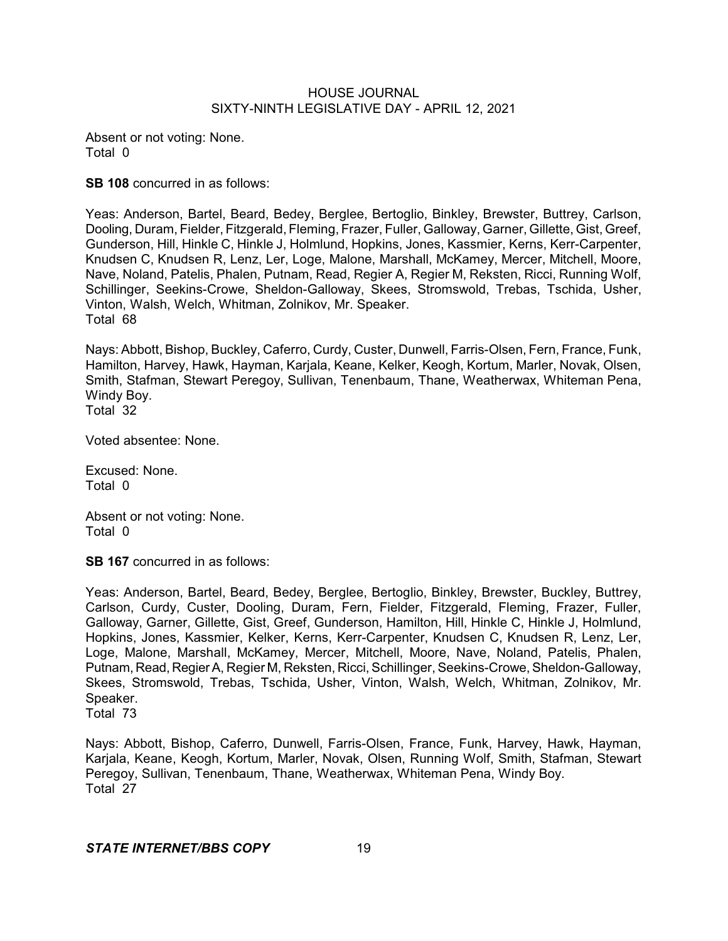Absent or not voting: None. Total 0

**SB 108** concurred in as follows:

Yeas: Anderson, Bartel, Beard, Bedey, Berglee, Bertoglio, Binkley, Brewster, Buttrey, Carlson, Dooling, Duram, Fielder, Fitzgerald, Fleming, Frazer, Fuller, Galloway, Garner, Gillette, Gist, Greef, Gunderson, Hill, Hinkle C, Hinkle J, Holmlund, Hopkins, Jones, Kassmier, Kerns, Kerr-Carpenter, Knudsen C, Knudsen R, Lenz, Ler, Loge, Malone, Marshall, McKamey, Mercer, Mitchell, Moore, Nave, Noland, Patelis, Phalen, Putnam, Read, Regier A, Regier M, Reksten, Ricci, Running Wolf, Schillinger, Seekins-Crowe, Sheldon-Galloway, Skees, Stromswold, Trebas, Tschida, Usher, Vinton, Walsh, Welch, Whitman, Zolnikov, Mr. Speaker. Total 68

Nays: Abbott, Bishop, Buckley, Caferro, Curdy, Custer, Dunwell, Farris-Olsen, Fern, France, Funk, Hamilton, Harvey, Hawk, Hayman, Karjala, Keane, Kelker, Keogh, Kortum, Marler, Novak, Olsen, Smith, Stafman, Stewart Peregoy, Sullivan, Tenenbaum, Thane, Weatherwax, Whiteman Pena, Windy Boy. Total 32

Voted absentee: None.

Excused: None. Total 0

Absent or not voting: None. Total 0

**SB 167** concurred in as follows:

Yeas: Anderson, Bartel, Beard, Bedey, Berglee, Bertoglio, Binkley, Brewster, Buckley, Buttrey, Carlson, Curdy, Custer, Dooling, Duram, Fern, Fielder, Fitzgerald, Fleming, Frazer, Fuller, Galloway, Garner, Gillette, Gist, Greef, Gunderson, Hamilton, Hill, Hinkle C, Hinkle J, Holmlund, Hopkins, Jones, Kassmier, Kelker, Kerns, Kerr-Carpenter, Knudsen C, Knudsen R, Lenz, Ler, Loge, Malone, Marshall, McKamey, Mercer, Mitchell, Moore, Nave, Noland, Patelis, Phalen, Putnam, Read, Regier A, Regier M, Reksten, Ricci, Schillinger, Seekins-Crowe, Sheldon-Galloway, Skees, Stromswold, Trebas, Tschida, Usher, Vinton, Walsh, Welch, Whitman, Zolnikov, Mr. Speaker.

Total 73

Nays: Abbott, Bishop, Caferro, Dunwell, Farris-Olsen, France, Funk, Harvey, Hawk, Hayman, Karjala, Keane, Keogh, Kortum, Marler, Novak, Olsen, Running Wolf, Smith, Stafman, Stewart Peregoy, Sullivan, Tenenbaum, Thane, Weatherwax, Whiteman Pena, Windy Boy. Total 27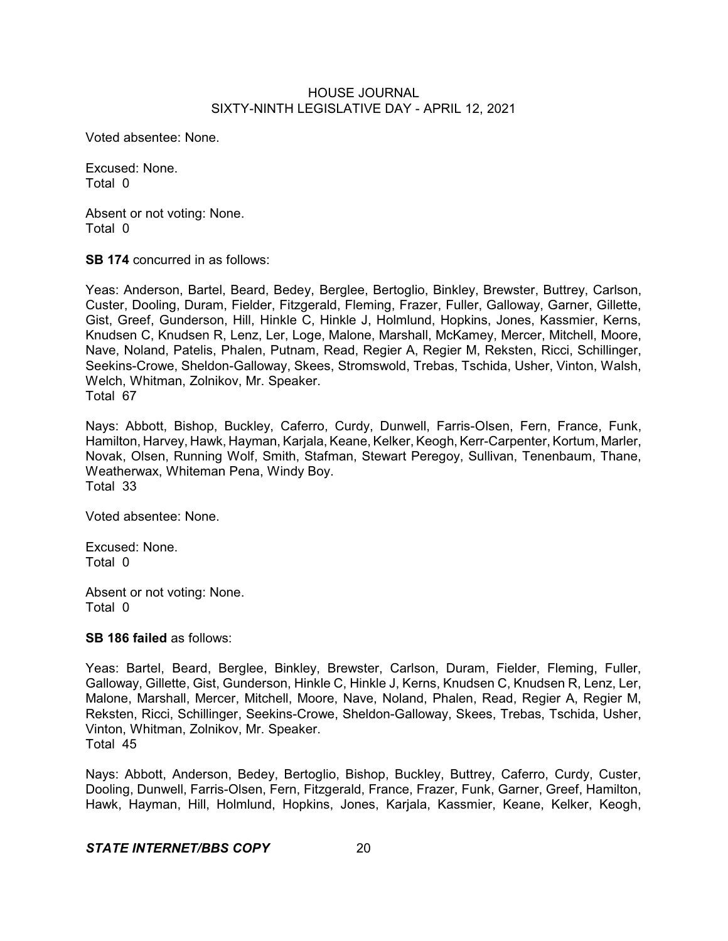Voted absentee: None.

Excused: None. Total 0

Absent or not voting: None. Total 0

**SB 174** concurred in as follows:

Yeas: Anderson, Bartel, Beard, Bedey, Berglee, Bertoglio, Binkley, Brewster, Buttrey, Carlson, Custer, Dooling, Duram, Fielder, Fitzgerald, Fleming, Frazer, Fuller, Galloway, Garner, Gillette, Gist, Greef, Gunderson, Hill, Hinkle C, Hinkle J, Holmlund, Hopkins, Jones, Kassmier, Kerns, Knudsen C, Knudsen R, Lenz, Ler, Loge, Malone, Marshall, McKamey, Mercer, Mitchell, Moore, Nave, Noland, Patelis, Phalen, Putnam, Read, Regier A, Regier M, Reksten, Ricci, Schillinger, Seekins-Crowe, Sheldon-Galloway, Skees, Stromswold, Trebas, Tschida, Usher, Vinton, Walsh, Welch, Whitman, Zolnikov, Mr. Speaker. Total 67

Nays: Abbott, Bishop, Buckley, Caferro, Curdy, Dunwell, Farris-Olsen, Fern, France, Funk, Hamilton, Harvey, Hawk, Hayman, Karjala, Keane, Kelker, Keogh, Kerr-Carpenter, Kortum, Marler, Novak, Olsen, Running Wolf, Smith, Stafman, Stewart Peregoy, Sullivan, Tenenbaum, Thane, Weatherwax, Whiteman Pena, Windy Boy. Total 33

Voted absentee: None.

Excused: None. Total 0

Absent or not voting: None. Total 0

**SB 186 failed** as follows:

Yeas: Bartel, Beard, Berglee, Binkley, Brewster, Carlson, Duram, Fielder, Fleming, Fuller, Galloway, Gillette, Gist, Gunderson, Hinkle C, Hinkle J, Kerns, Knudsen C, Knudsen R, Lenz, Ler, Malone, Marshall, Mercer, Mitchell, Moore, Nave, Noland, Phalen, Read, Regier A, Regier M, Reksten, Ricci, Schillinger, Seekins-Crowe, Sheldon-Galloway, Skees, Trebas, Tschida, Usher, Vinton, Whitman, Zolnikov, Mr. Speaker. Total 45

Nays: Abbott, Anderson, Bedey, Bertoglio, Bishop, Buckley, Buttrey, Caferro, Curdy, Custer, Dooling, Dunwell, Farris-Olsen, Fern, Fitzgerald, France, Frazer, Funk, Garner, Greef, Hamilton, Hawk, Hayman, Hill, Holmlund, Hopkins, Jones, Karjala, Kassmier, Keane, Kelker, Keogh,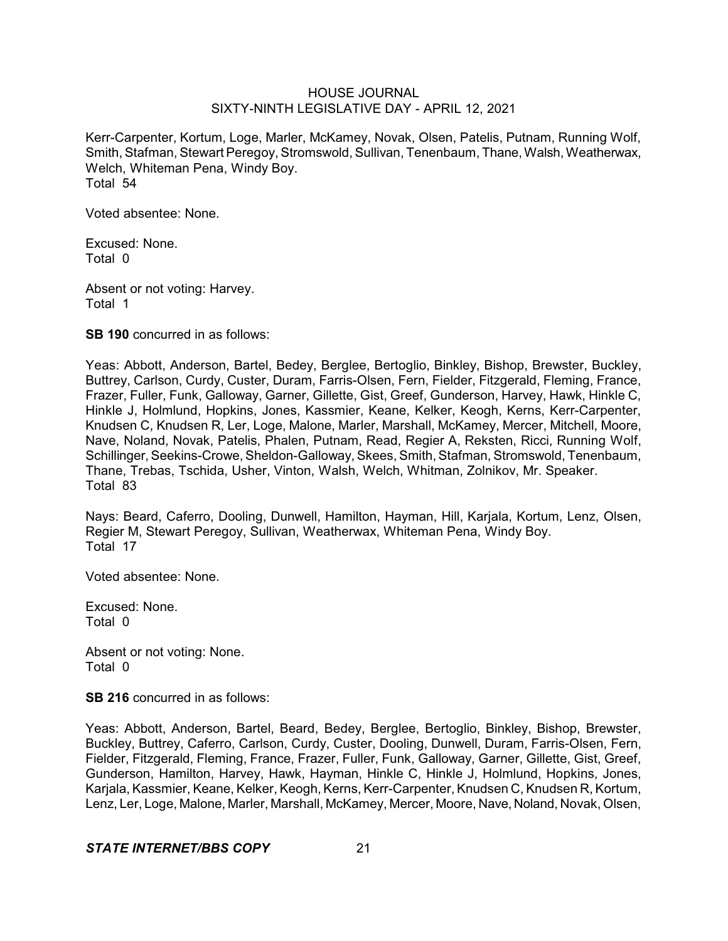Kerr-Carpenter, Kortum, Loge, Marler, McKamey, Novak, Olsen, Patelis, Putnam, Running Wolf, Smith, Stafman, Stewart Peregoy, Stromswold, Sullivan, Tenenbaum, Thane, Walsh, Weatherwax, Welch, Whiteman Pena, Windy Boy. Total 54

Voted absentee: None.

Excused: None. Total 0

Absent or not voting: Harvey. Total 1

**SB 190** concurred in as follows:

Yeas: Abbott, Anderson, Bartel, Bedey, Berglee, Bertoglio, Binkley, Bishop, Brewster, Buckley, Buttrey, Carlson, Curdy, Custer, Duram, Farris-Olsen, Fern, Fielder, Fitzgerald, Fleming, France, Frazer, Fuller, Funk, Galloway, Garner, Gillette, Gist, Greef, Gunderson, Harvey, Hawk, Hinkle C, Hinkle J, Holmlund, Hopkins, Jones, Kassmier, Keane, Kelker, Keogh, Kerns, Kerr-Carpenter, Knudsen C, Knudsen R, Ler, Loge, Malone, Marler, Marshall, McKamey, Mercer, Mitchell, Moore, Nave, Noland, Novak, Patelis, Phalen, Putnam, Read, Regier A, Reksten, Ricci, Running Wolf, Schillinger, Seekins-Crowe, Sheldon-Galloway, Skees, Smith, Stafman, Stromswold, Tenenbaum, Thane, Trebas, Tschida, Usher, Vinton, Walsh, Welch, Whitman, Zolnikov, Mr. Speaker. Total 83

Nays: Beard, Caferro, Dooling, Dunwell, Hamilton, Hayman, Hill, Karjala, Kortum, Lenz, Olsen, Regier M, Stewart Peregoy, Sullivan, Weatherwax, Whiteman Pena, Windy Boy. Total 17

Voted absentee: None.

Excused: None. Total 0

Absent or not voting: None. Total 0

**SB 216** concurred in as follows:

Yeas: Abbott, Anderson, Bartel, Beard, Bedey, Berglee, Bertoglio, Binkley, Bishop, Brewster, Buckley, Buttrey, Caferro, Carlson, Curdy, Custer, Dooling, Dunwell, Duram, Farris-Olsen, Fern, Fielder, Fitzgerald, Fleming, France, Frazer, Fuller, Funk, Galloway, Garner, Gillette, Gist, Greef, Gunderson, Hamilton, Harvey, Hawk, Hayman, Hinkle C, Hinkle J, Holmlund, Hopkins, Jones, Karjala, Kassmier, Keane, Kelker, Keogh,Kerns, Kerr-Carpenter, Knudsen C, Knudsen R, Kortum, Lenz, Ler, Loge, Malone, Marler, Marshall, McKamey, Mercer, Moore, Nave, Noland, Novak, Olsen,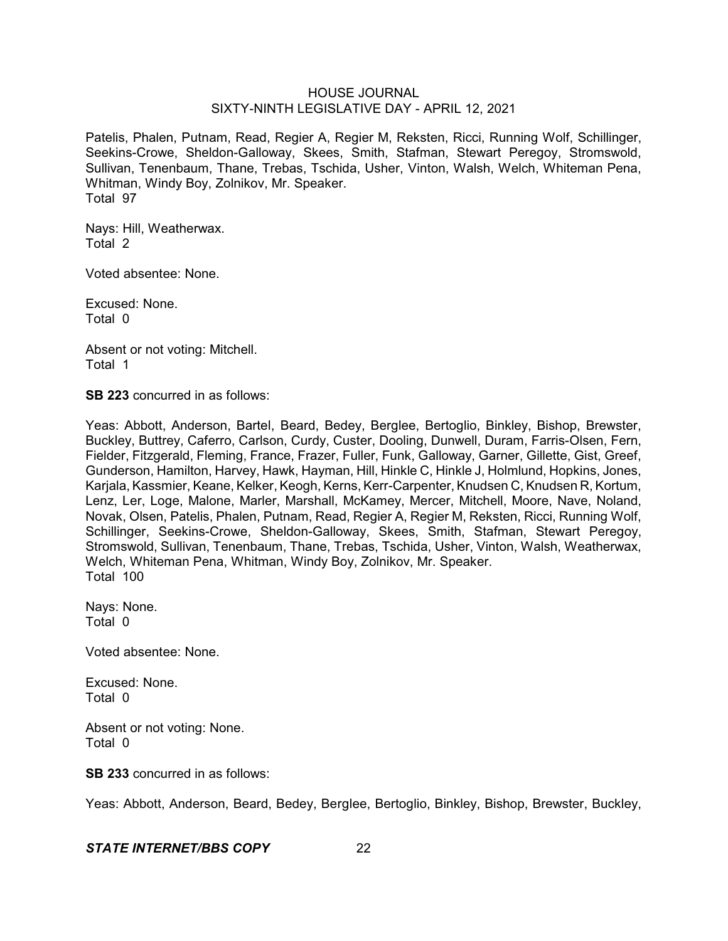Patelis, Phalen, Putnam, Read, Regier A, Regier M, Reksten, Ricci, Running Wolf, Schillinger, Seekins-Crowe, Sheldon-Galloway, Skees, Smith, Stafman, Stewart Peregoy, Stromswold, Sullivan, Tenenbaum, Thane, Trebas, Tschida, Usher, Vinton, Walsh, Welch, Whiteman Pena, Whitman, Windy Boy, Zolnikov, Mr. Speaker. Total 97

Nays: Hill, Weatherwax. Total 2

Voted absentee: None.

Excused: None. Total 0

Absent or not voting: Mitchell. Total 1

**SB 223** concurred in as follows:

Yeas: Abbott, Anderson, Bartel, Beard, Bedey, Berglee, Bertoglio, Binkley, Bishop, Brewster, Buckley, Buttrey, Caferro, Carlson, Curdy, Custer, Dooling, Dunwell, Duram, Farris-Olsen, Fern, Fielder, Fitzgerald, Fleming, France, Frazer, Fuller, Funk, Galloway, Garner, Gillette, Gist, Greef, Gunderson, Hamilton, Harvey, Hawk, Hayman, Hill, Hinkle C, Hinkle J, Holmlund, Hopkins, Jones, Karjala, Kassmier, Keane, Kelker, Keogh, Kerns, Kerr-Carpenter, Knudsen C, Knudsen R, Kortum, Lenz, Ler, Loge, Malone, Marler, Marshall, McKamey, Mercer, Mitchell, Moore, Nave, Noland, Novak, Olsen, Patelis, Phalen, Putnam, Read, Regier A, Regier M, Reksten, Ricci, Running Wolf, Schillinger, Seekins-Crowe, Sheldon-Galloway, Skees, Smith, Stafman, Stewart Peregoy, Stromswold, Sullivan, Tenenbaum, Thane, Trebas, Tschida, Usher, Vinton, Walsh, Weatherwax, Welch, Whiteman Pena, Whitman, Windy Boy, Zolnikov, Mr. Speaker. Total 100

Nays: None. Total 0

Voted absentee: None.

Excused: None. Total 0

Absent or not voting: None. Total 0

**SB 233** concurred in as follows:

Yeas: Abbott, Anderson, Beard, Bedey, Berglee, Bertoglio, Binkley, Bishop, Brewster, Buckley,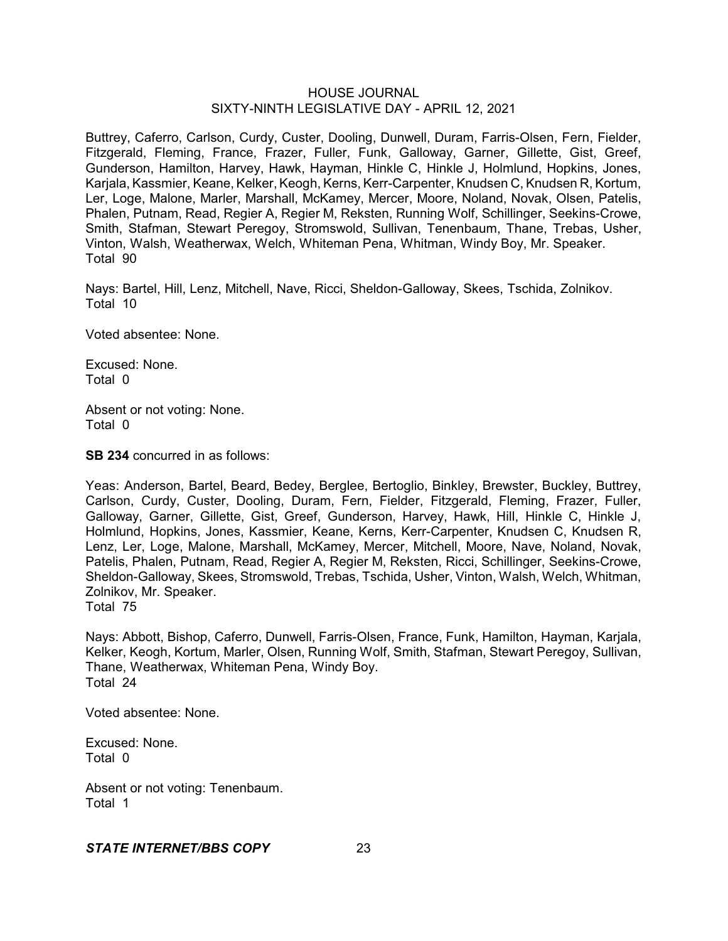Buttrey, Caferro, Carlson, Curdy, Custer, Dooling, Dunwell, Duram, Farris-Olsen, Fern, Fielder, Fitzgerald, Fleming, France, Frazer, Fuller, Funk, Galloway, Garner, Gillette, Gist, Greef, Gunderson, Hamilton, Harvey, Hawk, Hayman, Hinkle C, Hinkle J, Holmlund, Hopkins, Jones, Karjala, Kassmier, Keane, Kelker, Keogh, Kerns, Kerr-Carpenter, Knudsen C, Knudsen R, Kortum, Ler, Loge, Malone, Marler, Marshall, McKamey, Mercer, Moore, Noland, Novak, Olsen, Patelis, Phalen, Putnam, Read, Regier A, Regier M, Reksten, Running Wolf, Schillinger, Seekins-Crowe, Smith, Stafman, Stewart Peregoy, Stromswold, Sullivan, Tenenbaum, Thane, Trebas, Usher, Vinton, Walsh, Weatherwax, Welch, Whiteman Pena, Whitman, Windy Boy, Mr. Speaker. Total 90

Nays: Bartel, Hill, Lenz, Mitchell, Nave, Ricci, Sheldon-Galloway, Skees, Tschida, Zolnikov. Total 10

Voted absentee: None.

Excused: None. Total 0

Absent or not voting: None. Total 0

**SB 234** concurred in as follows:

Yeas: Anderson, Bartel, Beard, Bedey, Berglee, Bertoglio, Binkley, Brewster, Buckley, Buttrey, Carlson, Curdy, Custer, Dooling, Duram, Fern, Fielder, Fitzgerald, Fleming, Frazer, Fuller, Galloway, Garner, Gillette, Gist, Greef, Gunderson, Harvey, Hawk, Hill, Hinkle C, Hinkle J, Holmlund, Hopkins, Jones, Kassmier, Keane, Kerns, Kerr-Carpenter, Knudsen C, Knudsen R, Lenz, Ler, Loge, Malone, Marshall, McKamey, Mercer, Mitchell, Moore, Nave, Noland, Novak, Patelis, Phalen, Putnam, Read, Regier A, Regier M, Reksten, Ricci, Schillinger, Seekins-Crowe, Sheldon-Galloway, Skees, Stromswold, Trebas, Tschida, Usher, Vinton, Walsh, Welch, Whitman, Zolnikov, Mr. Speaker.

Total 75

Nays: Abbott, Bishop, Caferro, Dunwell, Farris-Olsen, France, Funk, Hamilton, Hayman, Karjala, Kelker, Keogh, Kortum, Marler, Olsen, Running Wolf, Smith, Stafman, Stewart Peregoy, Sullivan, Thane, Weatherwax, Whiteman Pena, Windy Boy. Total 24

Voted absentee: None.

Excused: None. Total 0

Absent or not voting: Tenenbaum. Total 1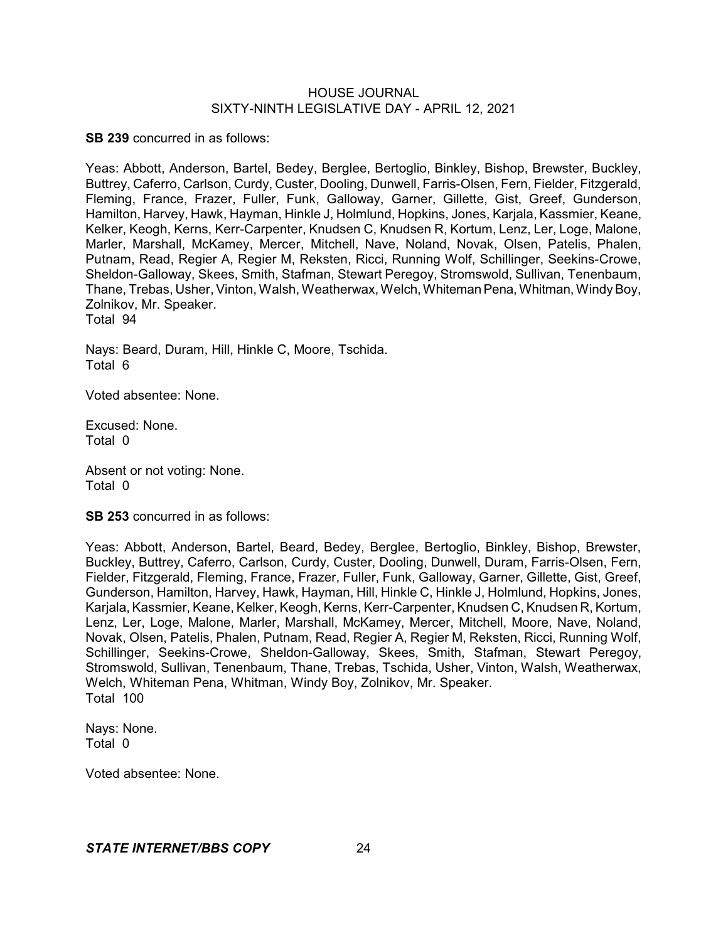**SB 239** concurred in as follows:

Yeas: Abbott, Anderson, Bartel, Bedey, Berglee, Bertoglio, Binkley, Bishop, Brewster, Buckley, Buttrey, Caferro, Carlson, Curdy, Custer, Dooling, Dunwell, Farris-Olsen, Fern, Fielder, Fitzgerald, Fleming, France, Frazer, Fuller, Funk, Galloway, Garner, Gillette, Gist, Greef, Gunderson, Hamilton, Harvey, Hawk, Hayman, Hinkle J, Holmlund, Hopkins, Jones, Karjala, Kassmier, Keane, Kelker, Keogh, Kerns, Kerr-Carpenter, Knudsen C, Knudsen R, Kortum, Lenz, Ler, Loge, Malone, Marler, Marshall, McKamey, Mercer, Mitchell, Nave, Noland, Novak, Olsen, Patelis, Phalen, Putnam, Read, Regier A, Regier M, Reksten, Ricci, Running Wolf, Schillinger, Seekins-Crowe, Sheldon-Galloway, Skees, Smith, Stafman, Stewart Peregoy, Stromswold, Sullivan, Tenenbaum, Thane, Trebas, Usher, Vinton, Walsh, Weatherwax, Welch, Whiteman Pena, Whitman, Windy Boy, Zolnikov, Mr. Speaker. Total 94

Nays: Beard, Duram, Hill, Hinkle C, Moore, Tschida. Total 6

Voted absentee: None.

Excused: None. Total 0

Absent or not voting: None. Total 0

**SB 253** concurred in as follows:

Yeas: Abbott, Anderson, Bartel, Beard, Bedey, Berglee, Bertoglio, Binkley, Bishop, Brewster, Buckley, Buttrey, Caferro, Carlson, Curdy, Custer, Dooling, Dunwell, Duram, Farris-Olsen, Fern, Fielder, Fitzgerald, Fleming, France, Frazer, Fuller, Funk, Galloway, Garner, Gillette, Gist, Greef, Gunderson, Hamilton, Harvey, Hawk, Hayman, Hill, Hinkle C, Hinkle J, Holmlund, Hopkins, Jones, Karjala, Kassmier, Keane, Kelker, Keogh, Kerns, Kerr-Carpenter, Knudsen C, Knudsen R, Kortum, Lenz, Ler, Loge, Malone, Marler, Marshall, McKamey, Mercer, Mitchell, Moore, Nave, Noland, Novak, Olsen, Patelis, Phalen, Putnam, Read, Regier A, Regier M, Reksten, Ricci, Running Wolf, Schillinger, Seekins-Crowe, Sheldon-Galloway, Skees, Smith, Stafman, Stewart Peregoy, Stromswold, Sullivan, Tenenbaum, Thane, Trebas, Tschida, Usher, Vinton, Walsh, Weatherwax, Welch, Whiteman Pena, Whitman, Windy Boy, Zolnikov, Mr. Speaker. Total 100

Nays: None. Total 0

Voted absentee: None.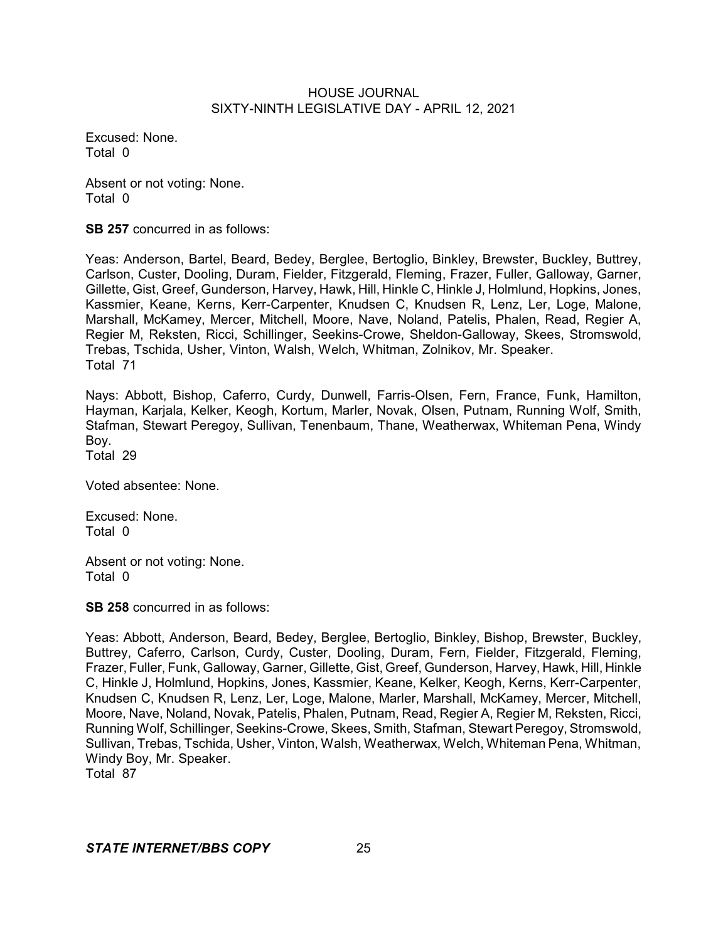Excused: None. Total 0

Absent or not voting: None. Total 0

**SB 257** concurred in as follows:

Yeas: Anderson, Bartel, Beard, Bedey, Berglee, Bertoglio, Binkley, Brewster, Buckley, Buttrey, Carlson, Custer, Dooling, Duram, Fielder, Fitzgerald, Fleming, Frazer, Fuller, Galloway, Garner, Gillette, Gist, Greef, Gunderson, Harvey, Hawk, Hill, Hinkle C, Hinkle J, Holmlund, Hopkins, Jones, Kassmier, Keane, Kerns, Kerr-Carpenter, Knudsen C, Knudsen R, Lenz, Ler, Loge, Malone, Marshall, McKamey, Mercer, Mitchell, Moore, Nave, Noland, Patelis, Phalen, Read, Regier A, Regier M, Reksten, Ricci, Schillinger, Seekins-Crowe, Sheldon-Galloway, Skees, Stromswold, Trebas, Tschida, Usher, Vinton, Walsh, Welch, Whitman, Zolnikov, Mr. Speaker. Total 71

Nays: Abbott, Bishop, Caferro, Curdy, Dunwell, Farris-Olsen, Fern, France, Funk, Hamilton, Hayman, Karjala, Kelker, Keogh, Kortum, Marler, Novak, Olsen, Putnam, Running Wolf, Smith, Stafman, Stewart Peregoy, Sullivan, Tenenbaum, Thane, Weatherwax, Whiteman Pena, Windy Boy.

Total 29

Voted absentee: None.

Excused: None. Total 0

Absent or not voting: None. Total 0

**SB 258** concurred in as follows:

Yeas: Abbott, Anderson, Beard, Bedey, Berglee, Bertoglio, Binkley, Bishop, Brewster, Buckley, Buttrey, Caferro, Carlson, Curdy, Custer, Dooling, Duram, Fern, Fielder, Fitzgerald, Fleming, Frazer, Fuller, Funk, Galloway, Garner, Gillette, Gist, Greef, Gunderson, Harvey, Hawk, Hill, Hinkle C, Hinkle J, Holmlund, Hopkins, Jones, Kassmier, Keane, Kelker, Keogh, Kerns, Kerr-Carpenter, Knudsen C, Knudsen R, Lenz, Ler, Loge, Malone, Marler, Marshall, McKamey, Mercer, Mitchell, Moore, Nave, Noland, Novak, Patelis, Phalen, Putnam, Read, Regier A, Regier M, Reksten, Ricci, Running Wolf, Schillinger, Seekins-Crowe, Skees, Smith, Stafman, Stewart Peregoy, Stromswold, Sullivan, Trebas, Tschida, Usher, Vinton, Walsh, Weatherwax, Welch, Whiteman Pena, Whitman, Windy Boy, Mr. Speaker.

Total 87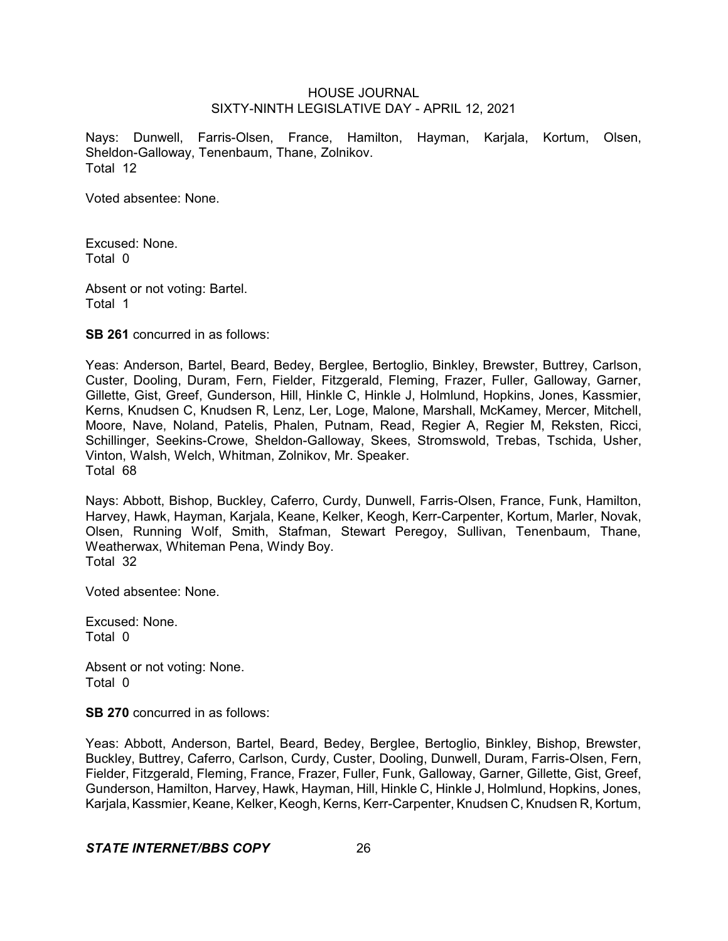Nays: Dunwell, Farris-Olsen, France, Hamilton, Hayman, Karjala, Kortum, Olsen, Sheldon-Galloway, Tenenbaum, Thane, Zolnikov. Total 12

Voted absentee: None.

Excused: None. Total 0

Absent or not voting: Bartel. Total 1

**SB 261** concurred in as follows:

Yeas: Anderson, Bartel, Beard, Bedey, Berglee, Bertoglio, Binkley, Brewster, Buttrey, Carlson, Custer, Dooling, Duram, Fern, Fielder, Fitzgerald, Fleming, Frazer, Fuller, Galloway, Garner, Gillette, Gist, Greef, Gunderson, Hill, Hinkle C, Hinkle J, Holmlund, Hopkins, Jones, Kassmier, Kerns, Knudsen C, Knudsen R, Lenz, Ler, Loge, Malone, Marshall, McKamey, Mercer, Mitchell, Moore, Nave, Noland, Patelis, Phalen, Putnam, Read, Regier A, Regier M, Reksten, Ricci, Schillinger, Seekins-Crowe, Sheldon-Galloway, Skees, Stromswold, Trebas, Tschida, Usher, Vinton, Walsh, Welch, Whitman, Zolnikov, Mr. Speaker. Total 68

Nays: Abbott, Bishop, Buckley, Caferro, Curdy, Dunwell, Farris-Olsen, France, Funk, Hamilton, Harvey, Hawk, Hayman, Karjala, Keane, Kelker, Keogh, Kerr-Carpenter, Kortum, Marler, Novak, Olsen, Running Wolf, Smith, Stafman, Stewart Peregoy, Sullivan, Tenenbaum, Thane, Weatherwax, Whiteman Pena, Windy Boy. Total 32

Voted absentee: None.

Excused: None. Total 0

Absent or not voting: None. Total 0

**SB 270** concurred in as follows:

Yeas: Abbott, Anderson, Bartel, Beard, Bedey, Berglee, Bertoglio, Binkley, Bishop, Brewster, Buckley, Buttrey, Caferro, Carlson, Curdy, Custer, Dooling, Dunwell, Duram, Farris-Olsen, Fern, Fielder, Fitzgerald, Fleming, France, Frazer, Fuller, Funk, Galloway, Garner, Gillette, Gist, Greef, Gunderson, Hamilton, Harvey, Hawk, Hayman, Hill, Hinkle C, Hinkle J, Holmlund, Hopkins, Jones, Karjala, Kassmier, Keane, Kelker, Keogh, Kerns, Kerr-Carpenter, Knudsen C, Knudsen R, Kortum,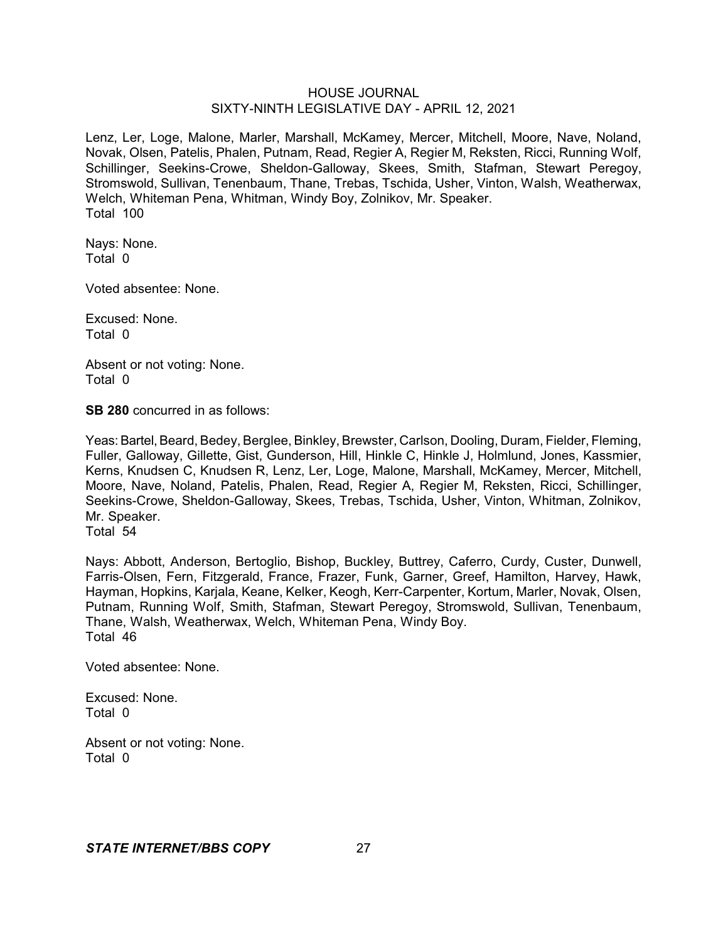Lenz, Ler, Loge, Malone, Marler, Marshall, McKamey, Mercer, Mitchell, Moore, Nave, Noland, Novak, Olsen, Patelis, Phalen, Putnam, Read, Regier A, Regier M, Reksten, Ricci, Running Wolf, Schillinger, Seekins-Crowe, Sheldon-Galloway, Skees, Smith, Stafman, Stewart Peregoy, Stromswold, Sullivan, Tenenbaum, Thane, Trebas, Tschida, Usher, Vinton, Walsh, Weatherwax, Welch, Whiteman Pena, Whitman, Windy Boy, Zolnikov, Mr. Speaker. Total 100

Nays: None. Total 0

Voted absentee: None.

Excused: None. Total 0

Absent or not voting: None. Total 0

**SB 280** concurred in as follows:

Yeas: Bartel, Beard, Bedey, Berglee, Binkley, Brewster, Carlson, Dooling, Duram, Fielder, Fleming, Fuller, Galloway, Gillette, Gist, Gunderson, Hill, Hinkle C, Hinkle J, Holmlund, Jones, Kassmier, Kerns, Knudsen C, Knudsen R, Lenz, Ler, Loge, Malone, Marshall, McKamey, Mercer, Mitchell, Moore, Nave, Noland, Patelis, Phalen, Read, Regier A, Regier M, Reksten, Ricci, Schillinger, Seekins-Crowe, Sheldon-Galloway, Skees, Trebas, Tschida, Usher, Vinton, Whitman, Zolnikov, Mr. Speaker. Total 54

Nays: Abbott, Anderson, Bertoglio, Bishop, Buckley, Buttrey, Caferro, Curdy, Custer, Dunwell, Farris-Olsen, Fern, Fitzgerald, France, Frazer, Funk, Garner, Greef, Hamilton, Harvey, Hawk, Hayman, Hopkins, Karjala, Keane, Kelker, Keogh, Kerr-Carpenter, Kortum, Marler, Novak, Olsen, Putnam, Running Wolf, Smith, Stafman, Stewart Peregoy, Stromswold, Sullivan, Tenenbaum, Thane, Walsh, Weatherwax, Welch, Whiteman Pena, Windy Boy. Total 46

Voted absentee: None.

Excused: None. Total 0

Absent or not voting: None. Total 0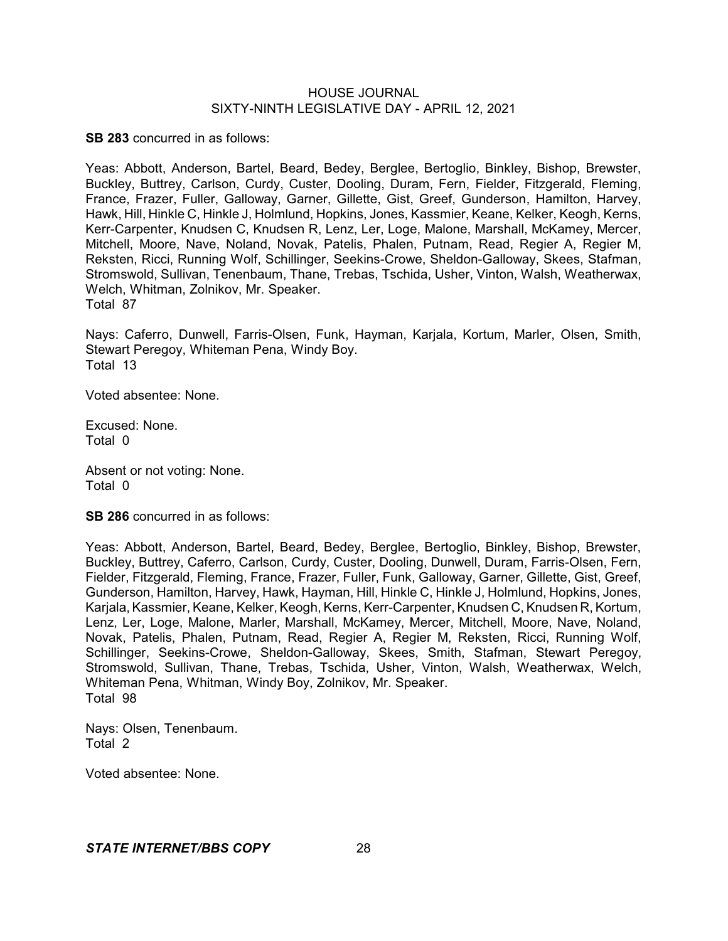**SB 283** concurred in as follows:

Yeas: Abbott, Anderson, Bartel, Beard, Bedey, Berglee, Bertoglio, Binkley, Bishop, Brewster, Buckley, Buttrey, Carlson, Curdy, Custer, Dooling, Duram, Fern, Fielder, Fitzgerald, Fleming, France, Frazer, Fuller, Galloway, Garner, Gillette, Gist, Greef, Gunderson, Hamilton, Harvey, Hawk, Hill, Hinkle C, Hinkle J, Holmlund, Hopkins, Jones, Kassmier, Keane, Kelker, Keogh, Kerns, Kerr-Carpenter, Knudsen C, Knudsen R, Lenz, Ler, Loge, Malone, Marshall, McKamey, Mercer, Mitchell, Moore, Nave, Noland, Novak, Patelis, Phalen, Putnam, Read, Regier A, Regier M, Reksten, Ricci, Running Wolf, Schillinger, Seekins-Crowe, Sheldon-Galloway, Skees, Stafman, Stromswold, Sullivan, Tenenbaum, Thane, Trebas, Tschida, Usher, Vinton, Walsh, Weatherwax, Welch, Whitman, Zolnikov, Mr. Speaker. Total 87

Nays: Caferro, Dunwell, Farris-Olsen, Funk, Hayman, Karjala, Kortum, Marler, Olsen, Smith, Stewart Peregoy, Whiteman Pena, Windy Boy. Total 13

Voted absentee: None.

Excused: None. Total 0

Absent or not voting: None. Total 0

**SB 286** concurred in as follows:

Yeas: Abbott, Anderson, Bartel, Beard, Bedey, Berglee, Bertoglio, Binkley, Bishop, Brewster, Buckley, Buttrey, Caferro, Carlson, Curdy, Custer, Dooling, Dunwell, Duram, Farris-Olsen, Fern, Fielder, Fitzgerald, Fleming, France, Frazer, Fuller, Funk, Galloway, Garner, Gillette, Gist, Greef, Gunderson, Hamilton, Harvey, Hawk, Hayman, Hill, Hinkle C, Hinkle J, Holmlund, Hopkins, Jones, Karjala, Kassmier, Keane, Kelker, Keogh, Kerns, Kerr-Carpenter, Knudsen C, Knudsen R, Kortum, Lenz, Ler, Loge, Malone, Marler, Marshall, McKamey, Mercer, Mitchell, Moore, Nave, Noland, Novak, Patelis, Phalen, Putnam, Read, Regier A, Regier M, Reksten, Ricci, Running Wolf, Schillinger, Seekins-Crowe, Sheldon-Galloway, Skees, Smith, Stafman, Stewart Peregoy, Stromswold, Sullivan, Thane, Trebas, Tschida, Usher, Vinton, Walsh, Weatherwax, Welch, Whiteman Pena, Whitman, Windy Boy, Zolnikov, Mr. Speaker. Total 98

Nays: Olsen, Tenenbaum. Total 2

Voted absentee: None.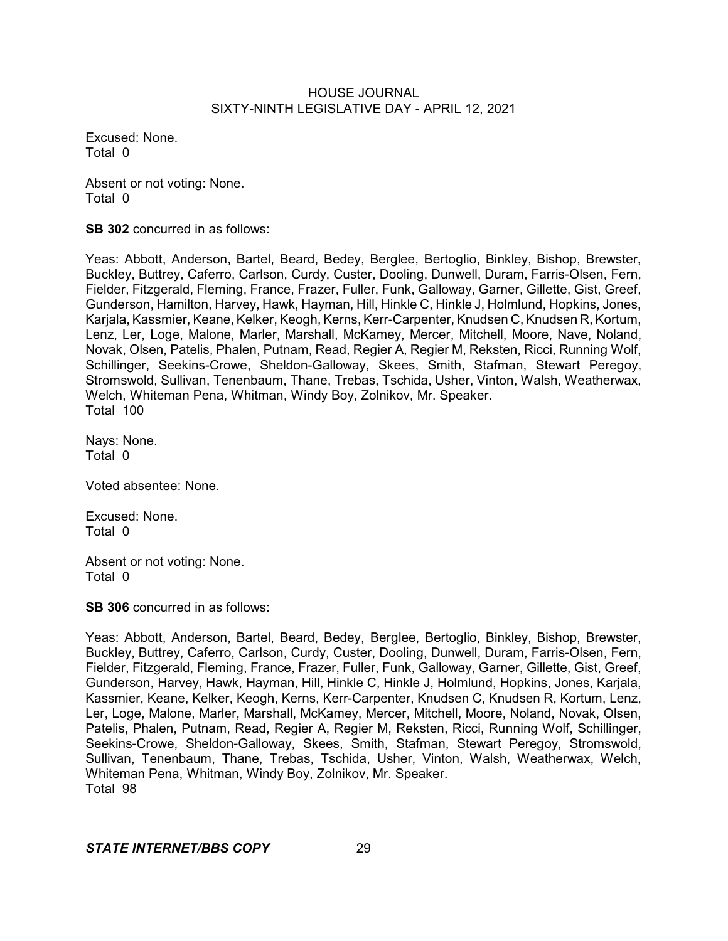Excused: None. Total 0

Absent or not voting: None. Total 0

**SB 302** concurred in as follows:

Yeas: Abbott, Anderson, Bartel, Beard, Bedey, Berglee, Bertoglio, Binkley, Bishop, Brewster, Buckley, Buttrey, Caferro, Carlson, Curdy, Custer, Dooling, Dunwell, Duram, Farris-Olsen, Fern, Fielder, Fitzgerald, Fleming, France, Frazer, Fuller, Funk, Galloway, Garner, Gillette, Gist, Greef, Gunderson, Hamilton, Harvey, Hawk, Hayman, Hill, Hinkle C, Hinkle J, Holmlund, Hopkins, Jones, Karjala, Kassmier, Keane, Kelker, Keogh, Kerns, Kerr-Carpenter, Knudsen C, Knudsen R, Kortum, Lenz, Ler, Loge, Malone, Marler, Marshall, McKamey, Mercer, Mitchell, Moore, Nave, Noland, Novak, Olsen, Patelis, Phalen, Putnam, Read, Regier A, Regier M, Reksten, Ricci, Running Wolf, Schillinger, Seekins-Crowe, Sheldon-Galloway, Skees, Smith, Stafman, Stewart Peregoy, Stromswold, Sullivan, Tenenbaum, Thane, Trebas, Tschida, Usher, Vinton, Walsh, Weatherwax, Welch, Whiteman Pena, Whitman, Windy Boy, Zolnikov, Mr. Speaker. Total 100

Nays: None. Total 0

Voted absentee: None.

Excused: None. Total 0

Absent or not voting: None. Total 0

**SB 306** concurred in as follows:

Yeas: Abbott, Anderson, Bartel, Beard, Bedey, Berglee, Bertoglio, Binkley, Bishop, Brewster, Buckley, Buttrey, Caferro, Carlson, Curdy, Custer, Dooling, Dunwell, Duram, Farris-Olsen, Fern, Fielder, Fitzgerald, Fleming, France, Frazer, Fuller, Funk, Galloway, Garner, Gillette, Gist, Greef, Gunderson, Harvey, Hawk, Hayman, Hill, Hinkle C, Hinkle J, Holmlund, Hopkins, Jones, Karjala, Kassmier, Keane, Kelker, Keogh, Kerns, Kerr-Carpenter, Knudsen C, Knudsen R, Kortum, Lenz, Ler, Loge, Malone, Marler, Marshall, McKamey, Mercer, Mitchell, Moore, Noland, Novak, Olsen, Patelis, Phalen, Putnam, Read, Regier A, Regier M, Reksten, Ricci, Running Wolf, Schillinger, Seekins-Crowe, Sheldon-Galloway, Skees, Smith, Stafman, Stewart Peregoy, Stromswold, Sullivan, Tenenbaum, Thane, Trebas, Tschida, Usher, Vinton, Walsh, Weatherwax, Welch, Whiteman Pena, Whitman, Windy Boy, Zolnikov, Mr. Speaker. Total 98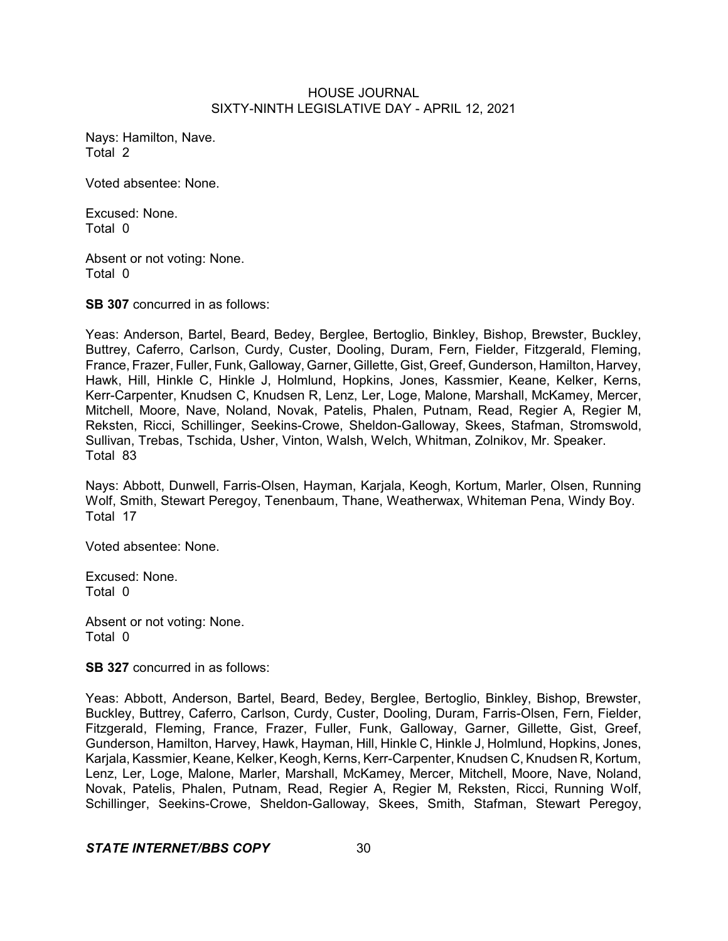Nays: Hamilton, Nave. Total 2

Voted absentee: None.

Excused: None. Total 0

Absent or not voting: None. Total 0

**SB 307** concurred in as follows:

Yeas: Anderson, Bartel, Beard, Bedey, Berglee, Bertoglio, Binkley, Bishop, Brewster, Buckley, Buttrey, Caferro, Carlson, Curdy, Custer, Dooling, Duram, Fern, Fielder, Fitzgerald, Fleming, France, Frazer, Fuller, Funk, Galloway, Garner, Gillette, Gist, Greef, Gunderson, Hamilton, Harvey, Hawk, Hill, Hinkle C, Hinkle J, Holmlund, Hopkins, Jones, Kassmier, Keane, Kelker, Kerns, Kerr-Carpenter, Knudsen C, Knudsen R, Lenz, Ler, Loge, Malone, Marshall, McKamey, Mercer, Mitchell, Moore, Nave, Noland, Novak, Patelis, Phalen, Putnam, Read, Regier A, Regier M, Reksten, Ricci, Schillinger, Seekins-Crowe, Sheldon-Galloway, Skees, Stafman, Stromswold, Sullivan, Trebas, Tschida, Usher, Vinton, Walsh, Welch, Whitman, Zolnikov, Mr. Speaker. Total 83

Nays: Abbott, Dunwell, Farris-Olsen, Hayman, Karjala, Keogh, Kortum, Marler, Olsen, Running Wolf, Smith, Stewart Peregoy, Tenenbaum, Thane, Weatherwax, Whiteman Pena, Windy Boy. Total 17

Voted absentee: None.

Excused: None. Total 0

Absent or not voting: None. Total 0

**SB 327** concurred in as follows:

Yeas: Abbott, Anderson, Bartel, Beard, Bedey, Berglee, Bertoglio, Binkley, Bishop, Brewster, Buckley, Buttrey, Caferro, Carlson, Curdy, Custer, Dooling, Duram, Farris-Olsen, Fern, Fielder, Fitzgerald, Fleming, France, Frazer, Fuller, Funk, Galloway, Garner, Gillette, Gist, Greef, Gunderson, Hamilton, Harvey, Hawk, Hayman, Hill, Hinkle C, Hinkle J, Holmlund, Hopkins, Jones, Karjala, Kassmier, Keane, Kelker, Keogh, Kerns, Kerr-Carpenter, Knudsen C, Knudsen R, Kortum, Lenz, Ler, Loge, Malone, Marler, Marshall, McKamey, Mercer, Mitchell, Moore, Nave, Noland, Novak, Patelis, Phalen, Putnam, Read, Regier A, Regier M, Reksten, Ricci, Running Wolf, Schillinger, Seekins-Crowe, Sheldon-Galloway, Skees, Smith, Stafman, Stewart Peregoy,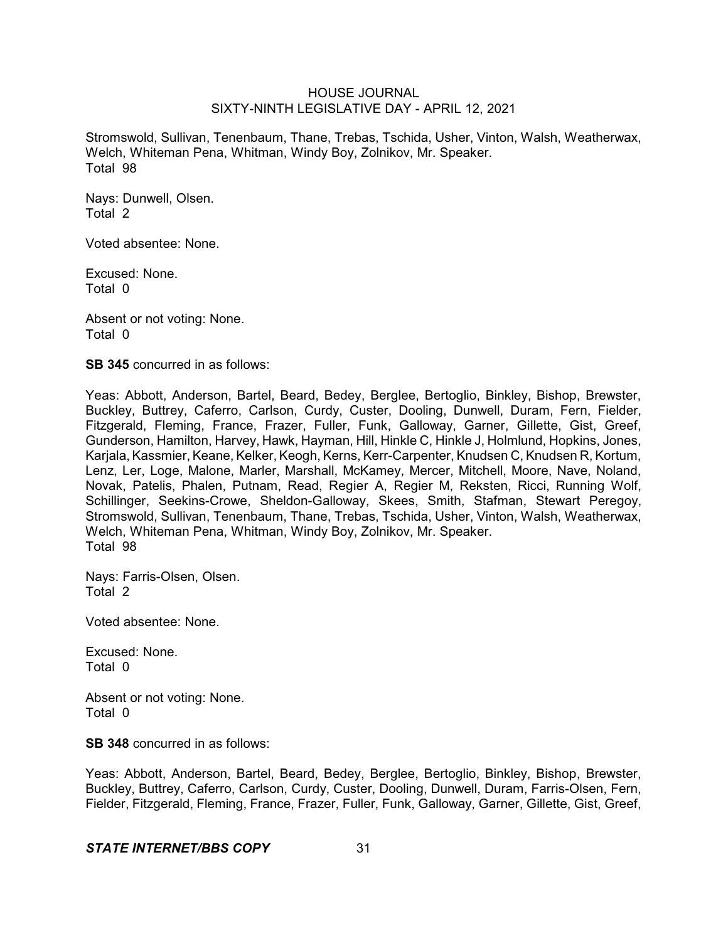Stromswold, Sullivan, Tenenbaum, Thane, Trebas, Tschida, Usher, Vinton, Walsh, Weatherwax, Welch, Whiteman Pena, Whitman, Windy Boy, Zolnikov, Mr. Speaker. Total 98

Nays: Dunwell, Olsen. Total 2

Voted absentee: None.

Excused: None. Total 0

Absent or not voting: None. Total 0

**SB 345** concurred in as follows:

Yeas: Abbott, Anderson, Bartel, Beard, Bedey, Berglee, Bertoglio, Binkley, Bishop, Brewster, Buckley, Buttrey, Caferro, Carlson, Curdy, Custer, Dooling, Dunwell, Duram, Fern, Fielder, Fitzgerald, Fleming, France, Frazer, Fuller, Funk, Galloway, Garner, Gillette, Gist, Greef, Gunderson, Hamilton, Harvey, Hawk, Hayman, Hill, Hinkle C, Hinkle J, Holmlund, Hopkins, Jones, Karjala, Kassmier, Keane, Kelker, Keogh, Kerns, Kerr-Carpenter, Knudsen C, Knudsen R, Kortum, Lenz, Ler, Loge, Malone, Marler, Marshall, McKamey, Mercer, Mitchell, Moore, Nave, Noland, Novak, Patelis, Phalen, Putnam, Read, Regier A, Regier M, Reksten, Ricci, Running Wolf, Schillinger, Seekins-Crowe, Sheldon-Galloway, Skees, Smith, Stafman, Stewart Peregoy, Stromswold, Sullivan, Tenenbaum, Thane, Trebas, Tschida, Usher, Vinton, Walsh, Weatherwax, Welch, Whiteman Pena, Whitman, Windy Boy, Zolnikov, Mr. Speaker. Total 98

Nays: Farris-Olsen, Olsen. Total 2

Voted absentee: None.

Excused: None. Total 0

Absent or not voting: None. Total 0

**SB 348** concurred in as follows:

Yeas: Abbott, Anderson, Bartel, Beard, Bedey, Berglee, Bertoglio, Binkley, Bishop, Brewster, Buckley, Buttrey, Caferro, Carlson, Curdy, Custer, Dooling, Dunwell, Duram, Farris-Olsen, Fern, Fielder, Fitzgerald, Fleming, France, Frazer, Fuller, Funk, Galloway, Garner, Gillette, Gist, Greef,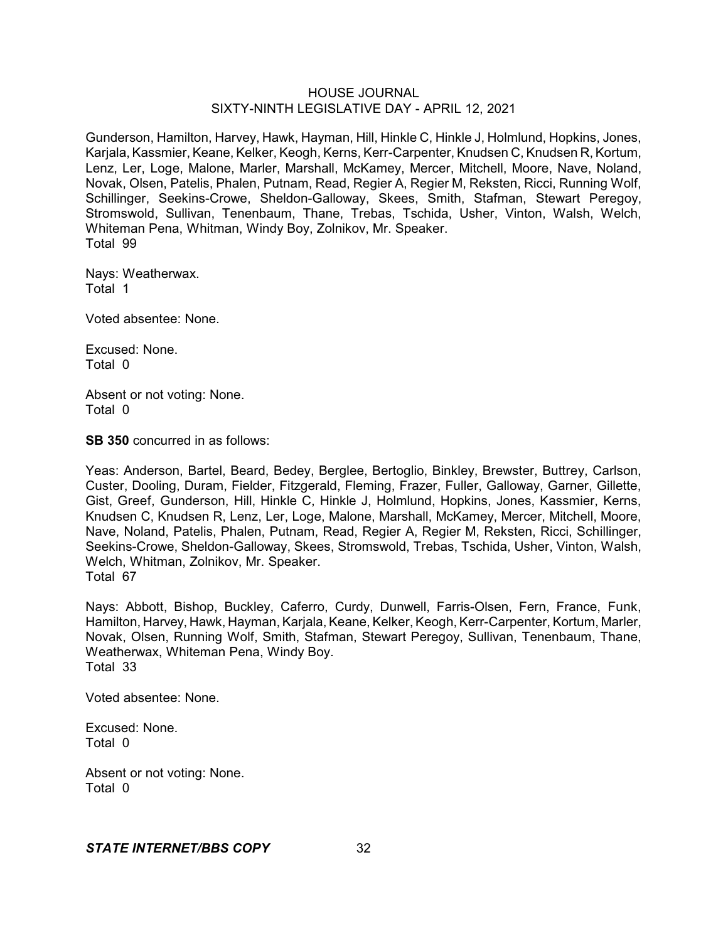Gunderson, Hamilton, Harvey, Hawk, Hayman, Hill, Hinkle C, Hinkle J, Holmlund, Hopkins, Jones, Karjala, Kassmier, Keane, Kelker, Keogh, Kerns, Kerr-Carpenter, Knudsen C, Knudsen R, Kortum, Lenz, Ler, Loge, Malone, Marler, Marshall, McKamey, Mercer, Mitchell, Moore, Nave, Noland, Novak, Olsen, Patelis, Phalen, Putnam, Read, Regier A, Regier M, Reksten, Ricci, Running Wolf, Schillinger, Seekins-Crowe, Sheldon-Galloway, Skees, Smith, Stafman, Stewart Peregoy, Stromswold, Sullivan, Tenenbaum, Thane, Trebas, Tschida, Usher, Vinton, Walsh, Welch, Whiteman Pena, Whitman, Windy Boy, Zolnikov, Mr. Speaker. Total 99

Nays: Weatherwax. Total 1

Voted absentee: None.

Excused: None. Total 0

Absent or not voting: None. Total 0

**SB 350** concurred in as follows:

Yeas: Anderson, Bartel, Beard, Bedey, Berglee, Bertoglio, Binkley, Brewster, Buttrey, Carlson, Custer, Dooling, Duram, Fielder, Fitzgerald, Fleming, Frazer, Fuller, Galloway, Garner, Gillette, Gist, Greef, Gunderson, Hill, Hinkle C, Hinkle J, Holmlund, Hopkins, Jones, Kassmier, Kerns, Knudsen C, Knudsen R, Lenz, Ler, Loge, Malone, Marshall, McKamey, Mercer, Mitchell, Moore, Nave, Noland, Patelis, Phalen, Putnam, Read, Regier A, Regier M, Reksten, Ricci, Schillinger, Seekins-Crowe, Sheldon-Galloway, Skees, Stromswold, Trebas, Tschida, Usher, Vinton, Walsh, Welch, Whitman, Zolnikov, Mr. Speaker. Total 67

Nays: Abbott, Bishop, Buckley, Caferro, Curdy, Dunwell, Farris-Olsen, Fern, France, Funk, Hamilton, Harvey, Hawk, Hayman, Karjala, Keane, Kelker, Keogh, Kerr-Carpenter, Kortum, Marler, Novak, Olsen, Running Wolf, Smith, Stafman, Stewart Peregoy, Sullivan, Tenenbaum, Thane, Weatherwax, Whiteman Pena, Windy Boy. Total 33

Voted absentee: None.

Excused: None. Total 0

Absent or not voting: None. Total 0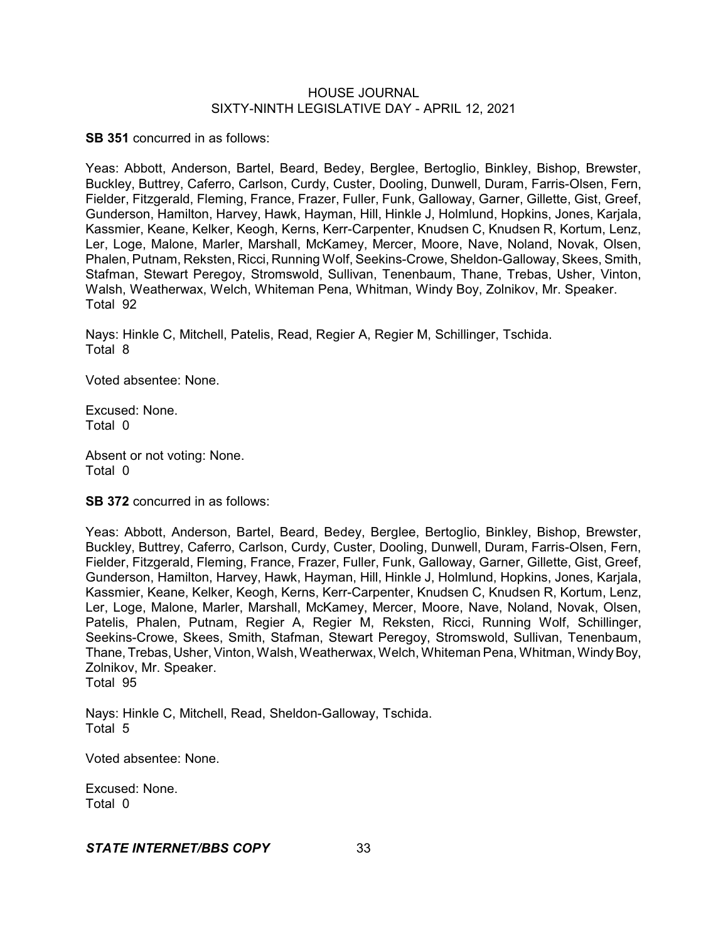**SB 351** concurred in as follows:

Yeas: Abbott, Anderson, Bartel, Beard, Bedey, Berglee, Bertoglio, Binkley, Bishop, Brewster, Buckley, Buttrey, Caferro, Carlson, Curdy, Custer, Dooling, Dunwell, Duram, Farris-Olsen, Fern, Fielder, Fitzgerald, Fleming, France, Frazer, Fuller, Funk, Galloway, Garner, Gillette, Gist, Greef, Gunderson, Hamilton, Harvey, Hawk, Hayman, Hill, Hinkle J, Holmlund, Hopkins, Jones, Karjala, Kassmier, Keane, Kelker, Keogh, Kerns, Kerr-Carpenter, Knudsen C, Knudsen R, Kortum, Lenz, Ler, Loge, Malone, Marler, Marshall, McKamey, Mercer, Moore, Nave, Noland, Novak, Olsen, Phalen, Putnam, Reksten, Ricci, Running Wolf, Seekins-Crowe, Sheldon-Galloway, Skees, Smith, Stafman, Stewart Peregoy, Stromswold, Sullivan, Tenenbaum, Thane, Trebas, Usher, Vinton, Walsh, Weatherwax, Welch, Whiteman Pena, Whitman, Windy Boy, Zolnikov, Mr. Speaker. Total 92

Nays: Hinkle C, Mitchell, Patelis, Read, Regier A, Regier M, Schillinger, Tschida. Total 8

Voted absentee: None.

Excused: None. Total 0

Absent or not voting: None. Total 0

**SB 372** concurred in as follows:

Yeas: Abbott, Anderson, Bartel, Beard, Bedey, Berglee, Bertoglio, Binkley, Bishop, Brewster, Buckley, Buttrey, Caferro, Carlson, Curdy, Custer, Dooling, Dunwell, Duram, Farris-Olsen, Fern, Fielder, Fitzgerald, Fleming, France, Frazer, Fuller, Funk, Galloway, Garner, Gillette, Gist, Greef, Gunderson, Hamilton, Harvey, Hawk, Hayman, Hill, Hinkle J, Holmlund, Hopkins, Jones, Karjala, Kassmier, Keane, Kelker, Keogh, Kerns, Kerr-Carpenter, Knudsen C, Knudsen R, Kortum, Lenz, Ler, Loge, Malone, Marler, Marshall, McKamey, Mercer, Moore, Nave, Noland, Novak, Olsen, Patelis, Phalen, Putnam, Regier A, Regier M, Reksten, Ricci, Running Wolf, Schillinger, Seekins-Crowe, Skees, Smith, Stafman, Stewart Peregoy, Stromswold, Sullivan, Tenenbaum, Thane, Trebas, Usher, Vinton, Walsh, Weatherwax, Welch, Whiteman Pena, Whitman, WindyBoy, Zolnikov, Mr. Speaker. Total 95

Nays: Hinkle C, Mitchell, Read, Sheldon-Galloway, Tschida. Total 5

Voted absentee: None.

Excused: None. Total 0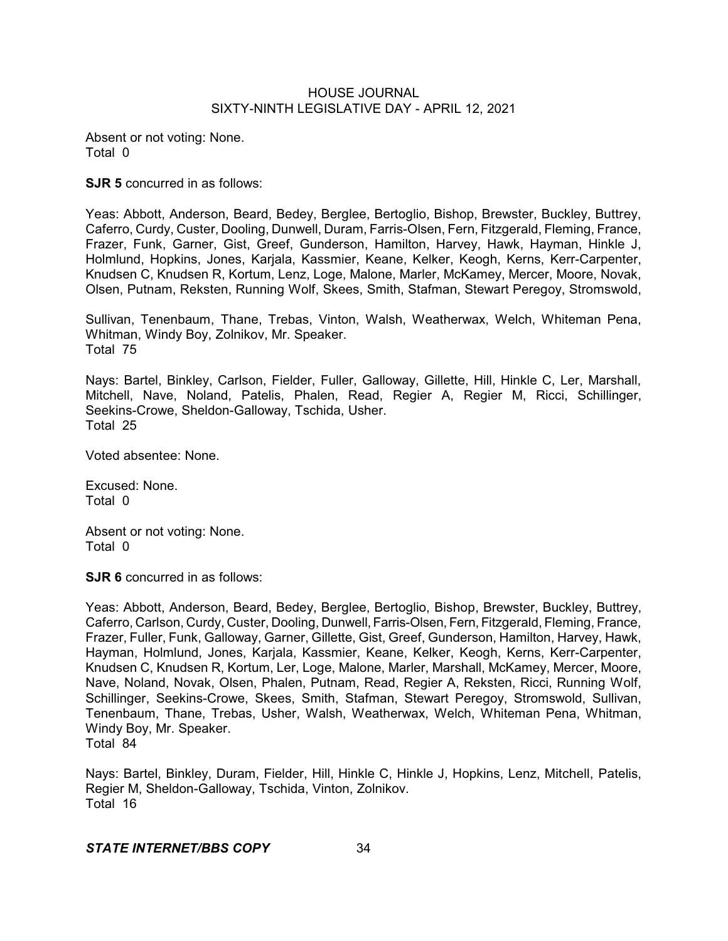Absent or not voting: None. Total 0

**SJR 5** concurred in as follows:

Yeas: Abbott, Anderson, Beard, Bedey, Berglee, Bertoglio, Bishop, Brewster, Buckley, Buttrey, Caferro, Curdy, Custer, Dooling, Dunwell, Duram, Farris-Olsen, Fern, Fitzgerald, Fleming, France, Frazer, Funk, Garner, Gist, Greef, Gunderson, Hamilton, Harvey, Hawk, Hayman, Hinkle J, Holmlund, Hopkins, Jones, Karjala, Kassmier, Keane, Kelker, Keogh, Kerns, Kerr-Carpenter, Knudsen C, Knudsen R, Kortum, Lenz, Loge, Malone, Marler, McKamey, Mercer, Moore, Novak, Olsen, Putnam, Reksten, Running Wolf, Skees, Smith, Stafman, Stewart Peregoy, Stromswold,

Sullivan, Tenenbaum, Thane, Trebas, Vinton, Walsh, Weatherwax, Welch, Whiteman Pena, Whitman, Windy Boy, Zolnikov, Mr. Speaker. Total 75

Nays: Bartel, Binkley, Carlson, Fielder, Fuller, Galloway, Gillette, Hill, Hinkle C, Ler, Marshall, Mitchell, Nave, Noland, Patelis, Phalen, Read, Regier A, Regier M, Ricci, Schillinger, Seekins-Crowe, Sheldon-Galloway, Tschida, Usher. Total 25

Voted absentee: None.

Excused: None. Total 0

Absent or not voting: None. Total 0

**SJR 6** concurred in as follows:

Yeas: Abbott, Anderson, Beard, Bedey, Berglee, Bertoglio, Bishop, Brewster, Buckley, Buttrey, Caferro, Carlson, Curdy, Custer, Dooling, Dunwell, Farris-Olsen, Fern, Fitzgerald, Fleming, France, Frazer, Fuller, Funk, Galloway, Garner, Gillette, Gist, Greef, Gunderson, Hamilton, Harvey, Hawk, Hayman, Holmlund, Jones, Karjala, Kassmier, Keane, Kelker, Keogh, Kerns, Kerr-Carpenter, Knudsen C, Knudsen R, Kortum, Ler, Loge, Malone, Marler, Marshall, McKamey, Mercer, Moore, Nave, Noland, Novak, Olsen, Phalen, Putnam, Read, Regier A, Reksten, Ricci, Running Wolf, Schillinger, Seekins-Crowe, Skees, Smith, Stafman, Stewart Peregoy, Stromswold, Sullivan, Tenenbaum, Thane, Trebas, Usher, Walsh, Weatherwax, Welch, Whiteman Pena, Whitman, Windy Boy, Mr. Speaker. Total 84

Nays: Bartel, Binkley, Duram, Fielder, Hill, Hinkle C, Hinkle J, Hopkins, Lenz, Mitchell, Patelis, Regier M, Sheldon-Galloway, Tschida, Vinton, Zolnikov. Total 16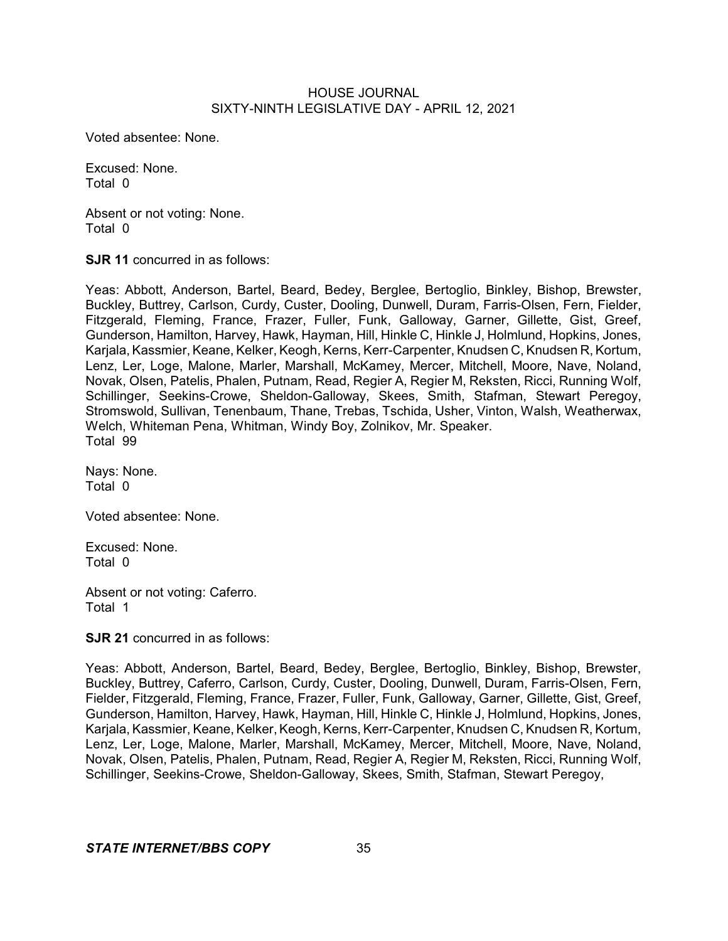Voted absentee: None.

Excused: None. Total 0

Absent or not voting: None. Total 0

**SJR 11** concurred in as follows:

Yeas: Abbott, Anderson, Bartel, Beard, Bedey, Berglee, Bertoglio, Binkley, Bishop, Brewster, Buckley, Buttrey, Carlson, Curdy, Custer, Dooling, Dunwell, Duram, Farris-Olsen, Fern, Fielder, Fitzgerald, Fleming, France, Frazer, Fuller, Funk, Galloway, Garner, Gillette, Gist, Greef, Gunderson, Hamilton, Harvey, Hawk, Hayman, Hill, Hinkle C, Hinkle J, Holmlund, Hopkins, Jones, Karjala, Kassmier, Keane, Kelker, Keogh, Kerns, Kerr-Carpenter, Knudsen C, Knudsen R, Kortum, Lenz, Ler, Loge, Malone, Marler, Marshall, McKamey, Mercer, Mitchell, Moore, Nave, Noland, Novak, Olsen, Patelis, Phalen, Putnam, Read, Regier A, Regier M, Reksten, Ricci, Running Wolf, Schillinger, Seekins-Crowe, Sheldon-Galloway, Skees, Smith, Stafman, Stewart Peregoy, Stromswold, Sullivan, Tenenbaum, Thane, Trebas, Tschida, Usher, Vinton, Walsh, Weatherwax, Welch, Whiteman Pena, Whitman, Windy Boy, Zolnikov, Mr. Speaker. Total 99

Nays: None. Total 0

Voted absentee: None.

Excused: None. Total 0

Absent or not voting: Caferro. Total 1

**SJR 21** concurred in as follows:

Yeas: Abbott, Anderson, Bartel, Beard, Bedey, Berglee, Bertoglio, Binkley, Bishop, Brewster, Buckley, Buttrey, Caferro, Carlson, Curdy, Custer, Dooling, Dunwell, Duram, Farris-Olsen, Fern, Fielder, Fitzgerald, Fleming, France, Frazer, Fuller, Funk, Galloway, Garner, Gillette, Gist, Greef, Gunderson, Hamilton, Harvey, Hawk, Hayman, Hill, Hinkle C, Hinkle J, Holmlund, Hopkins, Jones, Karjala, Kassmier, Keane, Kelker, Keogh, Kerns, Kerr-Carpenter, Knudsen C, Knudsen R, Kortum, Lenz, Ler, Loge, Malone, Marler, Marshall, McKamey, Mercer, Mitchell, Moore, Nave, Noland, Novak, Olsen, Patelis, Phalen, Putnam, Read, Regier A, Regier M, Reksten, Ricci, Running Wolf, Schillinger, Seekins-Crowe, Sheldon-Galloway, Skees, Smith, Stafman, Stewart Peregoy,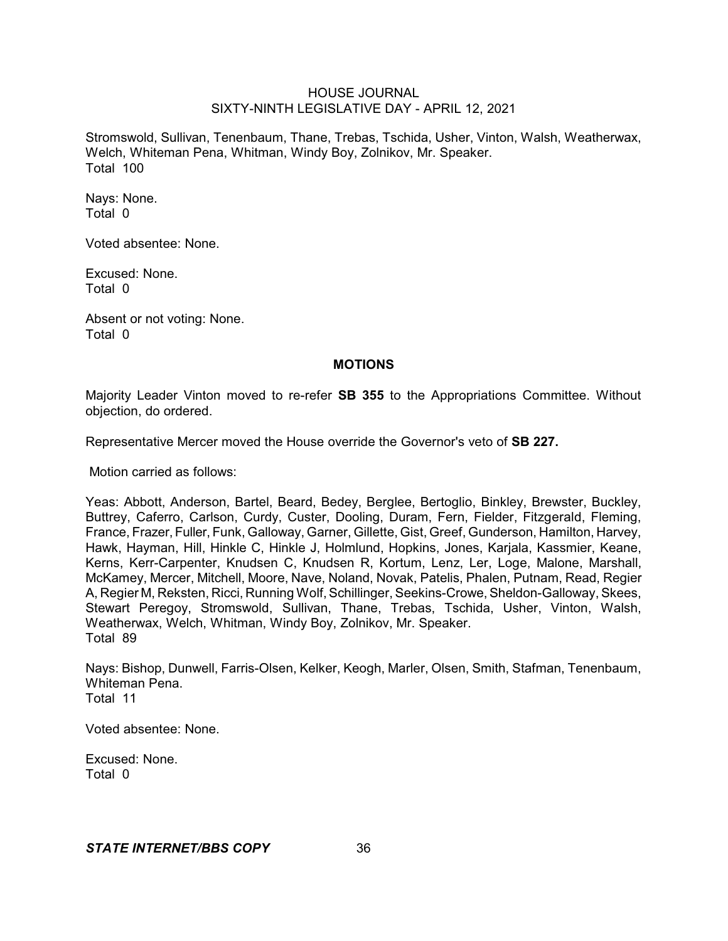Stromswold, Sullivan, Tenenbaum, Thane, Trebas, Tschida, Usher, Vinton, Walsh, Weatherwax, Welch, Whiteman Pena, Whitman, Windy Boy, Zolnikov, Mr. Speaker. Total 100

Nays: None. Total 0

Voted absentee: None.

Excused: None. Total 0

Absent or not voting: None. Total 0

#### **MOTIONS**

Majority Leader Vinton moved to re-refer **SB 355** to the Appropriations Committee. Without objection, do ordered.

Representative Mercer moved the House override the Governor's veto of **SB 227.**

Motion carried as follows:

Yeas: Abbott, Anderson, Bartel, Beard, Bedey, Berglee, Bertoglio, Binkley, Brewster, Buckley, Buttrey, Caferro, Carlson, Curdy, Custer, Dooling, Duram, Fern, Fielder, Fitzgerald, Fleming, France, Frazer, Fuller, Funk, Galloway, Garner, Gillette, Gist, Greef, Gunderson, Hamilton, Harvey, Hawk, Hayman, Hill, Hinkle C, Hinkle J, Holmlund, Hopkins, Jones, Karjala, Kassmier, Keane, Kerns, Kerr-Carpenter, Knudsen C, Knudsen R, Kortum, Lenz, Ler, Loge, Malone, Marshall, McKamey, Mercer, Mitchell, Moore, Nave, Noland, Novak, Patelis, Phalen, Putnam, Read, Regier A, Regier M, Reksten, Ricci, Running Wolf, Schillinger, Seekins-Crowe, Sheldon-Galloway, Skees, Stewart Peregoy, Stromswold, Sullivan, Thane, Trebas, Tschida, Usher, Vinton, Walsh, Weatherwax, Welch, Whitman, Windy Boy, Zolnikov, Mr. Speaker. Total 89

Nays: Bishop, Dunwell, Farris-Olsen, Kelker, Keogh, Marler, Olsen, Smith, Stafman, Tenenbaum, Whiteman Pena. Total 11

Voted absentee: None.

Excused: None. Total 0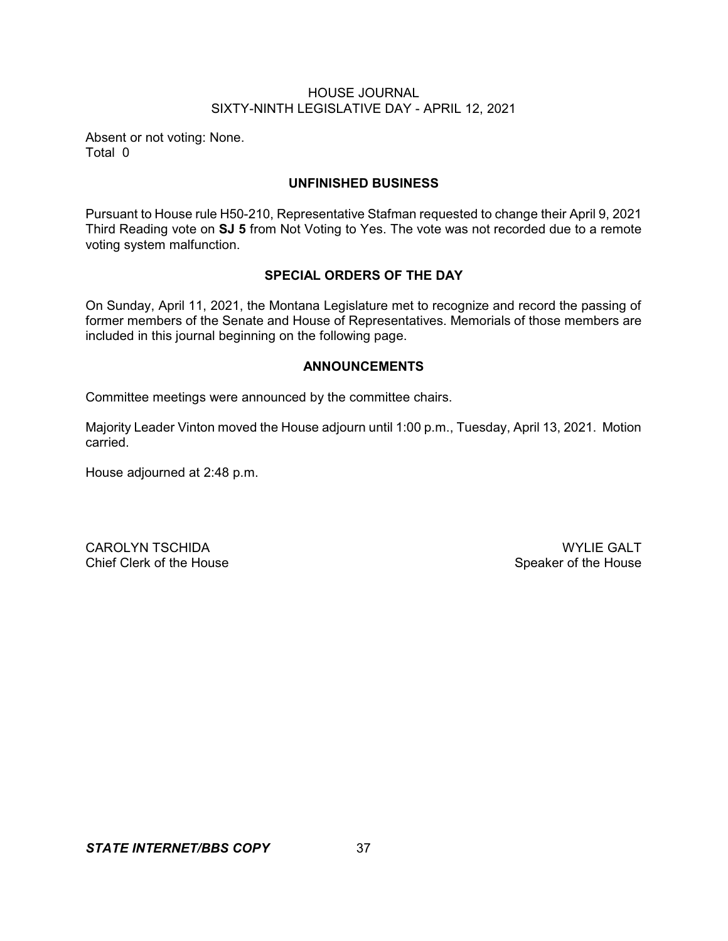Absent or not voting: None. Total 0

## **UNFINISHED BUSINESS**

Pursuant to House rule H50-210, Representative Stafman requested to change their April 9, 2021 Third Reading vote on **SJ 5** from Not Voting to Yes. The vote was not recorded due to a remote voting system malfunction.

## **SPECIAL ORDERS OF THE DAY**

On Sunday, April 11, 2021, the Montana Legislature met to recognize and record the passing of former members of the Senate and House of Representatives. Memorials of those members are included in this journal beginning on the following page.

## **ANNOUNCEMENTS**

Committee meetings were announced by the committee chairs.

Majority Leader Vinton moved the House adjourn until 1:00 p.m., Tuesday, April 13, 2021. Motion carried.

House adjourned at 2:48 p.m.

CAROLYN TSCHIDA WYLIE GALT<br>Chief Clerk of the House Chief Clerk of the House

Speaker of the House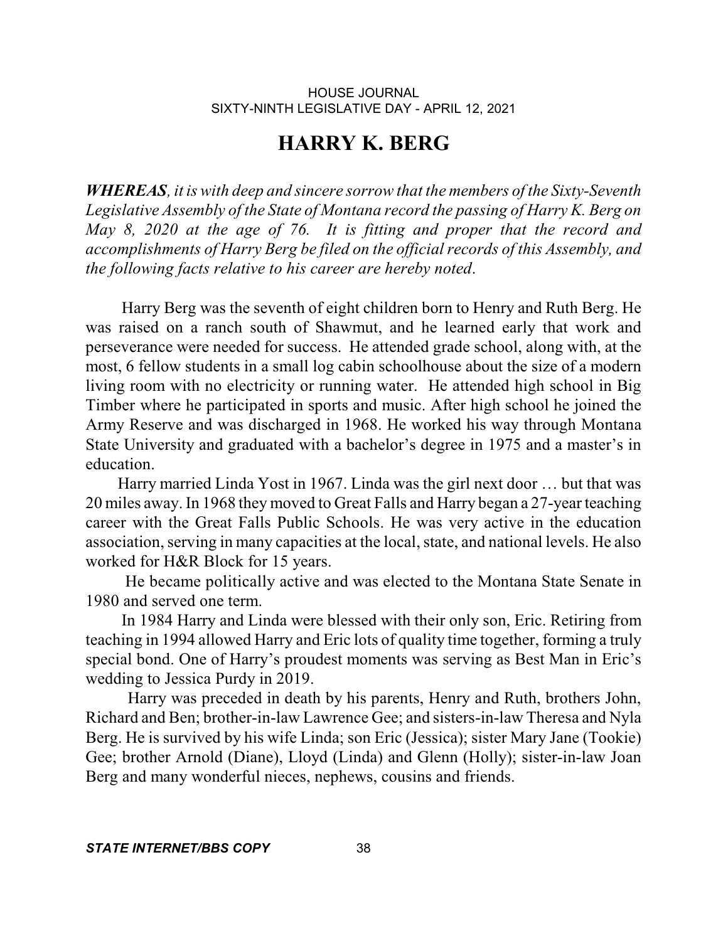# **HARRY K. BERG**

*WHEREAS, it is with deep and sincere sorrow that the members of the Sixty-Seventh Legislative Assembly of the State of Montana record the passing of Harry K. Berg on May 8, 2020 at the age of 76. It is fitting and proper that the record and accomplishments of Harry Berg be filed on the officialrecords of this Assembly, and the following facts relative to his career are hereby noted*.

Harry Berg was the seventh of eight children born to Henry and Ruth Berg. He was raised on a ranch south of Shawmut, and he learned early that work and perseverance were needed for success. He attended grade school, along with, at the most, 6 fellow students in a small log cabin schoolhouse about the size of a modern living room with no electricity or running water. He attended high school in Big Timber where he participated in sports and music. After high school he joined the Army Reserve and was discharged in 1968. He worked his way through Montana State University and graduated with a bachelor's degree in 1975 and a master's in education.

Harry married Linda Yost in 1967. Linda was the girl next door … but that was 20 miles away. In 1968 they moved to Great Falls and Harry began a 27-year teaching career with the Great Falls Public Schools. He was very active in the education association, serving in many capacities at the local, state, and national levels. He also worked for H&R Block for 15 years.

He became politically active and was elected to the Montana State Senate in 1980 and served one term.

In 1984 Harry and Linda were blessed with their only son, Eric. Retiring from teaching in 1994 allowed Harry and Eric lots of quality time together, forming a truly special bond. One of Harry's proudest moments was serving as Best Man in Eric's wedding to Jessica Purdy in 2019.

Harry was preceded in death by his parents, Henry and Ruth, brothers John, Richard and Ben; brother-in-law Lawrence Gee; and sisters-in-law Theresa and Nyla Berg. He is survived by his wife Linda; son Eric (Jessica); sister Mary Jane (Tookie) Gee; brother Arnold (Diane), Lloyd (Linda) and Glenn (Holly); sister-in-law Joan Berg and many wonderful nieces, nephews, cousins and friends.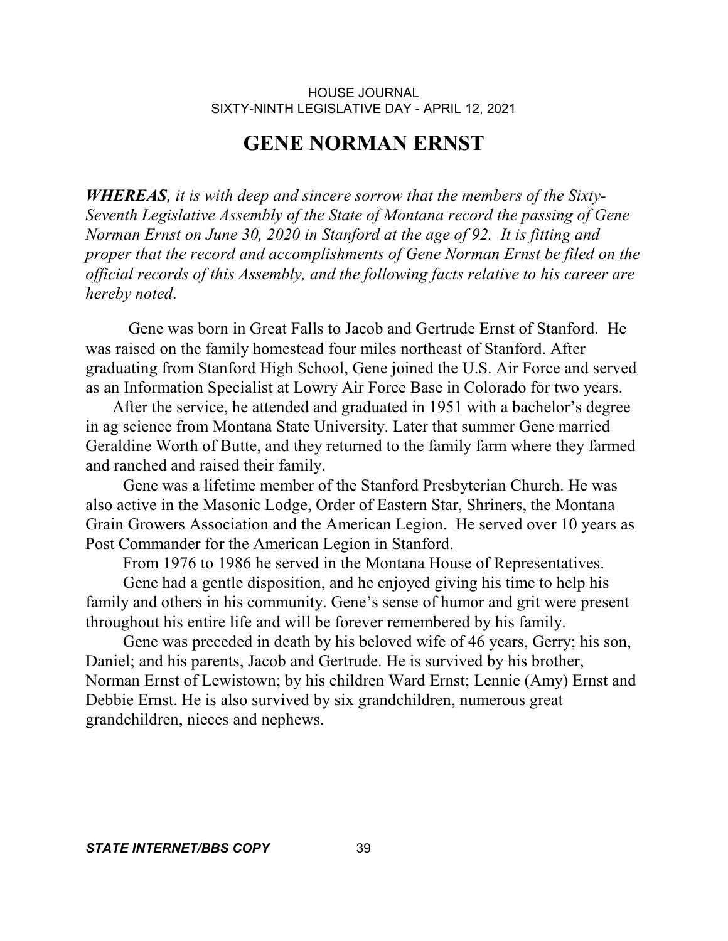## **GENE NORMAN ERNST**

*WHEREAS, it is with deep and sincere sorrow that the members of the Sixty-Seventh Legislative Assembly of the State of Montana record the passing of Gene Norman Ernst on June 30, 2020 in Stanford at the age of 92. It is fitting and proper that the record and accomplishments of Gene Norman Ernst be filed on the official records of this Assembly, and the following facts relative to his career are hereby noted*.

Gene was born in Great Falls to Jacob and Gertrude Ernst of Stanford. He was raised on the family homestead four miles northeast of Stanford. After graduating from Stanford High School, Gene joined the U.S. Air Force and served as an Information Specialist at Lowry Air Force Base in Colorado for two years.

 After the service, he attended and graduated in 1951 with a bachelor's degree in ag science from Montana State University. Later that summer Gene married Geraldine Worth of Butte, and they returned to the family farm where they farmed and ranched and raised their family.

 Gene was a lifetime member of the Stanford Presbyterian Church. He was also active in the Masonic Lodge, Order of Eastern Star, Shriners, the Montana Grain Growers Association and the American Legion. He served over 10 years as Post Commander for the American Legion in Stanford.

From 1976 to 1986 he served in the Montana House of Representatives.

 Gene had a gentle disposition, and he enjoyed giving his time to help his family and others in his community. Gene's sense of humor and grit were present throughout his entire life and will be forever remembered by his family.

 Gene was preceded in death by his beloved wife of 46 years, Gerry; his son, Daniel; and his parents, Jacob and Gertrude. He is survived by his brother, Norman Ernst of Lewistown; by his children Ward Ernst; Lennie (Amy) Ernst and Debbie Ernst. He is also survived by six grandchildren, numerous great grandchildren, nieces and nephews.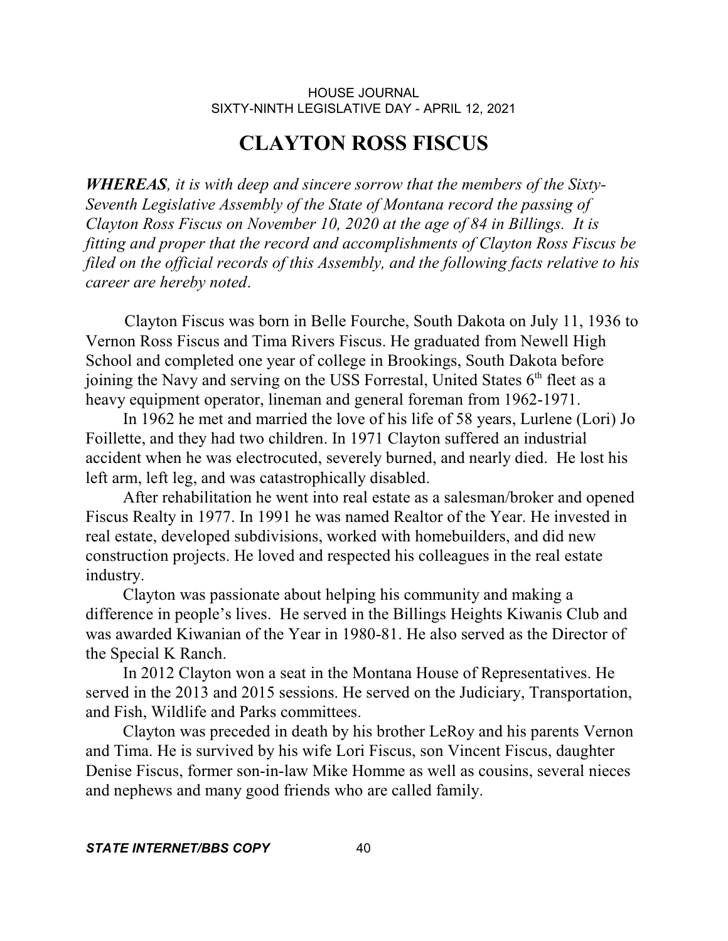## **CLAYTON ROSS FISCUS**

*WHEREAS, it is with deep and sincere sorrow that the members of the Sixty-Seventh Legislative Assembly of the State of Montana record the passing of Clayton Ross Fiscus on November 10, 2020 at the age of 84 in Billings. It is fitting and proper that the record and accomplishments of Clayton Ross Fiscus be filed on the official records of this Assembly, and the following facts relative to his career are hereby noted*.

 Clayton Fiscus was born in Belle Fourche, South Dakota on July 11, 1936 to Vernon Ross Fiscus and Tima Rivers Fiscus. He graduated from Newell High School and completed one year of college in Brookings, South Dakota before joining the Navy and serving on the USS Forrestal, United States  $6<sup>th</sup>$  fleet as a heavy equipment operator, lineman and general foreman from 1962-1971.

 In 1962 he met and married the love of his life of 58 years, Lurlene (Lori) Jo Foillette, and they had two children. In 1971 Clayton suffered an industrial accident when he was electrocuted, severely burned, and nearly died. He lost his left arm, left leg, and was catastrophically disabled.

 After rehabilitation he went into real estate as a salesman/broker and opened Fiscus Realty in 1977. In 1991 he was named Realtor of the Year. He invested in real estate, developed subdivisions, worked with homebuilders, and did new construction projects. He loved and respected his colleagues in the real estate industry.

 Clayton was passionate about helping his community and making a difference in people's lives. He served in the Billings Heights Kiwanis Club and was awarded Kiwanian of the Year in 1980-81. He also served as the Director of the Special K Ranch.

 In 2012 Clayton won a seat in the Montana House of Representatives. He served in the 2013 and 2015 sessions. He served on the Judiciary, Transportation, and Fish, Wildlife and Parks committees.

 Clayton was preceded in death by his brother LeRoy and his parents Vernon and Tima. He is survived by his wife Lori Fiscus, son Vincent Fiscus, daughter Denise Fiscus, former son-in-law Mike Homme as well as cousins, several nieces and nephews and many good friends who are called family.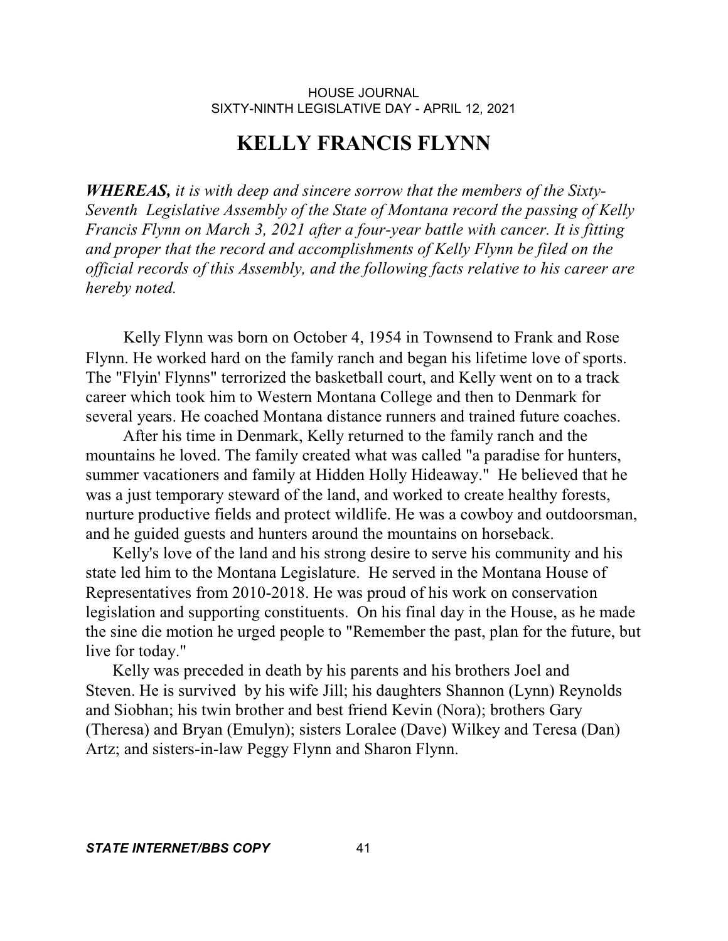## **KELLY FRANCIS FLYNN**

*WHEREAS, it is with deep and sincere sorrow that the members of the Sixty-Seventh Legislative Assembly of the State of Montana record the passing of Kelly Francis Flynn on March 3, 2021 after a four-year battle with cancer. It is fitting and proper that the record and accomplishments of Kelly Flynn be filed on the official records of this Assembly, and the following facts relative to his career are hereby noted.*

 Kelly Flynn was born on October 4, 1954 in Townsend to Frank and Rose Flynn. He worked hard on the family ranch and began his lifetime love of sports. The "Flyin' Flynns" terrorized the basketball court, and Kelly went on to a track career which took him to Western Montana College and then to Denmark for several years. He coached Montana distance runners and trained future coaches.

 After his time in Denmark, Kelly returned to the family ranch and the mountains he loved. The family created what was called "a paradise for hunters, summer vacationers and family at Hidden Holly Hideaway." He believed that he was a just temporary steward of the land, and worked to create healthy forests, nurture productive fields and protect wildlife. He was a cowboy and outdoorsman, and he guided guests and hunters around the mountains on horseback.

 Kelly's love of the land and his strong desire to serve his community and his state led him to the Montana Legislature. He served in the Montana House of Representatives from 2010-2018. He was proud of his work on conservation legislation and supporting constituents. On his final day in the House, as he made the sine die motion he urged people to "Remember the past, plan for the future, but live for today."

 Kelly was preceded in death by his parents and his brothers Joel and Steven. He is survived by his wife Jill; his daughters Shannon (Lynn) Reynolds and Siobhan; his twin brother and best friend Kevin (Nora); brothers Gary (Theresa) and Bryan (Emulyn); sisters Loralee (Dave) Wilkey and Teresa (Dan) Artz; and sisters-in-law Peggy Flynn and Sharon Flynn.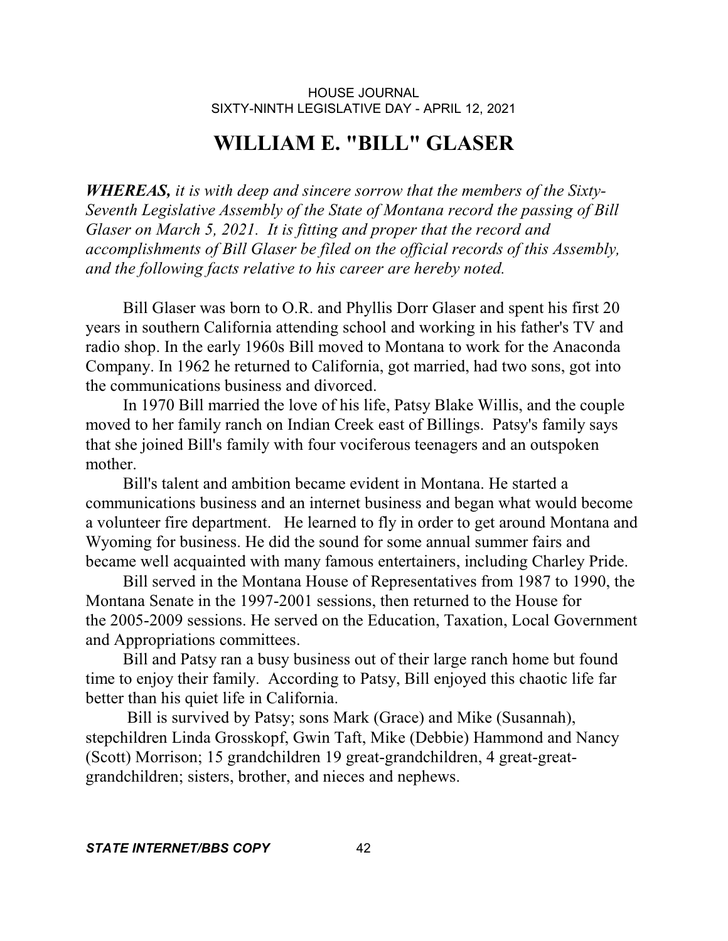# **WILLIAM E. "BILL" GLASER**

*WHEREAS, it is with deep and sincere sorrow that the members of the Sixty-Seventh Legislative Assembly of the State of Montana record the passing of Bill Glaser on March 5, 2021. It is fitting and proper that the record and accomplishments of Bill Glaser be filed on the official records of this Assembly, and the following facts relative to his career are hereby noted.*

 Bill Glaser was born to O.R. and Phyllis Dorr Glaser and spent his first 20 years in southern California attending school and working in his father's TV and radio shop. In the early 1960s Bill moved to Montana to work for the Anaconda Company. In 1962 he returned to California, got married, had two sons, got into the communications business and divorced.

 In 1970 Bill married the love of his life, Patsy Blake Willis, and the couple moved to her family ranch on Indian Creek east of Billings. Patsy's family says that she joined Bill's family with four vociferous teenagers and an outspoken mother.

 Bill's talent and ambition became evident in Montana. He started a communications business and an internet business and began what would become a volunteer fire department. He learned to fly in order to get around Montana and Wyoming for business. He did the sound for some annual summer fairs and became well acquainted with many famous entertainers, including Charley Pride.

 Bill served in the Montana House of Representatives from 1987 to 1990, the Montana Senate in the 1997-2001 sessions, then returned to the House for the 2005-2009 sessions. He served on the Education, Taxation, Local Government and Appropriations committees.

 Bill and Patsy ran a busy business out of their large ranch home but found time to enjoy their family. According to Patsy, Bill enjoyed this chaotic life far better than his quiet life in California.

 Bill is survived by Patsy; sons Mark (Grace) and Mike (Susannah), stepchildren Linda Grosskopf, Gwin Taft, Mike (Debbie) Hammond and Nancy (Scott) Morrison; 15 grandchildren 19 great-grandchildren, 4 great-greatgrandchildren; sisters, brother, and nieces and nephews.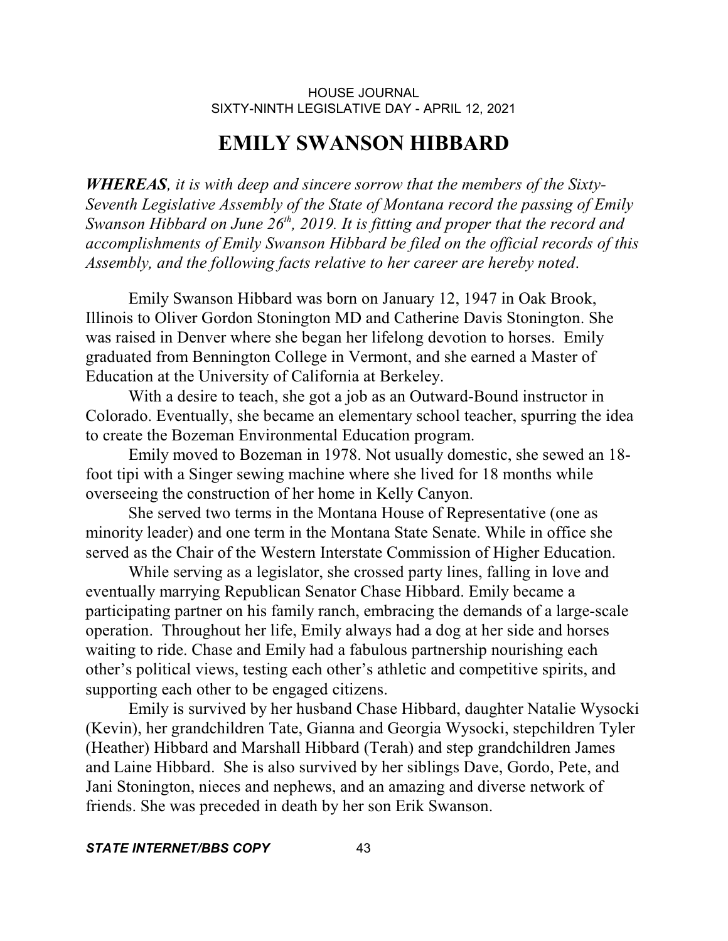## **EMILY SWANSON HIBBARD**

*WHEREAS, it is with deep and sincere sorrow that the members of the Sixty-Seventh Legislative Assembly of the State of Montana record the passing of Emily Swanson Hibbard on June 26 th , 2019. It is fitting and proper that the record and accomplishments of Emily Swanson Hibbard be filed on the official records of this Assembly, and the following facts relative to her career are hereby noted*.

Emily Swanson Hibbard was born on January 12, 1947 in Oak Brook, Illinois to Oliver Gordon Stonington MD and Catherine Davis Stonington. She was raised in Denver where she began her lifelong devotion to horses. Emily graduated from Bennington College in Vermont, and she earned a Master of Education at the University of California at Berkeley.

With a desire to teach, she got a job as an Outward-Bound instructor in Colorado. Eventually, she became an elementary school teacher, spurring the idea to create the Bozeman Environmental Education program.

Emily moved to Bozeman in 1978. Not usually domestic, she sewed an 18 foot tipi with a Singer sewing machine where she lived for 18 months while overseeing the construction of her home in Kelly Canyon.

She served two terms in the Montana House of Representative (one as minority leader) and one term in the Montana State Senate. While in office she served as the Chair of the Western Interstate Commission of Higher Education.

While serving as a legislator, she crossed party lines, falling in love and eventually marrying Republican Senator Chase Hibbard. Emily became a participating partner on his family ranch, embracing the demands of a large-scale operation. Throughout her life, Emily always had a dog at her side and horses waiting to ride. Chase and Emily had a fabulous partnership nourishing each other's political views, testing each other's athletic and competitive spirits, and supporting each other to be engaged citizens.

Emily is survived by her husband Chase Hibbard, daughter Natalie Wysocki (Kevin), her grandchildren Tate, Gianna and Georgia Wysocki, stepchildren Tyler (Heather) Hibbard and Marshall Hibbard (Terah) and step grandchildren James and Laine Hibbard. She is also survived by her siblings Dave, Gordo, Pete, and Jani Stonington, nieces and nephews, and an amazing and diverse network of friends. She was preceded in death by her son Erik Swanson.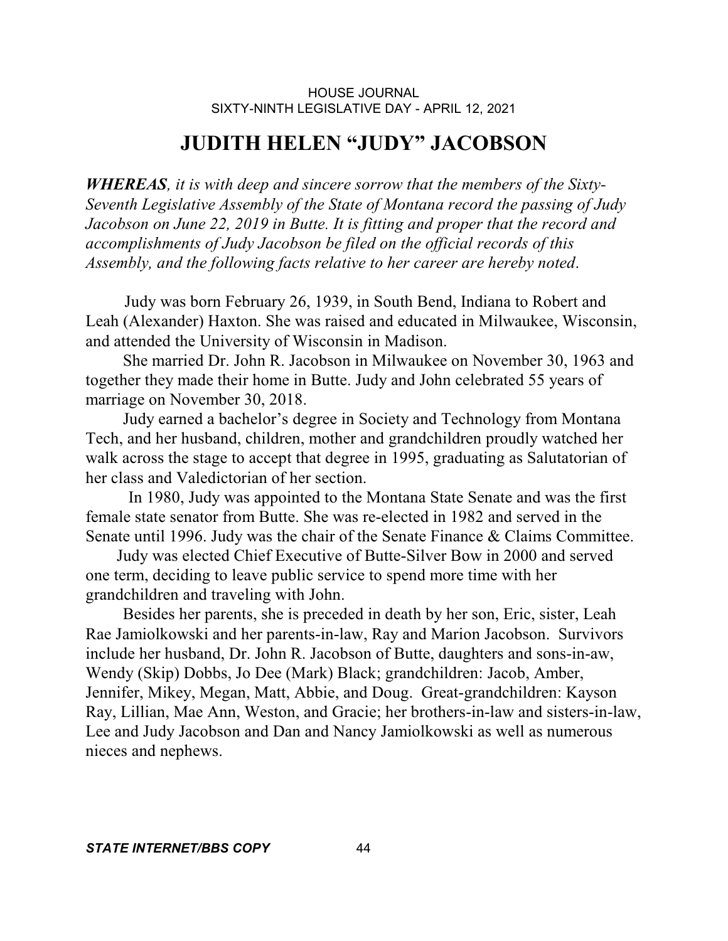# **JUDITH HELEN "JUDY" JACOBSON**

*WHEREAS, it is with deep and sincere sorrow that the members of the Sixty-Seventh Legislative Assembly of the State of Montana record the passing of Judy Jacobson on June 22, 2019 in Butte. It is fitting and proper that the record and accomplishments of Judy Jacobson be filed on the official records of this Assembly, and the following facts relative to her career are hereby noted*.

 Judy was born February 26, 1939, in South Bend, Indiana to Robert and Leah (Alexander) Haxton. She was raised and educated in Milwaukee, Wisconsin, and attended the University of Wisconsin in Madison.

 She married Dr. John R. Jacobson in Milwaukee on November 30, 1963 and together they made their home in Butte. Judy and John celebrated 55 years of marriage on November 30, 2018.

 Judy earned a bachelor's degree in Society and Technology from Montana Tech, and her husband, children, mother and grandchildren proudly watched her walk across the stage to accept that degree in 1995, graduating as Salutatorian of her class and Valedictorian of her section.

In 1980, Judy was appointed to the Montana State Senate and was the first female state senator from Butte. She was re-elected in 1982 and served in the Senate until 1996. Judy was the chair of the Senate Finance & Claims Committee.

 Judy was elected Chief Executive of Butte-Silver Bow in 2000 and served one term, deciding to leave public service to spend more time with her grandchildren and traveling with John.

 Besides her parents, she is preceded in death by her son, Eric, sister, Leah Rae Jamiolkowski and her parents-in-law, Ray and Marion Jacobson. Survivors include her husband, Dr. John R. Jacobson of Butte, daughters and sons-in-aw, Wendy (Skip) Dobbs, Jo Dee (Mark) Black; grandchildren: Jacob, Amber, Jennifer, Mikey, Megan, Matt, Abbie, and Doug. Great-grandchildren: Kayson Ray, Lillian, Mae Ann, Weston, and Gracie; her brothers-in-law and sisters-in-law, Lee and Judy Jacobson and Dan and Nancy Jamiolkowski as well as numerous nieces and nephews.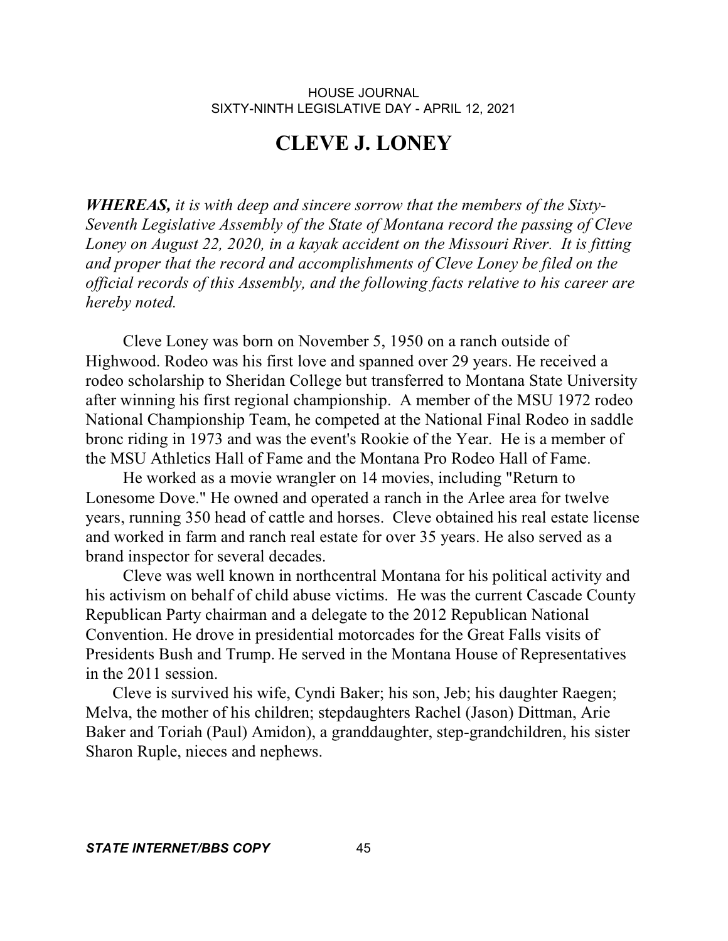## **CLEVE J. LONEY**

*WHEREAS, it is with deep and sincere sorrow that the members of the Sixty-Seventh Legislative Assembly of the State of Montana record the passing of Cleve Loney on August 22, 2020, in a kayak accident on the Missouri River. It is fitting and proper that the record and accomplishments of Cleve Loney be filed on the official records of this Assembly, and the following facts relative to his career are hereby noted.*

 Cleve Loney was born on November 5, 1950 on a ranch outside of Highwood. Rodeo was his first love and spanned over 29 years. He received a rodeo scholarship to Sheridan College but transferred to Montana State University after winning his first regional championship. A member of the MSU 1972 rodeo National Championship Team, he competed at the National Final Rodeo in saddle bronc riding in 1973 and was the event's Rookie of the Year. He is a member of the MSU Athletics Hall of Fame and the Montana Pro Rodeo Hall of Fame.

 He worked as a movie wrangler on 14 movies, including "Return to Lonesome Dove." He owned and operated a ranch in the Arlee area for twelve years, running 350 head of cattle and horses. Cleve obtained his real estate license and worked in farm and ranch real estate for over 35 years. He also served as a brand inspector for several decades.

 Cleve was well known in northcentral Montana for his political activity and his activism on behalf of child abuse victims. He was the current Cascade County Republican Party chairman and a delegate to the 2012 Republican National Convention. He drove in presidential motorcades for the Great Falls visits of Presidents Bush and Trump. He served in the Montana House of Representatives in the 2011 session.

 Cleve is survived his wife, Cyndi Baker; his son, Jeb; his daughter Raegen; Melva, the mother of his children; stepdaughters Rachel (Jason) Dittman, Arie Baker and Toriah (Paul) Amidon), a granddaughter, step-grandchildren, his sister Sharon Ruple, nieces and nephews.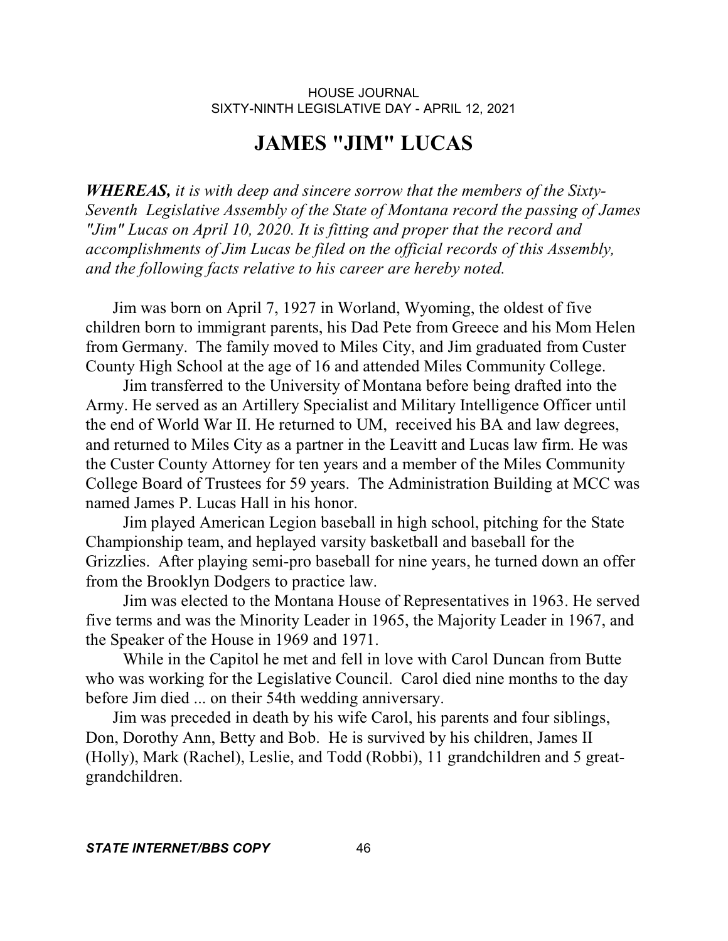# **JAMES "JIM" LUCAS**

*WHEREAS, it is with deep and sincere sorrow that the members of the Sixty-Seventh Legislative Assembly of the State of Montana record the passing of James "Jim" Lucas on April 10, 2020. It is fitting and proper that the record and accomplishments of Jim Lucas be filed on the official records of this Assembly, and the following facts relative to his career are hereby noted.*

 Jim was born on April 7, 1927 in Worland, Wyoming, the oldest of five children born to immigrant parents, his Dad Pete from Greece and his Mom Helen from Germany. The family moved to Miles City, and Jim graduated from Custer County High School at the age of 16 and attended Miles Community College.

 Jim transferred to the University of Montana before being drafted into the Army. He served as an Artillery Specialist and Military Intelligence Officer until the end of World War II. He returned to UM, received his BA and law degrees, and returned to Miles City as a partner in the Leavitt and Lucas law firm. He was the Custer County Attorney for ten years and a member of the Miles Community College Board of Trustees for 59 years. The Administration Building at MCC was named James P. Lucas Hall in his honor.

 Jim played American Legion baseball in high school, pitching for the State Championship team, and heplayed varsity basketball and baseball for the Grizzlies. After playing semi-pro baseball for nine years, he turned down an offer from the Brooklyn Dodgers to practice law.

 Jim was elected to the Montana House of Representatives in 1963. He served five terms and was the Minority Leader in 1965, the Majority Leader in 1967, and the Speaker of the House in 1969 and 1971.

 While in the Capitol he met and fell in love with Carol Duncan from Butte who was working for the Legislative Council. Carol died nine months to the day before Jim died ... on their 54th wedding anniversary.

 Jim was preceded in death by his wife Carol, his parents and four siblings, Don, Dorothy Ann, Betty and Bob. He is survived by his children, James II (Holly), Mark (Rachel), Leslie, and Todd (Robbi), 11 grandchildren and 5 greatgrandchildren.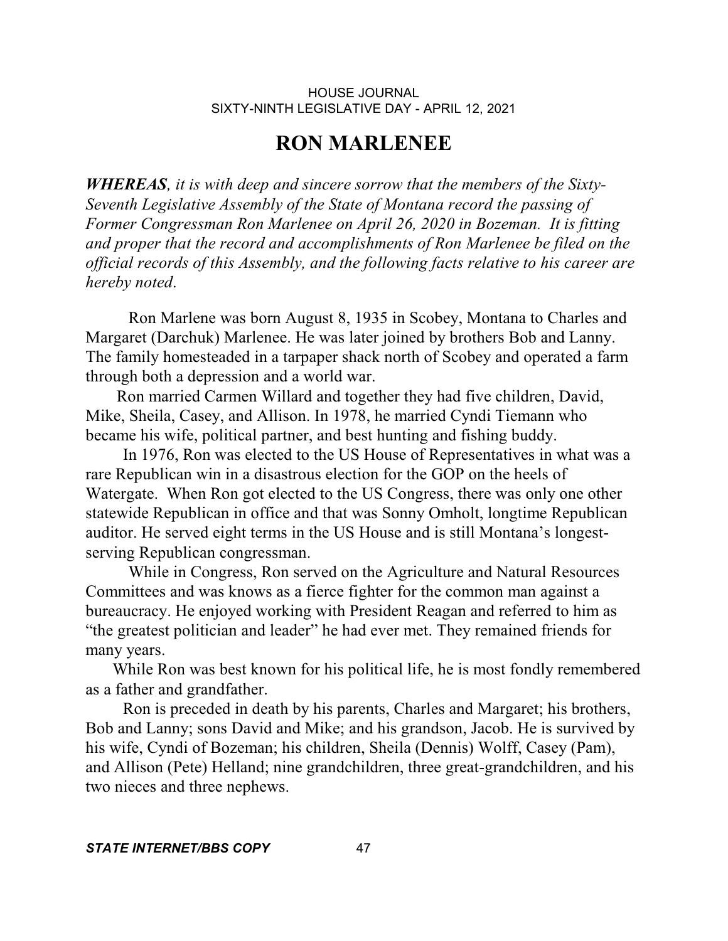# **RON MARLENEE**

*WHEREAS, it is with deep and sincere sorrow that the members of the Sixty-Seventh Legislative Assembly of the State of Montana record the passing of Former Congressman Ron Marlenee on April 26, 2020 in Bozeman. It is fitting and proper that the record and accomplishments of Ron Marlenee be filed on the official records of this Assembly, and the following facts relative to his career are hereby noted*.

Ron Marlene was born August 8, 1935 in Scobey, Montana to Charles and Margaret (Darchuk) Marlenee. He was later joined by brothers Bob and Lanny. The family homesteaded in a tarpaper shack north of Scobey and operated a farm through both a depression and a world war.

 Ron married Carmen Willard and together they had five children, David, Mike, Sheila, Casey, and Allison. In 1978, he married Cyndi Tiemann who became his wife, political partner, and best hunting and fishing buddy.

 In 1976, Ron was elected to the US House of Representatives in what was a rare Republican win in a disastrous election for the GOP on the heels of Watergate. When Ron got elected to the US Congress, there was only one other statewide Republican in office and that was Sonny Omholt, longtime Republican auditor. He served eight terms in the US House and is still Montana's longestserving Republican congressman.

While in Congress, Ron served on the Agriculture and Natural Resources Committees and was knows as a fierce fighter for the common man against a bureaucracy. He enjoyed working with President Reagan and referred to him as "the greatest politician and leader" he had ever met. They remained friends for many years.

 While Ron was best known for his political life, he is most fondly remembered as a father and grandfather.

 Ron is preceded in death by his parents, Charles and Margaret; his brothers, Bob and Lanny; sons David and Mike; and his grandson, Jacob. He is survived by his wife, Cyndi of Bozeman; his children, Sheila (Dennis) Wolff, Casey (Pam), and Allison (Pete) Helland; nine grandchildren, three great-grandchildren, and his two nieces and three nephews.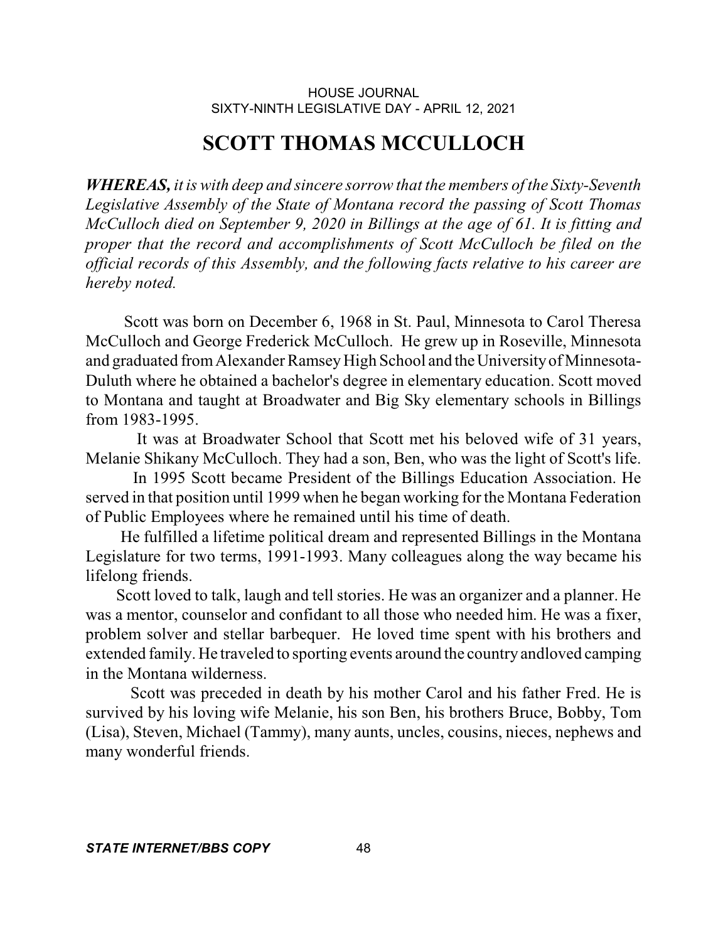## **SCOTT THOMAS MCCULLOCH**

*WHEREAS, it is with deep and sincere sorrow that the members of the Sixty-Seventh Legislative Assembly of the State of Montana record the passing of Scott Thomas McCulloch died on September 9, 2020 in Billings at the age of 61. It is fitting and proper that the record and accomplishments of Scott McCulloch be filed on the official records of this Assembly, and the following facts relative to his career are hereby noted.* 

 Scott was born on December 6, 1968 in St. Paul, Minnesota to Carol Theresa McCulloch and George Frederick McCulloch. He grew up in Roseville, Minnesota and graduated from Alexander Ramsey High School and the University of Minnesota-Duluth where he obtained a bachelor's degree in elementary education. Scott moved to Montana and taught at Broadwater and Big Sky elementary schools in Billings from 1983-1995.

It was at Broadwater School that Scott met his beloved wife of 31 years, Melanie Shikany McCulloch. They had a son, Ben, who was the light of Scott's life.

In 1995 Scott became President of the Billings Education Association. He served in that position until 1999 when he began working for the Montana Federation of Public Employees where he remained until his time of death.

He fulfilled a lifetime political dream and represented Billings in the Montana Legislature for two terms, 1991-1993. Many colleagues along the way became his lifelong friends.

Scott loved to talk, laugh and tell stories. He was an organizer and a planner. He was a mentor, counselor and confidant to all those who needed him. He was a fixer, problem solver and stellar barbequer. He loved time spent with his brothers and extended family. He traveled to sporting events around the country andloved camping in the Montana wilderness.

Scott was preceded in death by his mother Carol and his father Fred. He is survived by his loving wife Melanie, his son Ben, his brothers Bruce, Bobby, Tom (Lisa), Steven, Michael (Tammy), many aunts, uncles, cousins, nieces, nephews and many wonderful friends.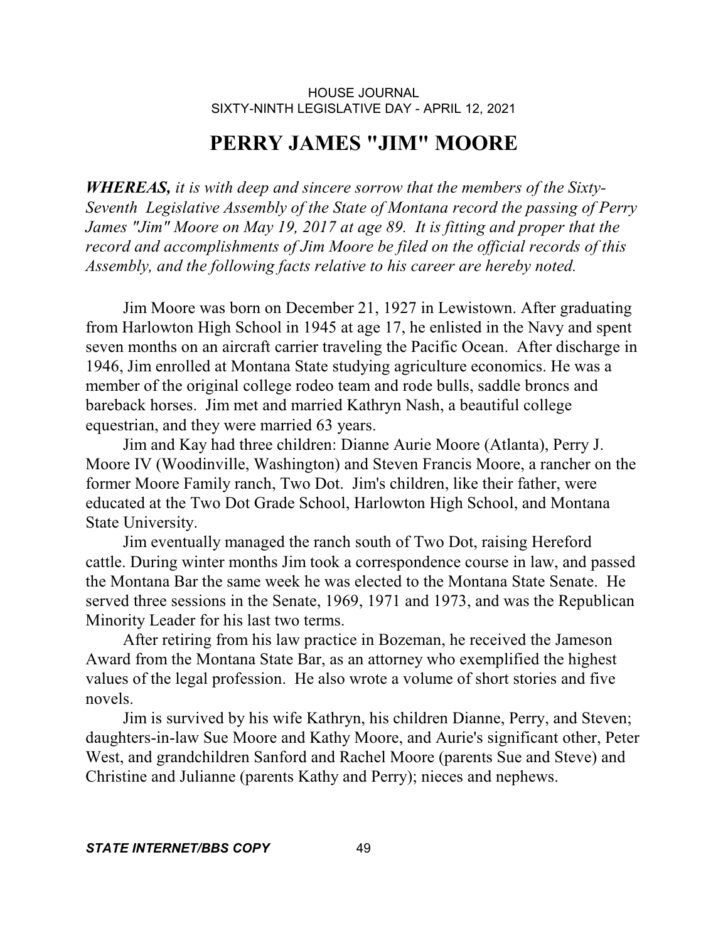## **PERRY JAMES "JIM" MOORE**

*WHEREAS, it is with deep and sincere sorrow that the members of the Sixty-Seventh Legislative Assembly of the State of Montana record the passing of Perry James "Jim" Moore on May 19, 2017 at age 89. It is fitting and proper that the record and accomplishments of Jim Moore be filed on the official records of this Assembly, and the following facts relative to his career are hereby noted.* 

 Jim Moore was born on December 21, 1927 in Lewistown. After graduating from Harlowton High School in 1945 at age 17, he enlisted in the Navy and spent seven months on an aircraft carrier traveling the Pacific Ocean. After discharge in 1946, Jim enrolled at Montana State studying agriculture economics. He was a member of the original college rodeo team and rode bulls, saddle broncs and bareback horses. Jim met and married Kathryn Nash, a beautiful college equestrian, and they were married 63 years.

 Jim and Kay had three children: Dianne Aurie Moore (Atlanta), Perry J. Moore IV (Woodinville, Washington) and Steven Francis Moore, a rancher on the former Moore Family ranch, Two Dot. Jim's children, like their father, were educated at the Two Dot Grade School, Harlowton High School, and Montana State University.

 Jim eventually managed the ranch south of Two Dot, raising Hereford cattle. During winter months Jim took a correspondence course in law, and passed the Montana Bar the same week he was elected to the Montana State Senate. He served three sessions in the Senate, 1969, 1971 and 1973, and was the Republican Minority Leader for his last two terms.

 After retiring from his law practice in Bozeman, he received the Jameson Award from the Montana State Bar, as an attorney who exemplified the highest values of the legal profession. He also wrote a volume of short stories and five novels.

 Jim is survived by his wife Kathryn, his children Dianne, Perry, and Steven; daughters-in-law Sue Moore and Kathy Moore, and Aurie's significant other, Peter West, and grandchildren Sanford and Rachel Moore (parents Sue and Steve) and Christine and Julianne (parents Kathy and Perry); nieces and nephews.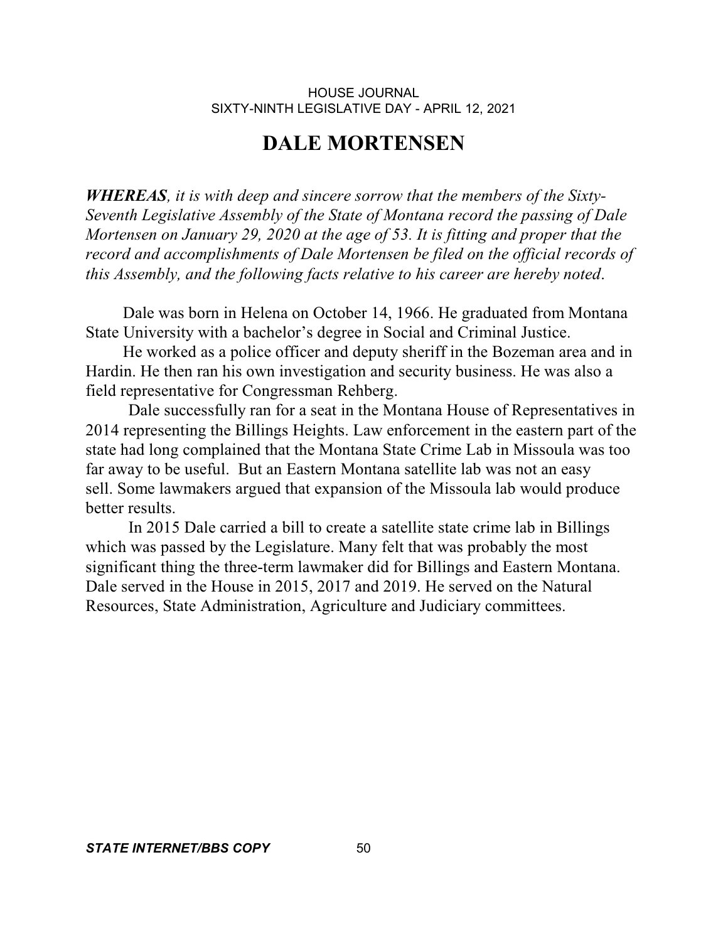## **DALE MORTENSEN**

*WHEREAS, it is with deep and sincere sorrow that the members of the Sixty-Seventh Legislative Assembly of the State of Montana record the passing of Dale Mortensen on January 29, 2020 at the age of 53. It is fitting and proper that the record and accomplishments of Dale Mortensen be filed on the official records of this Assembly, and the following facts relative to his career are hereby noted*.

 Dale was born in Helena on October 14, 1966. He graduated from Montana State University with a bachelor's degree in Social and Criminal Justice.

 He worked as a police officer and deputy sheriff in the Bozeman area and in Hardin. He then ran his own investigation and security business. He was also a field representative for Congressman Rehberg.

Dale successfully ran for a seat in the Montana House of Representatives in 2014 representing the Billings Heights. Law enforcement in the eastern part of the state had long complained that the Montana State Crime Lab in Missoula was too far away to be useful. But an Eastern Montana satellite lab was not an easy sell. Some lawmakers argued that expansion of the Missoula lab would produce better results.

In 2015 Dale carried a bill to create a satellite state crime lab in Billings which was passed by the Legislature. Many felt that was probably the most significant thing the three-term lawmaker did for Billings and Eastern Montana. Dale served in the House in 2015, 2017 and 2019. He served on the Natural Resources, State Administration, Agriculture and Judiciary committees.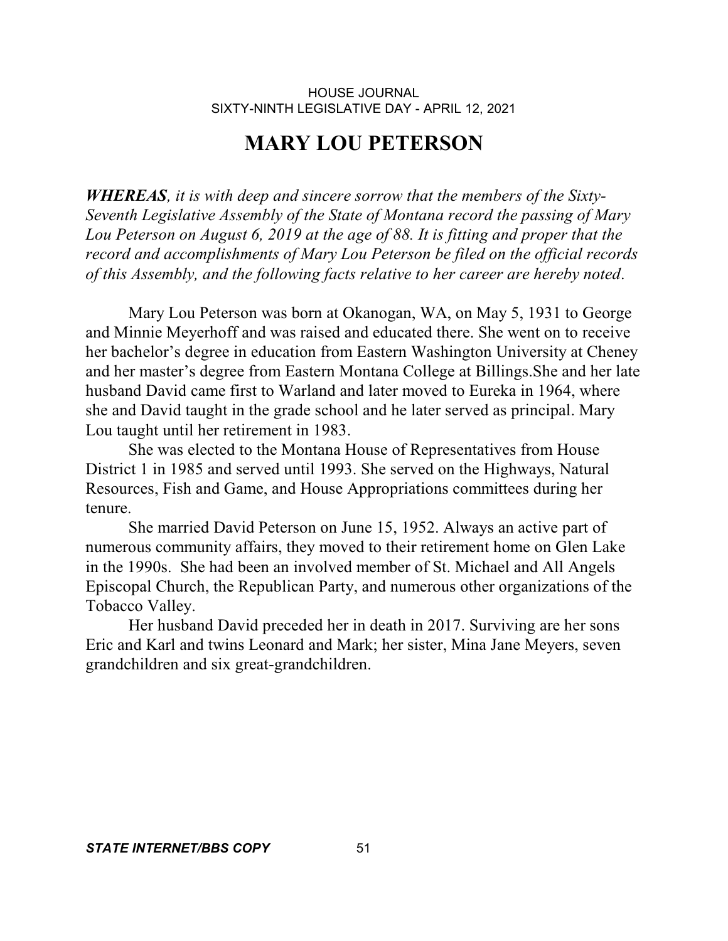## **MARY LOU PETERSON**

*WHEREAS, it is with deep and sincere sorrow that the members of the Sixty-Seventh Legislative Assembly of the State of Montana record the passing of Mary Lou Peterson on August 6, 2019 at the age of 88. It is fitting and proper that the record and accomplishments of Mary Lou Peterson be filed on the official records of this Assembly, and the following facts relative to her career are hereby noted*.

Mary Lou Peterson was born at Okanogan, WA, on May 5, 1931 to George and Minnie Meyerhoff and was raised and educated there. She went on to receive her bachelor's degree in education from Eastern Washington University at Cheney and her master's degree from Eastern Montana College at Billings.She and her late husband David came first to Warland and later moved to Eureka in 1964, where she and David taught in the grade school and he later served as principal. Mary Lou taught until her retirement in 1983.

She was elected to the Montana House of Representatives from House District 1 in 1985 and served until 1993. She served on the Highways, Natural Resources, Fish and Game, and House Appropriations committees during her tenure.

She married David Peterson on June 15, 1952. Always an active part of numerous community affairs, they moved to their retirement home on Glen Lake in the 1990s. She had been an involved member of St. Michael and All Angels Episcopal Church, the Republican Party, and numerous other organizations of the Tobacco Valley.

Her husband David preceded her in death in 2017. Surviving are her sons Eric and Karl and twins Leonard and Mark; her sister, Mina Jane Meyers, seven grandchildren and six great-grandchildren.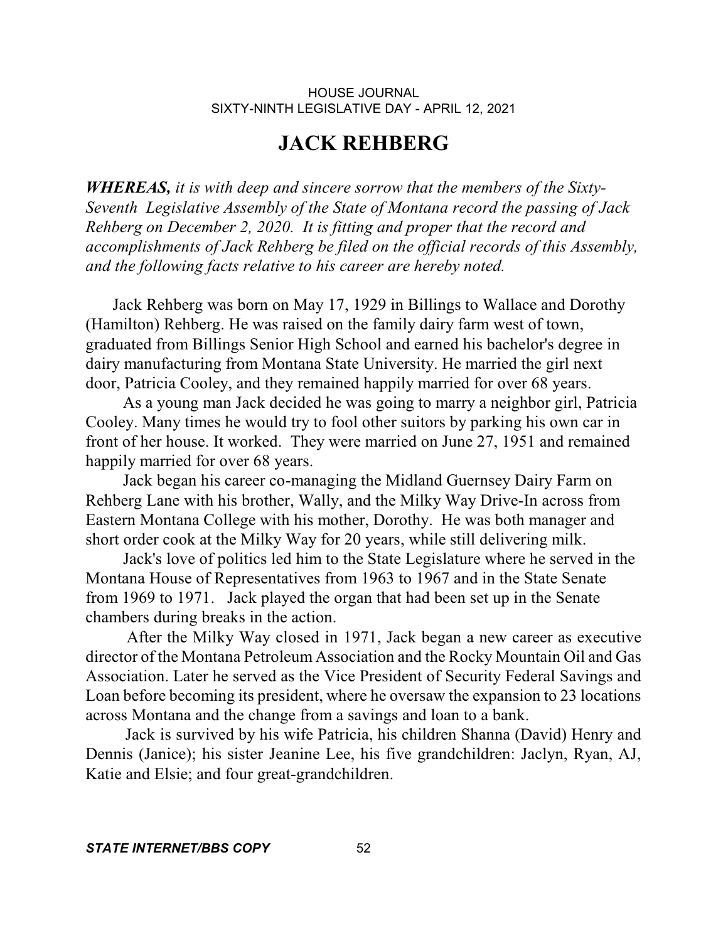## **JACK REHBERG**

*WHEREAS, it is with deep and sincere sorrow that the members of the Sixty-Seventh Legislative Assembly of the State of Montana record the passing of Jack Rehberg on December 2, 2020. It is fitting and proper that the record and accomplishments of Jack Rehberg be filed on the official records of this Assembly, and the following facts relative to his career are hereby noted.*

 Jack Rehberg was born on May 17, 1929 in Billings to Wallace and Dorothy (Hamilton) Rehberg. He was raised on the family dairy farm west of town, graduated from Billings Senior High School and earned his bachelor's degree in dairy manufacturing from Montana State University. He married the girl next door, Patricia Cooley, and they remained happily married for over 68 years.

 As a young man Jack decided he was going to marry a neighbor girl, Patricia Cooley. Many times he would try to fool other suitors by parking his own car in front of her house. It worked. They were married on June 27, 1951 and remained happily married for over 68 years.

 Jack began his career co-managing the Midland Guernsey Dairy Farm on Rehberg Lane with his brother, Wally, and the Milky Way Drive-In across from Eastern Montana College with his mother, Dorothy. He was both manager and short order cook at the Milky Way for 20 years, while still delivering milk.

 Jack's love of politics led him to the State Legislature where he served in the Montana House of Representatives from 1963 to 1967 and in the State Senate from 1969 to 1971. Jack played the organ that had been set up in the Senate chambers during breaks in the action.

After the Milky Way closed in 1971, Jack began a new career as executive director of the Montana Petroleum Association and the Rocky Mountain Oil and Gas Association. Later he served as the Vice President of Security Federal Savings and Loan before becoming its president, where he oversaw the expansion to 23 locations across Montana and the change from a savings and loan to a bank.

Jack is survived by his wife Patricia, his children Shanna (David) Henry and Dennis (Janice); his sister Jeanine Lee, his five grandchildren: Jaclyn, Ryan, AJ, Katie and Elsie; and four great-grandchildren.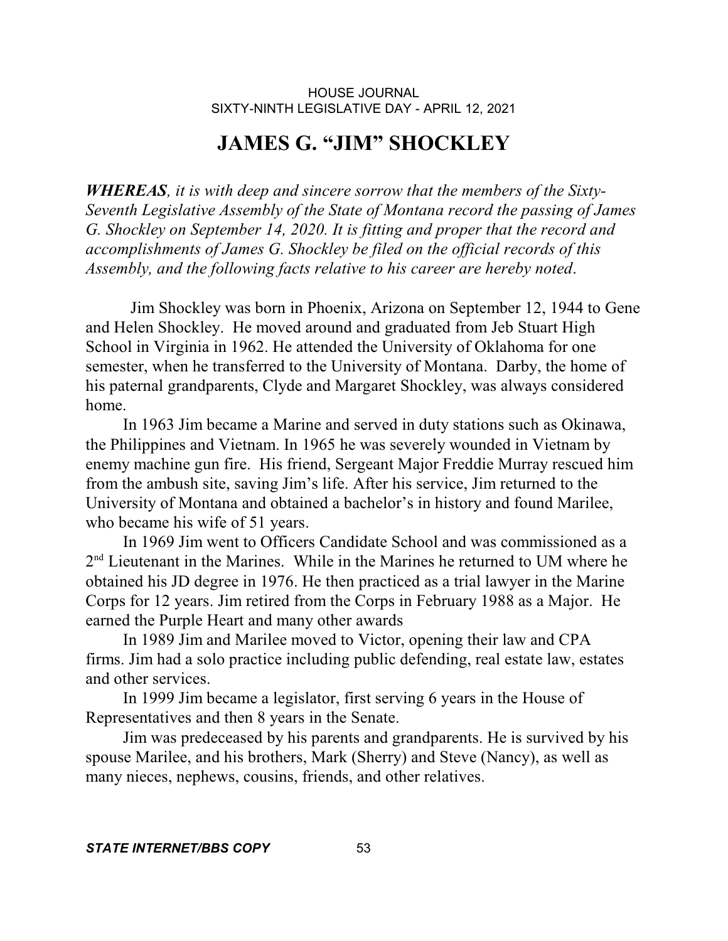# **JAMES G. "JIM" SHOCKLEY**

*WHEREAS, it is with deep and sincere sorrow that the members of the Sixty-Seventh Legislative Assembly of the State of Montana record the passing of James G. Shockley on September 14, 2020. It is fitting and proper that the record and accomplishments of James G. Shockley be filed on the official records of this Assembly, and the following facts relative to his career are hereby noted*.

 Jim Shockley was born in Phoenix, Arizona on September 12, 1944 to Gene and Helen Shockley. He moved around and graduated from Jeb Stuart High School in Virginia in 1962. He attended the University of Oklahoma for one semester, when he transferred to the University of Montana. Darby, the home of his paternal grandparents, Clyde and Margaret Shockley, was always considered home.

 In 1963 Jim became a Marine and served in duty stations such as Okinawa, the Philippines and Vietnam. In 1965 he was severely wounded in Vietnam by enemy machine gun fire. His friend, Sergeant Major Freddie Murray rescued him from the ambush site, saving Jim's life. After his service, Jim returned to the University of Montana and obtained a bachelor's in history and found Marilee, who became his wife of 51 years.

 In 1969 Jim went to Officers Candidate School and was commissioned as a 2<sup>nd</sup> Lieutenant in the Marines. While in the Marines he returned to UM where he obtained his JD degree in 1976. He then practiced as a trial lawyer in the Marine Corps for 12 years. Jim retired from the Corps in February 1988 as a Major. He earned the Purple Heart and many other awards

 In 1989 Jim and Marilee moved to Victor, opening their law and CPA firms. Jim had a solo practice including public defending, real estate law, estates and other services.

 In 1999 Jim became a legislator, first serving 6 years in the House of Representatives and then 8 years in the Senate.

 Jim was predeceased by his parents and grandparents. He is survived by his spouse Marilee, and his brothers, Mark (Sherry) and Steve (Nancy), as well as many nieces, nephews, cousins, friends, and other relatives.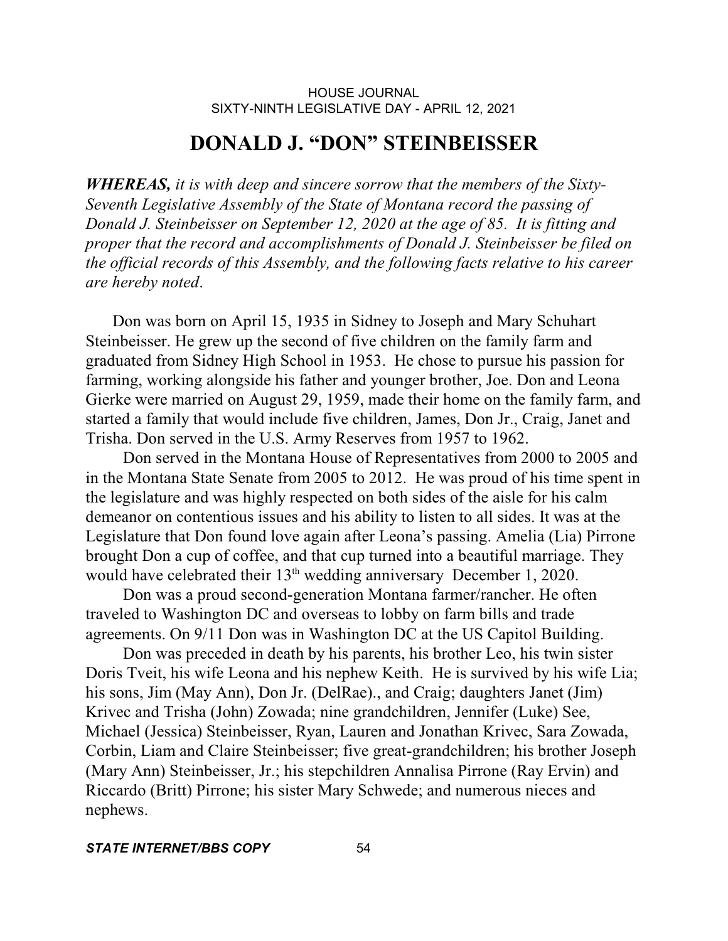## **DONALD J. "DON" STEINBEISSER**

*WHEREAS, it is with deep and sincere sorrow that the members of the Sixty-Seventh Legislative Assembly of the State of Montana record the passing of Donald J. Steinbeisser on September 12, 2020 at the age of 85. It is fitting and proper that the record and accomplishments of Donald J. Steinbeisser be filed on the official records of this Assembly, and the following facts relative to his career are hereby noted*.

 Don was born on April 15, 1935 in Sidney to Joseph and Mary Schuhart Steinbeisser. He grew up the second of five children on the family farm and graduated from Sidney High School in 1953. He chose to pursue his passion for farming, working alongside his father and younger brother, Joe. Don and Leona Gierke were married on August 29, 1959, made their home on the family farm, and started a family that would include five children, James, Don Jr., Craig, Janet and Trisha. Don served in the U.S. Army Reserves from 1957 to 1962.

 Don served in the Montana House of Representatives from 2000 to 2005 and in the Montana State Senate from 2005 to 2012. He was proud of his time spent in the legislature and was highly respected on both sides of the aisle for his calm demeanor on contentious issues and his ability to listen to all sides. It was at the Legislature that Don found love again after Leona's passing. Amelia (Lia) Pirrone brought Don a cup of coffee, and that cup turned into a beautiful marriage. They would have celebrated their  $13<sup>th</sup>$  wedding anniversary December 1, 2020.

 Don was a proud second-generation Montana farmer/rancher. He often traveled to Washington DC and overseas to lobby on farm bills and trade agreements. On 9/11 Don was in Washington DC at the US Capitol Building.

 Don was preceded in death by his parents, his brother Leo, his twin sister Doris Tveit, his wife Leona and his nephew Keith. He is survived by his wife Lia; his sons, Jim (May Ann), Don Jr. (DelRae)., and Craig; daughters Janet (Jim) Krivec and Trisha (John) Zowada; nine grandchildren, Jennifer (Luke) See, Michael (Jessica) Steinbeisser, Ryan, Lauren and Jonathan Krivec, Sara Zowada, Corbin, Liam and Claire Steinbeisser; five great-grandchildren; his brother Joseph (Mary Ann) Steinbeisser, Jr.; his stepchildren Annalisa Pirrone (Ray Ervin) and Riccardo (Britt) Pirrone; his sister Mary Schwede; and numerous nieces and nephews.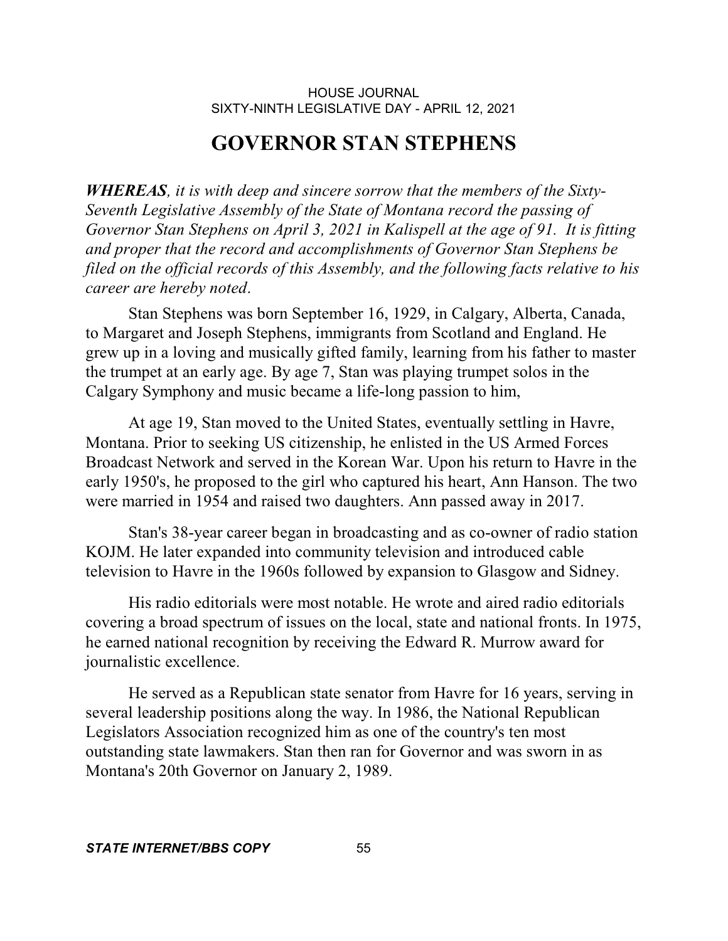## **GOVERNOR STAN STEPHENS**

*WHEREAS, it is with deep and sincere sorrow that the members of the Sixty-Seventh Legislative Assembly of the State of Montana record the passing of Governor Stan Stephens on April 3, 2021 in Kalispell at the age of 91. It is fitting and proper that the record and accomplishments of Governor Stan Stephens be filed on the official records of this Assembly, and the following facts relative to his career are hereby noted*.

Stan Stephens was born September 16, 1929, in Calgary, Alberta, Canada, to Margaret and Joseph Stephens, immigrants from Scotland and England. He grew up in a loving and musically gifted family, learning from his father to master the trumpet at an early age. By age 7, Stan was playing trumpet solos in the Calgary Symphony and music became a life-long passion to him,

At age 19, Stan moved to the United States, eventually settling in Havre, Montana. Prior to seeking US citizenship, he enlisted in the US Armed Forces Broadcast Network and served in the Korean War. Upon his return to Havre in the early 1950's, he proposed to the girl who captured his heart, Ann Hanson. The two were married in 1954 and raised two daughters. Ann passed away in 2017.

Stan's 38-year career began in broadcasting and as co-owner of radio station KOJM. He later expanded into community television and introduced cable television to Havre in the 1960s followed by expansion to Glasgow and Sidney.

His radio editorials were most notable. He wrote and aired radio editorials covering a broad spectrum of issues on the local, state and national fronts. In 1975, he earned national recognition by receiving the Edward R. Murrow award for journalistic excellence.

He served as a Republican state senator from Havre for 16 years, serving in several leadership positions along the way. In 1986, the National Republican Legislators Association recognized him as one of the country's ten most outstanding state lawmakers. Stan then ran for Governor and was sworn in as Montana's 20th Governor on January 2, 1989.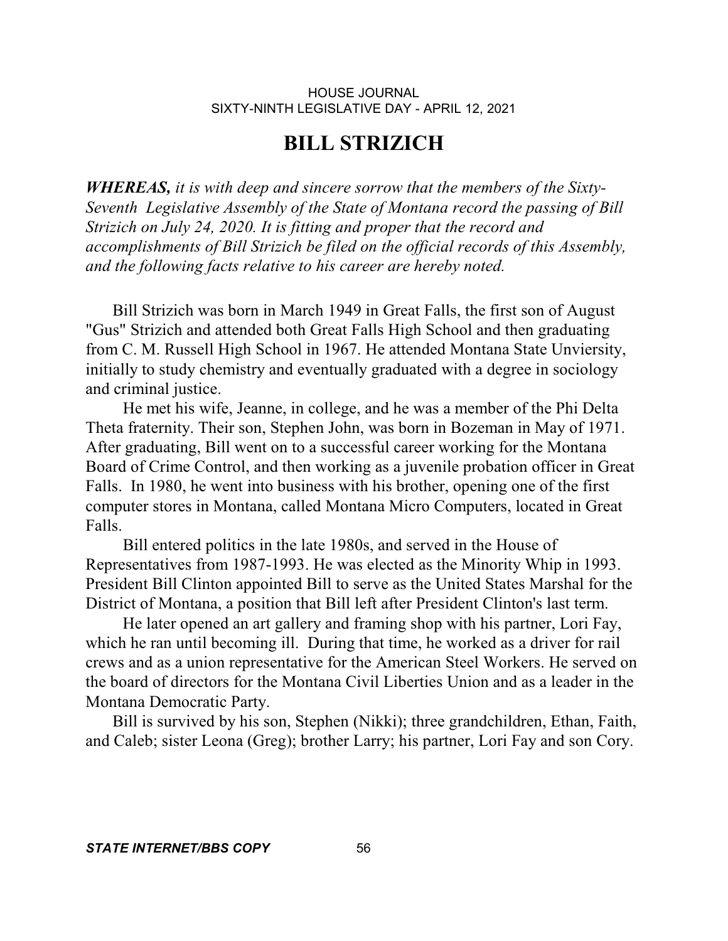## **BILL STRIZICH**

*WHEREAS, it is with deep and sincere sorrow that the members of the Sixty-Seventh Legislative Assembly of the State of Montana record the passing of Bill Strizich on July 24, 2020. It is fitting and proper that the record and accomplishments of Bill Strizich be filed on the official records of this Assembly, and the following facts relative to his career are hereby noted.* 

 Bill Strizich was born in March 1949 in Great Falls, the first son of August "Gus" Strizich and attended both Great Falls High School and then graduating from C. M. Russell High School in 1967. He attended Montana State Unviersity, initially to study chemistry and eventually graduated with a degree in sociology and criminal justice.

 He met his wife, Jeanne, in college, and he was a member of the Phi Delta Theta fraternity. Their son, Stephen John, was born in Bozeman in May of 1971. After graduating, Bill went on to a successful career working for the Montana Board of Crime Control, and then working as a juvenile probation officer in Great Falls. In 1980, he went into business with his brother, opening one of the first computer stores in Montana, called Montana Micro Computers, located in Great Falls.

 Bill entered politics in the late 1980s, and served in the House of Representatives from 1987-1993. He was elected as the Minority Whip in 1993. President Bill Clinton appointed Bill to serve as the United States Marshal for the District of Montana, a position that Bill left after President Clinton's last term.

He later opened an art gallery and framing shop with his partner, Lori Fay, which he ran until becoming ill. During that time, he worked as a driver for rail crews and as a union representative for the American Steel Workers. He served on the board of directors for the Montana Civil Liberties Union and as a leader in the Montana Democratic Party.

 Bill is survived by his son, Stephen (Nikki); three grandchildren, Ethan, Faith, and Caleb; sister Leona (Greg); brother Larry; his partner, Lori Fay and son Cory.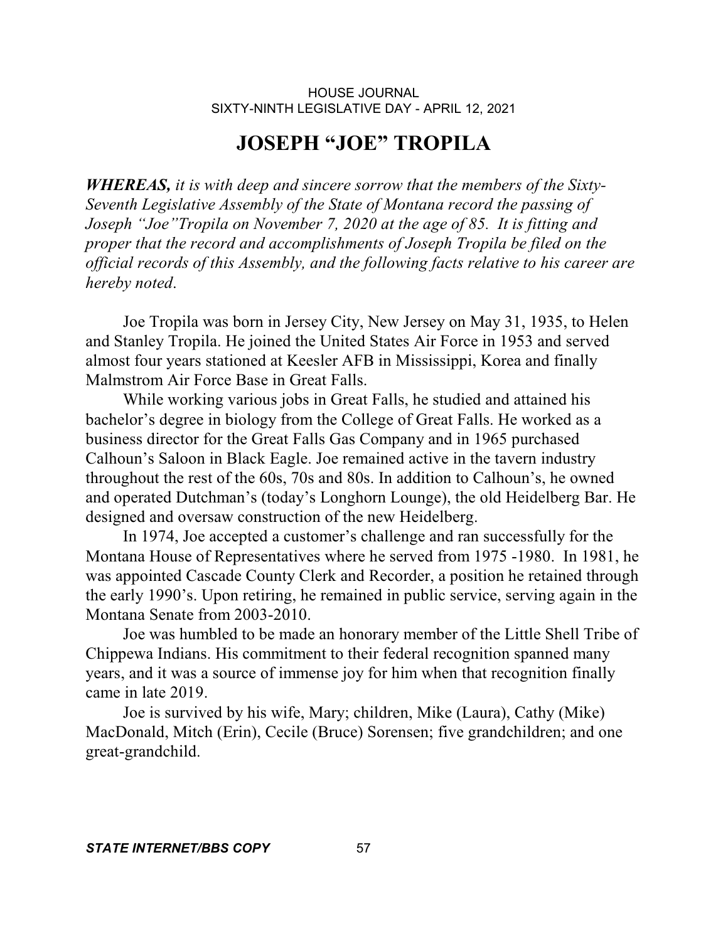## **JOSEPH "JOE" TROPILA**

*WHEREAS, it is with deep and sincere sorrow that the members of the Sixty-Seventh Legislative Assembly of the State of Montana record the passing of Joseph "Joe"Tropila on November 7, 2020 at the age of 85. It is fitting and proper that the record and accomplishments of Joseph Tropila be filed on the official records of this Assembly, and the following facts relative to his career are hereby noted*.

 Joe Tropila was born in Jersey City, New Jersey on May 31, 1935, to Helen and Stanley Tropila. He joined the United States Air Force in 1953 and served almost four years stationed at Keesler AFB in Mississippi, Korea and finally Malmstrom Air Force Base in Great Falls.

 While working various jobs in Great Falls, he studied and attained his bachelor's degree in biology from the College of Great Falls. He worked as a business director for the Great Falls Gas Company and in 1965 purchased Calhoun's Saloon in Black Eagle. Joe remained active in the tavern industry throughout the rest of the 60s, 70s and 80s. In addition to Calhoun's, he owned and operated Dutchman's (today's Longhorn Lounge), the old Heidelberg Bar. He designed and oversaw construction of the new Heidelberg.

 In 1974, Joe accepted a customer's challenge and ran successfully for the Montana House of Representatives where he served from 1975 -1980. In 1981, he was appointed Cascade County Clerk and Recorder, a position he retained through the early 1990's. Upon retiring, he remained in public service, serving again in the Montana Senate from 2003-2010.

 Joe was humbled to be made an honorary member of the Little Shell Tribe of Chippewa Indians. His commitment to their federal recognition spanned many years, and it was a source of immense joy for him when that recognition finally came in late 2019.

 Joe is survived by his wife, Mary; children, Mike (Laura), Cathy (Mike) MacDonald, Mitch (Erin), Cecile (Bruce) Sorensen; five grandchildren; and one great-grandchild.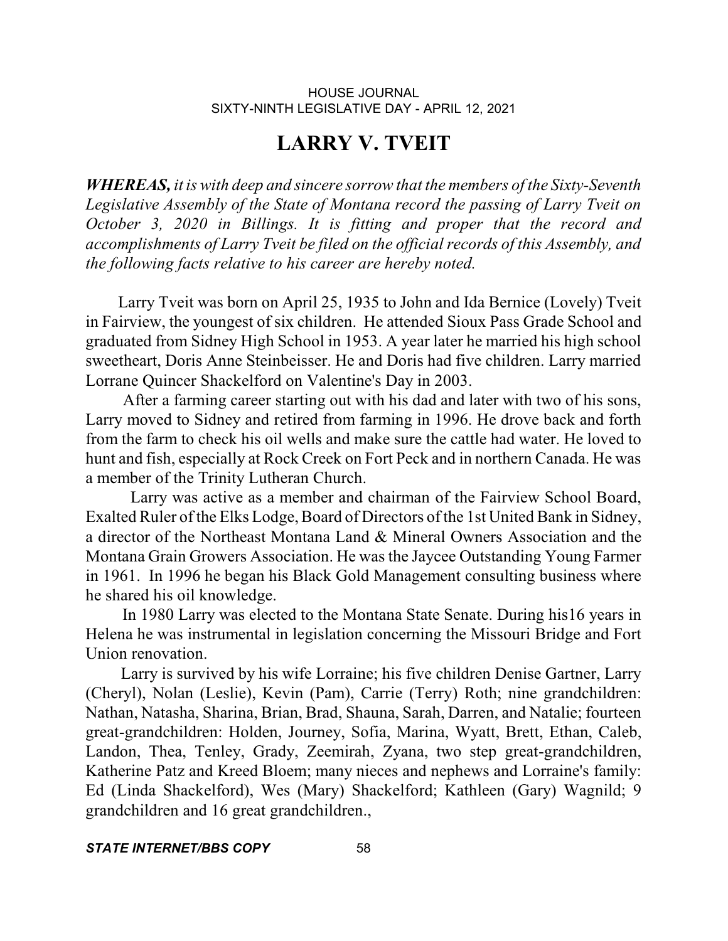## **LARRY V. TVEIT**

*WHEREAS, it is with deep and sincere sorrow that the members of the Sixty-Seventh Legislative Assembly of the State of Montana record the passing of Larry Tveit on October 3, 2020 in Billings. It is fitting and proper that the record and accomplishments of Larry Tveit be filed on the official records of this Assembly, and the following facts relative to his career are hereby noted.* 

Larry Tveit was born on April 25, 1935 to John and Ida Bernice (Lovely) Tveit in Fairview, the youngest of six children. He attended Sioux Pass Grade School and graduated from Sidney High School in 1953. A year later he married his high school sweetheart, Doris Anne Steinbeisser. He and Doris had five children. Larry married Lorrane Quincer Shackelford on Valentine's Day in 2003.

 After a farming career starting out with his dad and later with two of his sons, Larry moved to Sidney and retired from farming in 1996. He drove back and forth from the farm to check his oil wells and make sure the cattle had water. He loved to hunt and fish, especially at Rock Creek on Fort Peck and in northern Canada. He was a member of the Trinity Lutheran Church.

Larry was active as a member and chairman of the Fairview School Board, Exalted Ruler of the Elks Lodge, Board of Directors of the 1st United Bank in Sidney, a director of the Northeast Montana Land & Mineral Owners Association and the Montana Grain Growers Association. He was the Jaycee Outstanding Young Farmer in 1961. In 1996 he began his Black Gold Management consulting business where he shared his oil knowledge.

 In 1980 Larry was elected to the Montana State Senate. During his16 years in Helena he was instrumental in legislation concerning the Missouri Bridge and Fort Union renovation.

Larry is survived by his wife Lorraine; his five children Denise Gartner, Larry (Cheryl), Nolan (Leslie), Kevin (Pam), Carrie (Terry) Roth; nine grandchildren: Nathan, Natasha, Sharina, Brian, Brad, Shauna, Sarah, Darren, and Natalie; fourteen great-grandchildren: Holden, Journey, Sofia, Marina, Wyatt, Brett, Ethan, Caleb, Landon, Thea, Tenley, Grady, Zeemirah, Zyana, two step great-grandchildren, Katherine Patz and Kreed Bloem; many nieces and nephews and Lorraine's family: Ed (Linda Shackelford), Wes (Mary) Shackelford; Kathleen (Gary) Wagnild; 9 grandchildren and 16 great grandchildren.,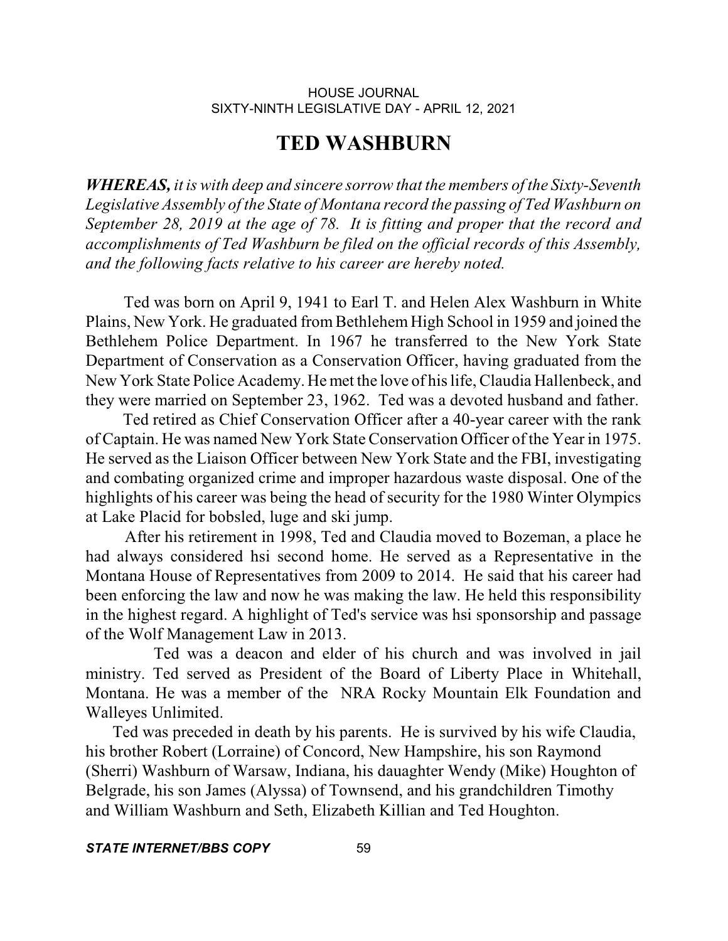# **TED WASHBURN**

*WHEREAS, it is with deep and sincere sorrow that the members of the Sixty-Seventh Legislative Assembly of the State of Montana record the passing of Ted Washburn on September 28, 2019 at the age of 78. It is fitting and proper that the record and accomplishments of Ted Washburn be filed on the official records of this Assembly, and the following facts relative to his career are hereby noted.* 

 Ted was born on April 9, 1941 to Earl T. and Helen Alex Washburn in White Plains, New York. He graduated from Bethlehem High School in 1959 and joined the Bethlehem Police Department. In 1967 he transferred to the New York State Department of Conservation as a Conservation Officer, having graduated from the New York State Police Academy. He met the love of hislife, Claudia Hallenbeck, and they were married on September 23, 1962. Ted was a devoted husband and father.

 Ted retired as Chief Conservation Officer after a 40-year career with the rank of Captain. He was named New York State Conservation Officer of the Year in 1975. He served as the Liaison Officer between New York State and the FBI, investigating and combating organized crime and improper hazardous waste disposal. One of the highlights of his career was being the head of security for the 1980 Winter Olympics at Lake Placid for bobsled, luge and ski jump.

After his retirement in 1998, Ted and Claudia moved to Bozeman, a place he had always considered hsi second home. He served as a Representative in the Montana House of Representatives from 2009 to 2014. He said that his career had been enforcing the law and now he was making the law. He held this responsibility in the highest regard. A highlight of Ted's service was hsi sponsorship and passage of the Wolf Management Law in 2013.

Ted was a deacon and elder of his church and was involved in jail ministry. Ted served as President of the Board of Liberty Place in Whitehall, Montana. He was a member of the NRA Rocky Mountain Elk Foundation and Walleyes Unlimited.

 Ted was preceded in death by his parents. He is survived by his wife Claudia, his brother Robert (Lorraine) of Concord, New Hampshire, his son Raymond (Sherri) Washburn of Warsaw, Indiana, his dauaghter Wendy (Mike) Houghton of Belgrade, his son James (Alyssa) of Townsend, and his grandchildren Timothy and William Washburn and Seth, Elizabeth Killian and Ted Houghton.